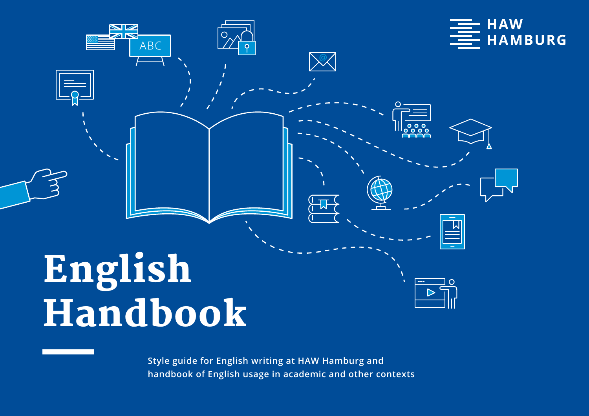

**Style guide for English writing at HAW Hamburg and handbook of English usage in academic and other contexts**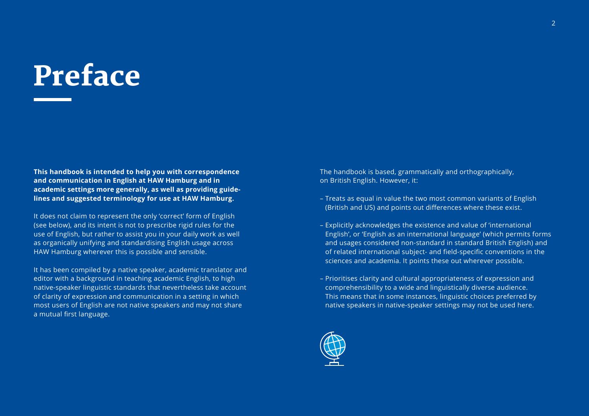## Preface

**This handbook is intended to help you with correspondence and communication in English at HAW Hamburg and in academic settings more generally, as well as providing guidelines and suggested terminology for use at HAW Hamburg.**

It does not claim to represent the only 'correct' form of English (see below), and its intent is not to prescribe rigid rules for the use of English, but rather to assist you in your daily work as well as organically unifying and standardising English usage across HAW Hamburg wherever this is possible and sensible.

It has been compiled by a native speaker, academic translator and editor with a background in teaching academic English, to high native-speaker linguistic standards that nevertheless take account of clarity of expression and communication in a setting in which most users of English are not native speakers and may not share a mutual first language.

The handbook is based, grammatically and orthographically, on British English. However, it:

- Treats as equal in value the two most common variants of English (British and US) and points out differences where these exist.
- Explicitly acknowledges the existence and value of 'international English', or 'English as an international language' (which permits forms and usages considered non-standard in standard British English) and of related international subject- and field-specific conventions in the sciences and academia. It points these out wherever possible.
- Prioritises clarity and cultural appropriateness of expression and comprehensibility to a wide and linguistically diverse audience. This means that in some instances, linguistic choices preferred by native speakers in native-speaker settings may not be used here.

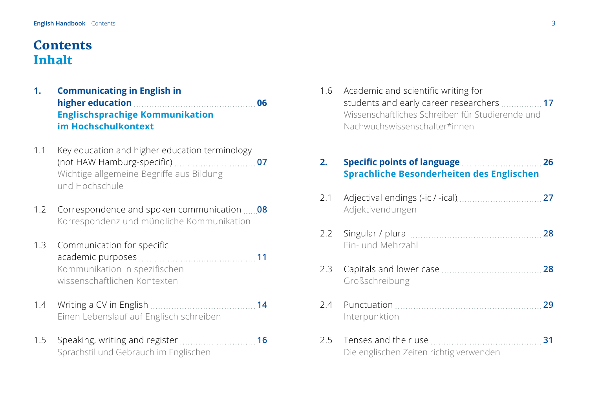## <span id="page-2-0"></span>**Contents** Inhalt

- **[1. Communicating in English in](#page-5-0)  [higher education 06](#page-5-0) [Englischsprachige Kommunikation](#page-5-0)  [im Hochschulkontext](#page-5-0)**
- [1.1 Key education and higher education terminology](#page-6-0)  [\(not HAW Hamburg-specific\)](#page-6-0) **07** [Wichtige allgemeine Begriffe aus Bildung](#page-6-0)  [und Hochschule](#page-6-0)
- [1.2 Correspondence and spoken communication](#page-7-0) **08**  [Korrespondenz und mündliche Kommunikation](#page-7-0)
- 1.3 [Communication for specific](#page-10-0)   [academic purposes](#page-10-0) **11** [Kommunikation in spezifischen](#page-10-0)  [wissenschaftlichen Kontexten](#page-10-0)
- [1.4 Writing a CV in English](#page-13-0) **114** 1.4 Muslim 14  [Einen Lebenslauf auf Englisch schreiben](#page-13-0)
- [1.5 Speaking, writing and register](#page-15-0) **16**  [Sprachstil und Gebrauch im Englischen](#page-15-0)

1.6 [Academic and scientific writing for](#page-16-0)  [students and early career researchers](#page-16-0) **17** [Wissenschaftliches Schreiben für Studierende und](#page-16-0)  [Nachwuchswissenschafter\\*innen](#page-16-0)

## **2. Specific points of [language](#page-25-0) 26 [Sprachliche Besonderheiten des Englischen](#page-25-0)**

- 2.1 [Adjectival endings \(-ic / -ical\)](#page-26-0) **27**  [Adjektivendungen](#page-26-0)
- [2.2 Singular / plural](#page-27-0) **28**  [Ein- und Mehrzahl](#page-27-0)
- [2.3 Capitals and lower case](#page-27-0) **28**  [Großschreibung](#page-27-0)
- [2.4 Punctuation](#page-28-0) **29**  [Interpunktion](#page-28-0)
- [2.5 Tenses and their use](#page-30-0) **2000 31 31**  [Die englischen Zeiten richtig verwenden](#page-30-0)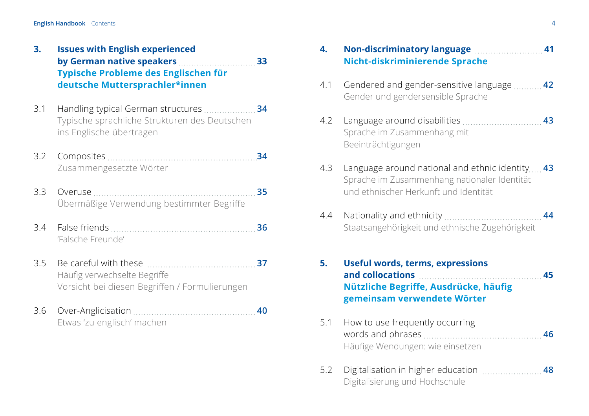| 3. | <b>Issues with English experienced</b> |  |  |
|----|----------------------------------------|--|--|
|    | by German native speakers<br>- 33      |  |  |
|    | Typische Probleme des Englischen für   |  |  |
|    | deutsche Muttersprachler*innen         |  |  |

- [3.1 Handling typical German structures](#page-33-0) **34**  [Typische sprachliche Strukturen des Deutschen](#page-33-0)  [ins Englische übertragen](#page-33-0)
- [3.2 Composites](#page-33-0) **34**  [Zusammengesetzte Wörter](#page-33-0)
- [3.3 Overuse](#page-34-0) **35** [Übermäßige Verwendung bestimmter Begriffe](#page-34-0)
- [3.4 False friends](#page-35-0) **36**  ['Falsche Freunde'](#page-35-0)
- [3.5 Be careful with these](#page-36-0) **37** [Häufig verwechselte Begriffe](#page-36-0) [Vorsicht bei diesen Begriffen / Formulierungen](#page-36-0)
- [3.6 Over-Anglicisation](#page-39-0) **40**  [Etwas 'zu englisch' machen](#page-39-0)

| 4. | Non-discriminatory language manuscriminatory 141 |
|----|--------------------------------------------------|
|    | Nicht-diskriminierende Sprache                   |

- [4.1 Gendered and gender-sensitive language](#page-41-0) **42**  [Gender und gendersensible Sprache](#page-41-0)
- [4.2 Language around disabilities](#page-42-0) **43**  [Sprache im Zusammenhang mit](#page-42-0)   [Beeinträchtigungen](#page-42-0)
- [4.3 Language around national and ethnic identity](#page-42-0)..... 43  [Sprache im Zusammenhang nationaler Identität](#page-42-0)   [und ethnischer Herkunft und Identität](#page-42-0)
- [4.4 Nationality and ethnicity](#page-43-0) **44**  [Staatsangehörigkeit und ethnische Zugehörigkeit](#page-43-0)
- **[5. Useful words, terms, expressions](#page-44-0)  [and collocations 45](#page-44-0) Nützliche Begriffe, [Ausdrücke,](#page-44-0) häufig [gemeinsam verwendete Wörter](#page-44-0)**
- [5.1 How to use frequently occurring](#page-45-0)   [words and phrases](#page-45-0) **46** [Häufige Wendungen: wie einsetzen](#page-45-0)
- [5.2 Digitalisation in higher education](#page-47-0) **48**  [Digitalisierung und Hochschule](#page-47-0)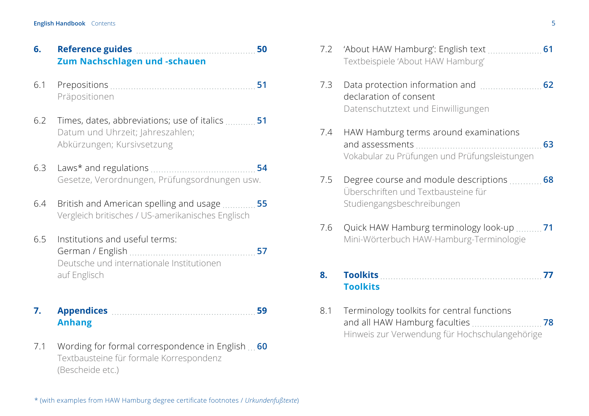| 6. |                                      |  |
|----|--------------------------------------|--|
|    | <b>Zum Nachschlagen und -schauen</b> |  |

- [6.1 Prepositions](#page-50-0) **51**  [Präpositionen](#page-50-0)
- [6.2 Times, dates, abbreviations; use of italics](#page-50-0) **51**  [Datum und Uhrzeit; Jahreszahlen;](#page-50-0)  [Abkürzungen; Kursivsetzung](#page-50-0)
- [6.3 Laws\\* and regulations](#page-53-0) **54**  [Gesetze, Verordnungen, Prüfungsordnungen usw.](#page-53-0)
- [6.4 British and American spelling and usage](#page-54-0) **55** [Vergleich britisches / US-amerikanisches Englisch](#page-54-0)
- 6.5 [Institutions and useful terms:](#page-56-0)  [German / English](#page-56-0) **57**  [Deutsche und internationale Institutionen](#page-56-0)   [auf Englisch](#page-56-0)
- **7. Appendices 2000 Manual Manual Manual Manual Manual Manual 59  [Anhang](#page-58-0)**
- [7.1 Wording for formal correspondence in English](#page-59-0) **60** [Textbausteine für formale Korrespondenz](#page-59-0)  [\(Bescheide etc.\)](#page-59-0)

| 7.2 | Textbeispiele 'About HAW Hamburg'                                                                                                   |
|-----|-------------------------------------------------------------------------------------------------------------------------------------|
| 7.3 | declaration of consent<br>Datenschutztext und Einwilligungen                                                                        |
| 7.4 | HAW Hamburg terms around examinations<br>Vokabular zu Prüfungen und Prüfungsleistungen                                              |
| 7.5 | Degree course and module descriptions  68<br>Überschriften und Textbausteine für<br>Studiengangsbeschreibungen                      |
| 7.6 | Quick HAW Hamburg terminology look-up  71<br>Mini-Wörterbuch HAW-Hamburg-Terminologie                                               |
| 8.  | <b>Toolkits</b><br>77<br><b>Toolkits</b>                                                                                            |
| 8.1 | Terminology toolkits for central functions<br>and all HAW Hamburg faculties<br>78<br>Hinweis zur Verwendung für Hochschulangehörige |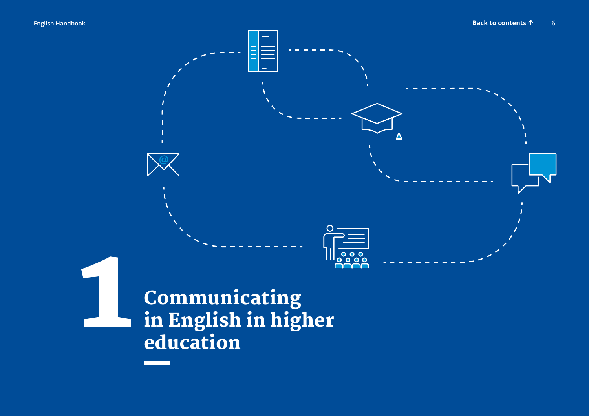<span id="page-5-0"></span>

Communicating in English in higher education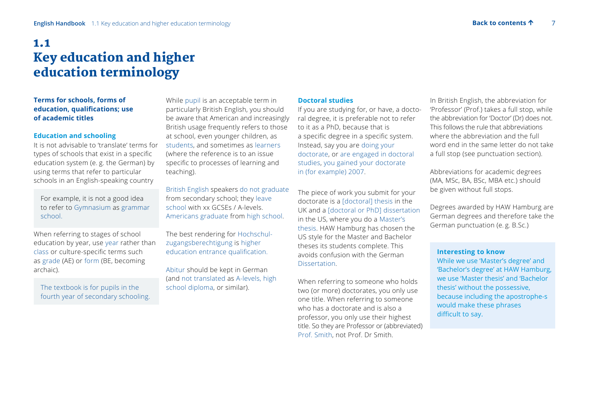## <span id="page-6-0"></span>1.1 Key education and higher education terminology

#### **Terms for schools, forms of education, qualifications; use of academic titles**

#### **Education and schooling**

It is not advisable to 'translate' terms for types of schools that exist in a specific education system (e. g. the German) by using terms that refer to particular schools in an English-speaking country

 For example, it is not a good idea to refer to Gymnasium as grammar school.

When referring to stages of school education by year, use year rather than class or culture-specific terms such as grade (AE) or form (BE, becoming archaic).

 The textbook is for pupils in the fourth year of secondary schooling.

While pupil is an acceptable term in particularly British English, you should be aware that American and increasingly British usage frequently refers to those at school, even younger children, as students, and sometimes as learners (where the reference is to an issue specific to processes of learning and teaching).

British English speakers do not graduate from secondary school; they leave school with xx GCSEs / A-levels. Americans graduate from high school.

The best rendering for Hochschulzugangsberechtigung is higher education entrance qualification.

Abitur should be kept in German (and not translated as A-levels, high school diploma, or similar).

#### **Doctoral studies**

If you are studying for, or have, a doctoral degree, it is preferable not to refer to it as a PhD, because that is a specific degree in a specific system. Instead, say you are doing your doctorate, or are engaged in doctoral studies, you gained your doctorate in (for example) 2007.

The piece of work you submit for your doctorate is a [doctoral] thesis in the UK and a [doctoral or PhD] dissertation in the US, where you do a Master's thesis. HAW Hamburg has chosen the US style for the Master and Bachelor theses its students complete. This avoids confusion with the German **Dissertation** 

When referring to someone who holds two (or more) doctorates, you only use one title. When referring to someone who has a doctorate and is also a professor, you only use their highest title. So they are Professor or (abbreviated) Prof. Smith, not Prof. Dr Smith.

In British English, the abbreviation for 'Professor' (Prof.) takes a full stop, while the abbreviation for 'Doctor' (Dr) does not. This follows the rule that abbreviations where the abbreviation and the full word end in the same letter do not take a full stop (see punctuation section).

Abbreviations for academic degrees (MA, MSc, BA, BSc, MBA etc.) should be given without full stops.

Degrees awarded by HAW Hamburg are German degrees and therefore take the German punctuation (e. g. B.Sc.)

#### **Interesting to know**

While we use 'Master's degree' and 'Bachelor's degree' at HAW Hamburg, we use 'Master thesis' and 'Bachelor thesis' without the possessive, because including the apostrophe-s would make these phrases difficult to say.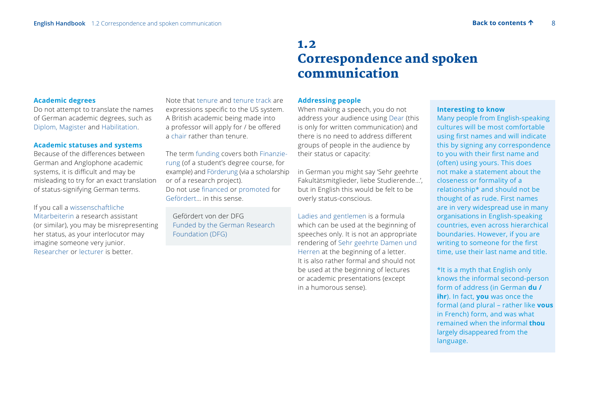## 1.2 Correspondence and spoken communication

#### <span id="page-7-0"></span>**Academic degrees**

Do not attempt to translate the names of German academic degrees, such as Diplom, Magister and Habilitation.

#### **Academic statuses and systems**

Because of the differences between German and Anglophone academic systems, it is difficult and may be misleading to try for an exact translation of status-signifying German terms.

#### If you call a wissenschaftliche

Mitarbeiterin a research assistant (or similar), you may be misrepresenting her status, as your interlocutor may imagine someone very junior. Researcher or lecturer is better.

Note that tenure and tenure track are expressions specific to the US system. A British academic being made into a professor will apply for / be offered a chair rather than tenure.

The term funding covers both Finanzierung (of a student's degree course, for example) and Förderung (via a scholarship or of a research project). Do not use financed or promoted for Gefördert… in this sense.

Gefördert von der DFG Funded by the German Research Foundation (DFG)

#### **Addressing people**

When making a speech, you do not address your audience using Dear (this is only for written communication) and there is no need to address different groups of people in the audience by their status or capacity:

in German you might say 'Sehr geehrte Fakultätsmitglieder, liebe Studierende…', but in English this would be felt to be overly status-conscious.

Ladies and gentlemen is a formula which can be used at the beginning of speeches only. It is not an appropriate rendering of Sehr geehrte Damen und Herren at the beginning of a letter. It is also rather formal and should not be used at the beginning of lectures or academic presentations (except in a humorous sense).

#### **Interesting to know**

 Many people from English-speaking cultures will be most comfortable using first names and will indicate this by signing any correspondence to you with their first name and (often) using yours. This does not make a statement about the closeness or formality of a relationship\* and should not be thought of as rude. First names are in very widespread use in many organisations in English-speaking countries, even across hierarchical boundaries. However, if you are writing to someone for the first time, use their last name and title.

 \*It is a myth that English only knows the informal second-person form of address (in German **du / ihr**). In fact, **you** was once the formal (and plural – rather like **vous** in French) form, and was what remained when the informal **thou** largely disappeared from the language.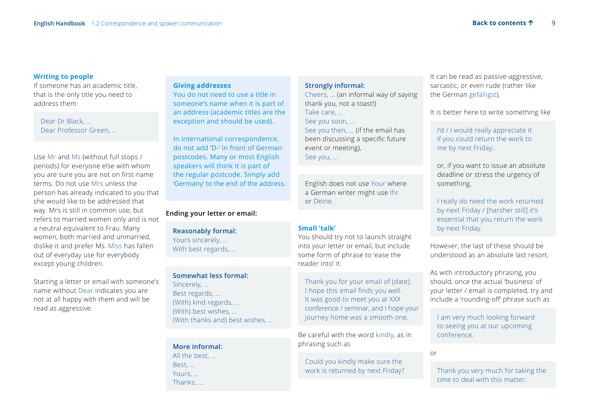#### **Writing to people**

If someone has an academic title, that is the only title you need to address them:

Dear Dr Black, … Dear Professor Green, …

Use Mr and Ms (without full stops / periods) for everyone else with whom you are sure you are not on first-name terms. Do not use Mrs unless the person has already indicated to you that she would like to be addressed that way. Mrs is still in common use, but refers to married women only and is not a neutral equivalent to Frau. Many women, both married and unmarried, dislike it and prefer Ms. Miss has fallen out of everyday use for everybody except young children.

Starting a letter or email with someone's name without Dear indicates you are not at all happy with them and will be read as aggressive.

#### **Giving addresses**

 You do not need to use a title in someone's name when it is part of an address (academic titles are the exception and should be used).

 In international correspondence, do not add 'D-' in front of German postcodes. Many or most English speakers will think it is part of the regular postcode. Simply add 'Germany' to the end of the address.

#### **Ending your letter or email:**

**Reasonably formal:** Yours sincerely, … With best regards, …

#### **Somewhat less formal:**

Sincerely, … Best regards, … (With) kind regards, … (With) best wishes, … (With thanks and) best wishes, …

#### **More informal:**

All the best, … Best, … Yours, … Thanks, …

#### **Strongly informal:**

Cheers, … (an informal way of saying thank you, not a toast!) Take care, … See you soon, … See you then, … (if the email has been discussing a specific future event or meeting),

See you, …

 English does not use Your where a German writer might use Ihr or Deine.

#### **Small 'talk'**

You should try not to launch straight into your letter or email, but include some form of phrase to 'ease the reader into' it:

Thank you for your email of (date). I hope this email finds you well. It was good to meet you at XXX conference / seminar, and I hope your journey home was a smooth one.

Be careful with the word kindly, as in phrasing such as

 Could you kindly make sure the work is returned by next Friday? It can be read as passive-aggressive, sarcastic, or even rude (rather like the German gefälligst).

It is better here to write something like

I'd / I would really appreciate it if you could return the work to me by next Friday;

 or, if you want to issue an absolute deadline or stress the urgency of something,

 I really do need the work returned by next Friday / [harsher still] it's essential that you return the work by next Friday.

However, the last of these should be understood as an absolute last resort.

As with introductory phrasing, you should, once the actual 'business' of your letter / email is completed, try and include a 'rounding-off' phrase such as

 I am very much looking forward to seeing you at our upcoming conference.

or

 Thank you very much for taking the time to deal with this matter.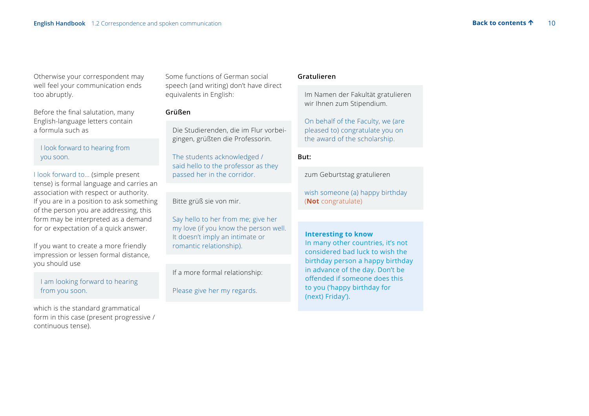Otherwise your correspondent may well feel your communication ends too abruptly.

Before the final salutation, many English-language letters contain a formula such as

 I look forward to hearing from you soon.

I look forward to… (simple present tense) is formal language and carries an association with respect or authority. If you are in a position to ask something of the person you are addressing, this form may be interpreted as a demand for or expectation of a quick answer.

If you want to create a more friendly impression or lessen formal distance, you should use

 I am looking forward to hearing from you soon.

which is the standard grammatical form in this case (present progressive / continuous tense).

Some functions of German social speech (and writing) don't have direct equivalents in English:

#### **Grüßen**

 Die Studierenden, die im Flur vorbeigingen, grüßten die Professorin.

The students acknowledged / said hello to the professor as they passed her in the corridor.

Bitte grüß sie von mir.

 Say hello to her from me; give her my love (if you know the person well. It doesn't imply an intimate or romantic relationship).

If a more formal relationship:

Please give her my regards.

#### **Gratulieren**

 Im Namen der Fakultät gratulieren wir Ihnen zum Stipendium.

 On behalf of the Faculty, we (are pleased to) congratulate you on the award of the scholarship.

#### **But:**

zum Geburtstag gratulieren

wish someone (a) happy birthday (**Not** congratulate)

#### **Interesting to know**

 In many other countries, it's not considered bad luck to wish the birthday person a happy birthday in advance of the day. Don't be offended if someone does this to you ('happy birthday for (next) Friday').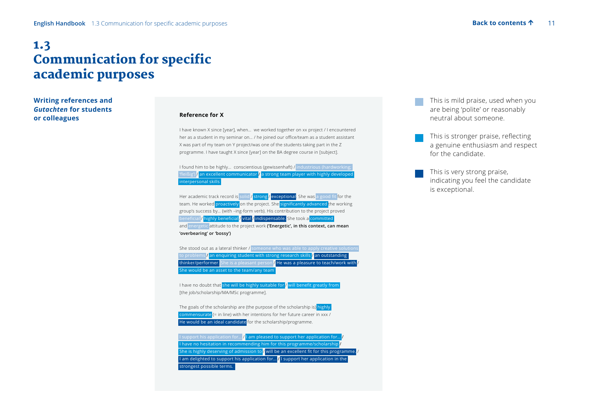## <span id="page-10-0"></span>1.3 Communication for specific academic purposes

**Writing references and**  *Gutachten* **for students or colleagues** 

#### **Reference for X**

I have known X since [year], when… we worked together on xx project / I encountered her as a student in my seminar on... / he joined our office/team as a student assistant X was part of my team on Y project/was one of the students taking part in the Z programme. I have taught X since [year] on the BA degree course in [subject].

| I found him to be highly conscientious (gewissenhaft) / industrious (hardworking;                 |  |  |  |  |
|---------------------------------------------------------------------------------------------------|--|--|--|--|
| 'fleißig') <i>I</i> an excellent communicator <i>I</i> a strong team player with highly developed |  |  |  |  |
| interpersonal skills                                                                              |  |  |  |  |
|                                                                                                   |  |  |  |  |
| Her academic track record is solid / strong / exceptional. She was a good fit for the             |  |  |  |  |
| team. He worked proactively on the project. She significantly advanced the working                |  |  |  |  |
| group's success by (with -ing-form verb). His contribution to the project proved                  |  |  |  |  |
|                                                                                                   |  |  |  |  |
| beneficial <i>I</i> highly beneficial <i>I</i> vital <i>I</i> indispensable. She took a committed |  |  |  |  |
| and energetic attitude to the project work ('Energetic', in this context, can mean                |  |  |  |  |
| 'overbearing' or 'bossy')                                                                         |  |  |  |  |
|                                                                                                   |  |  |  |  |
| She stood out as a lateral thinker / someone who was able to apply creative solutions             |  |  |  |  |
| to problems <i>I</i> an enquiring student with strong research skills <i>I</i> an outstanding     |  |  |  |  |
| thinker/performer. She is a pleasant person in He was a pleasure to teach/work with in            |  |  |  |  |
| She would be an asset to the team/any team                                                        |  |  |  |  |
|                                                                                                   |  |  |  |  |
| I have no doubt that she will be highly suitable for <i>I</i> will benefit greatly from           |  |  |  |  |
|                                                                                                   |  |  |  |  |
| [the job/scholarship/MA/MSc programme].                                                           |  |  |  |  |
|                                                                                                   |  |  |  |  |
| The goals of the scholarship are (the purpose of the scholarship is) highly                       |  |  |  |  |
| commensurate (= in line) with her intentions for her future career in xxx /                       |  |  |  |  |
| He would be an ideal candidate for the scholarship/programme.                                     |  |  |  |  |
|                                                                                                   |  |  |  |  |
| I support his application for / I am pleased to support her application for /                     |  |  |  |  |
| I have no hesitation in recommending him for this programme/scholarship /                         |  |  |  |  |
| She is highly deserving of admission to $\sqrt{}$ will be an excellent fit for this programme.    |  |  |  |  |
| I am delighted to support his application for I I support her application in the                  |  |  |  |  |
| strongest possible terms.                                                                         |  |  |  |  |
|                                                                                                   |  |  |  |  |
|                                                                                                   |  |  |  |  |
|                                                                                                   |  |  |  |  |

This is mild praise, used when you are being 'polite' or reasonably neutral about someone.

- This is stronger praise, reflecting a genuine enthusiasm and respect for the candidate.
- This is very strong praise, indicating you feel the candidate is exceptional.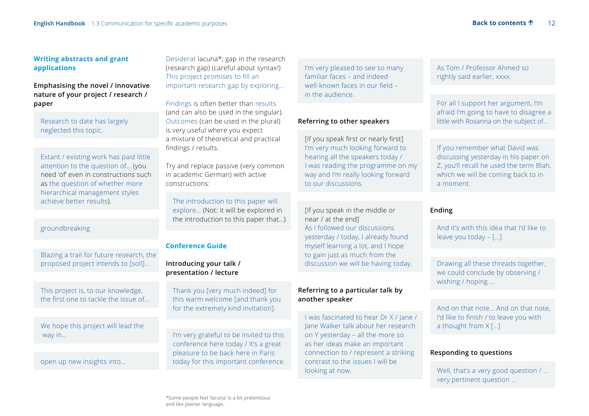#### **Writing abstracts and grant applications**

#### **Emphasising the novel / innovative nature of your project / research / paper**

 Research to date has largely neglected this topic.

Extant / existing work has paid little attention to the question of… (you need 'of' even in constructions such as the question of whether more hierarchical management styles achieve better results).

#### groundbreaking

 Blazing a trail for future research, the proposed project intends to [soll]…

 This project is, to our knowledge, the first one to tackle the issue of…

 We hope this project will lead the way in…

open up new insights into…

Desiderat lacuna\*; gap in the research (research gap) (careful about syntax!) This project promises to fill an important research gap by exploring…

Findings is often better than results (and can also be used in the singular). Outcomes (can be used in the plural) is very useful where you expect a mixture of theoretical and practical findings / results.

Try and replace passive (very common in academic German) with active constructions:

 The introduction to this paper will explore… (Not: it will be explored in the introduction to this paper that…)

#### **Conference Guide**

#### **Introducing your talk / presentation / lecture**

Thank you [very much indeed] for this warm welcome [and thank you for the extremely kind invitation].

 I'm very grateful to be invited to this conference here today / It's a great pleasure to be back here in Paris today for this important conference.  I'm very pleased to see so many familiar faces – and indeed well-known faces in our field – in the audience.

#### **Referring to other speakers**

[If you speak first or nearly first] I'm very much looking forward to hearing all the speakers today / I was reading the programme on my way and I'm really looking forward to our discussions.

 [If you speak in the middle or near / at the end] As I followed our discussions yesterday / today, I already found myself learning a lot, and I hope to gain just as much from the discussion we will be having today.

#### **Referring to a particular talk by another speaker**

I was fascinated to hear Dr X / Jane / Jane Walker talk about her research on Y yesterday – all the more so as her ideas make an important connection to / represent a striking contrast to the issues I will be looking at now.

As Tom / Professor Ahmed so rightly said earlier, xxxx.

 For all I support her argument, I'm afraid I'm going to have to disagree a little with Rosanna on the subject of…

 If you remember what David was discussing yesterday in his paper on Z, you'll recall he used the term Blah, which we will be coming back to in a moment.

#### **Ending**

 And it's with this idea that I'd like to leave you today – […]

 Drawing all these threads together, we could conclude by observing / wishing / hoping …

 And on that note… And on that note, I'd like to finish / to leave you with a thought from X […]

#### **Responding to questions**

Well, that's a very good question / … very pertinent question …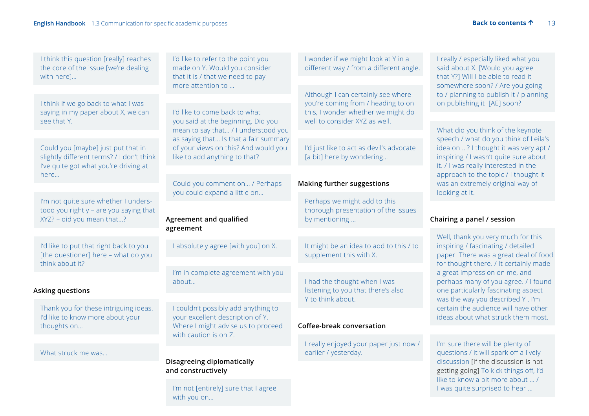I was quite surprised to hear …

| I think this question [really] reaches<br>the core of the issue [we're dealing<br>with here]                             | I'd like to refer to the point you<br>made on Y. Would you consider<br>that it is / that we need to pay                                                                                                                      | I wonder if we might look at Y in a<br>different way / from a different angle.          | I really / especially liked what you<br>said about X. [Would you agree<br>that Y?] Will I be able to read it           |  |
|--------------------------------------------------------------------------------------------------------------------------|------------------------------------------------------------------------------------------------------------------------------------------------------------------------------------------------------------------------------|-----------------------------------------------------------------------------------------|------------------------------------------------------------------------------------------------------------------------|--|
| I think if we go back to what I was                                                                                      | more attention to                                                                                                                                                                                                            | Although I can certainly see where<br>you're coming from / heading to on                | somewhere soon? / Are you going<br>to / planning to publish it / planning<br>on publishing it [AE] soon?               |  |
| saying in my paper about X, we can                                                                                       | I'd like to come back to what<br>you said at the beginning. Did you<br>mean to say that / I understood you<br>as saying that Is that a fair summary<br>of your views on this? And would you<br>like to add anything to that? | this, I wonder whether we might do                                                      |                                                                                                                        |  |
| see that Y.                                                                                                              |                                                                                                                                                                                                                              | well to consider XYZ as well.                                                           | What did you think of the keynote<br>speech / what do you think of Leila's                                             |  |
| Could you [maybe] just put that in<br>slightly different terms? / I don't think<br>I've quite got what you're driving at |                                                                                                                                                                                                                              | I'd just like to act as devil's advocate<br>[a bit] here by wondering                   | idea on ? I thought it was very apt /<br>inspiring / I wasn't quite sure about<br>it. / I was really interested in the |  |
| here                                                                                                                     | Could you comment on / Perhaps<br>you could expand a little on                                                                                                                                                               | <b>Making further suggestions</b>                                                       | approach to the topic / I thought it<br>was an extremely original way of<br>looking at it.                             |  |
| I'm not quite sure whether I unders-<br>tood you rightly - are you saying that<br>XYZ? - did you mean that?              | Agreement and qualified<br>agreement                                                                                                                                                                                         | Perhaps we might add to this<br>thorough presentation of the issues<br>by mentioning    | Chairing a panel / session                                                                                             |  |
|                                                                                                                          |                                                                                                                                                                                                                              |                                                                                         | Well, thank you very much for this                                                                                     |  |
| I'd like to put that right back to you<br>[the questioner] here - what do you<br>think about it?                         | I absolutely agree [with you] on X.                                                                                                                                                                                          | It might be an idea to add to this / to<br>supplement this with X.                      | inspiring / fascinating / detailed<br>paper. There was a great deal of food                                            |  |
|                                                                                                                          | I'm in complete agreement with you                                                                                                                                                                                           |                                                                                         | for thought there. / It certainly made<br>a great impression on me, and                                                |  |
| Asking questions                                                                                                         | about                                                                                                                                                                                                                        | I had the thought when I was<br>listening to you that there's also<br>Y to think about. | perhaps many of you agree. / I found<br>one particularly fascinating aspect<br>was the way you described Y. I'm        |  |
| Thank you for these intriguing ideas.                                                                                    | I couldn't possibly add anything to<br>your excellent description of Y.<br>Where I might advise us to proceed                                                                                                                |                                                                                         | certain the audience will have other                                                                                   |  |
| I'd like to know more about your<br>thoughts on                                                                          |                                                                                                                                                                                                                              | Coffee-break conversation                                                               | ideas about what struck them most.                                                                                     |  |
| What struck me was                                                                                                       | with caution is on Z.                                                                                                                                                                                                        | I really enjoyed your paper just now /<br>earlier / yesterday.                          | I'm sure there will be plenty of<br>questions / it will spark off a lively                                             |  |
|                                                                                                                          | <b>Disagreeing diplomatically</b><br>and constructively                                                                                                                                                                      |                                                                                         | discussion [if the discussion is not<br>getting going] To kick things off, I'd<br>like to know a bit more about  /     |  |

I'm not [entirely] sure that I agree with you on…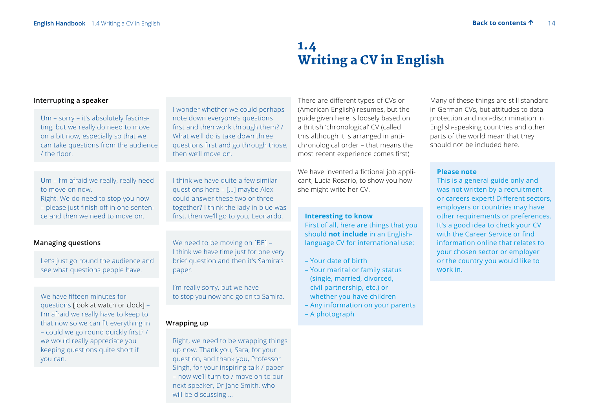## 1.4 Writing a CV in English

#### <span id="page-13-0"></span>**Interrupting a speaker**

 Um – sorry – it's absolutely fascinating, but we really do need to move on a bit now, especially so that we can take questions from the audience / the floor.

I wonder whether we could perhaps note down everyone's questions first and then work through them? / What we'll do is take down three questions first and go through those, then we'll move on.

I think we have quite a few similar questions here – […] maybe Alex could answer these two or three together? I think the lady in blue was first, then we'll go to you, Leonardo.

 Um – I'm afraid we really, really need to move on now. Right. We do need to stop you now

– please just finish off in one sentence and then we need to move on.

#### **Managing questions**

Let's just go round the audience and see what questions people have.

 We have fifteen minutes for questions [look at watch or clock] – I'm afraid we really have to keep to that now so we can fit everything in – could we go round quickly first? / we would really appreciate you keeping questions quite short if you can.

We need to be moving on [BE] -I think we have time just for one very brief question and then it's Samira's paper.

 I'm really sorry, but we have to stop you now and go on to Samira.

#### **Wrapping up**

 Right, we need to be wrapping things up now. Thank you, Sara, for your question, and thank you, Professor Singh, for your inspiring talk / paper – now we'll turn to / move on to our next speaker, Dr Jane Smith, who will be discussing …

There are different types of CVs or (American English) resumes, but the guide given here is loosely based on a British 'chronological' CV (called this although it is arranged in antichronological order – that means the most recent experience comes first)

We have invented a fictional job applicant, Lucia Rosario, to show you how she might write her CV.

#### **Interesting to know**

 First of all, here are things that you should **not include** in an Englishlanguage CV for international use:

- Your date of birth
- Your marital or family status (single, married, divorced, civil partnership, etc.) or whether you have children
- Any information on your parents
- A photograph

Many of these things are still standard in German CVs, but attitudes to data protection and non-discrimination in English-speaking countries and other parts of the world mean that they should not be included here.

#### **Please note**

 This is a general guide only and was not written by a recruitment or careers expert! Different sectors, employers or countries may have other requirements or preferences. It's a good idea to check your CV with the Career Service or find information online that relates to your chosen sector or employer or the country you would like to work in.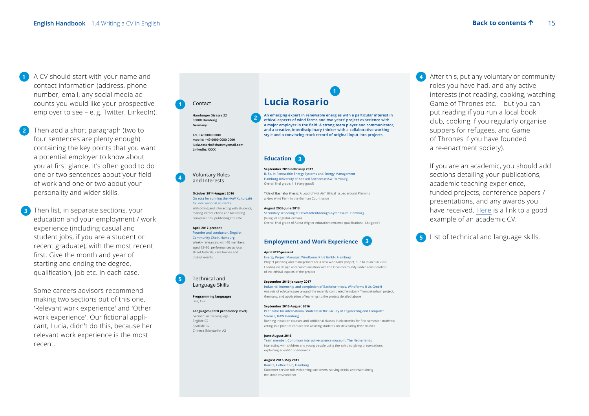- **1** A CV should start with your name and contact information (address, phone number, email, any social media accounts you would like your prospective employer to see - e. g. Twitter, LinkedIn).
- **2** Then add a short paragraph (two to four sentences are plenty enough) containing the key points that you want a potential employer to know about you at first glance. It's often good to do one or two sentences about your field of work and one or two about your personality and wider skills.
- **3** Then list, in separate sections, your education and your employment / work experience (including casual and student jobs, if you are a student or recent graduate), with the most recent first. Give the month and year of starting and ending the degree, qualification, job etc. in each case.

Some careers advisors recommend making two sections out of this one, 'Relevant work experience' and 'Other work experience'. Our fictional applicant, Lucia, didn't do this, because her relevant work experience is the most recent.

#### Contact  **1**

**4**

**5**

**Hamburger Strasse 22 00000 Hamburg Germany** 

> **Tel. +49 0000 0000 mobile: +49 0000 0000 0000 lucia.rosario@thatsmyemail.com LinkedIn: XXXX**

#### Voluntary Roles and Interests

**October 2014August 2016** On rota for running the HAW Kulturcafé for international students Welcoming and interacting with students;

making introductions and facilitating conversations; publicising the café

#### April 2017-present Founder and conductor, Singalot

Community Choir, Hamburg Weekly rehearsals with 40 members aged 12–96; performances at local street festivals, care homes and district events

#### Technical and Language Skills

**Programming languages**  Java, C++

Languages (CEFR proficiency level) German: native language

#### English: C2 Spanish: B2 Chinese (Mandarin): A2

## **Lucia Rosario**

**An emerging expert in renewable energies with a particular interest in ethical aspects of wind farms and two years' project experience with**  a major employer in the field. A strong team player and communicator, **and a creative, interdisciplinary thinker with a collaborative working style and a convincing track record of original input into projects. 2**

**1**



#### **September 2013February 2017**

B. Sc. in Renewable Energy Systems and Energy Management Hamburg University of Applied Sciences (HAW Hamburg) Overall final grade: 1.1 ('very good')

Title of Bachelor thesis: A Load of Hot Air? Ethical Issues around Planning a New Wind Farm in the German Countryside

#### **August 2005June 2013**

Secondary schooling at David-Attenborough-Gymnasium, Hamburg (bilingual English/German) Overall final grade of Abitur (higher education entrance qualification): 1.6 ('good')



#### April 2017-present

Energy Project Manager, Windfarms R Us GmbH, Hamburg Project planning and management for a new wind farm project, due to launch in 2020. Leading on design and communication with the local community under consideration of the ethical aspects of the project

#### September 2016-January 2017

Industrial internship and completion of Bachelor thesis, Windfarms R Us GmbH Analysis of ethical issues around the recently completed Windpark Trompetenhain project, Germany, and application of learnings to the project detailed above

#### **September 2015August 2016**

Peer tutor for international students in the Faculty of Engineering and Computer Science, HAW Hamburg Running induction courses and additional classes in electronics for first-semester students;

acting as a point of contact and advising students on structuring their studies

#### **JuneAugust 2015**

Team member, Continium interactive science museum, The Netherlands Interacting with children and young people using the exhibits; giving presentations; explaining scientific phenomena

#### **August 2013May 2015** Barista, Coffee Club, Hamburg

Customer service role welcoming customers, serving drinks and maintaining the store environment

 **4** After this, put any voluntary or community roles you have had, and any active interests (not reading, cooking, watching Game of Thrones etc. – but you can put reading if you run a local book club, cooking if you regularly organise suppers for refugees, and Game of Thrones if you have founded a re-enactment society).

If you are an academic, you should add sections detailing your publications, academic teaching experience, funded projects, conference papers / presentations, and any awards you have received. [Here](https://www.prospects.ac.uk/careers-advice/cvs-and-cover-letters/example-cvs/academic-cv-example) is a link to a good example of an academic CV.

List of technical and language skills.

 **5**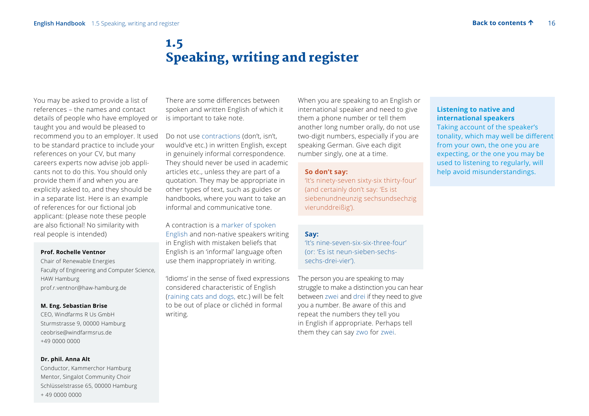## 1.5 Speaking, writing and register

<span id="page-15-0"></span>You may be asked to provide a list of references – the names and contact details of people who have employed or taught you and would be pleased to recommend you to an employer. It used to be standard practice to include your references on your CV, but many careers experts now advise job applicants not to do this. You should only provide them if and when you are explicitly asked to, and they should be in a separate list. Here is an example of references for our fictional job applicant: (please note these people are also fictional! No similarity with real people is intended)

#### **Prof. Rochelle Ventnor**

Chair of Renewable Energies Faculty of Engineering and Computer Science, HAW Hamburg prof.r.ventnor@haw-hamburg.de

#### **M. Eng. Sebastian Brise**

CEO, Windfarms R Us GmbH Sturmstrasse 9, 00000 Hamburg ceobrise@windfarmsrus.de +49 0000 0000

#### **Dr. phil. Anna Alt**

Conductor, Kammerchor Hamburg Mentor, Singalot Community Choir Schlüsselstrasse 65, 00000 Hamburg + 49 0000 0000

There are some differences between spoken and written English of which it is important to take note.

Do not use contractions (don't, isn't, would've etc.) in written English, except in genuinely informal correspondence. They should never be used in academic articles etc., unless they are part of a quotation. They may be appropriate in other types of text, such as guides or handbooks, where you want to take an informal and communicative tone.

A contraction is a marker of spoken English and non-native speakers writing in English with mistaken beliefs that English is an 'informal' language often use them inappropriately in writing.

'Idioms' in the sense of fixed expressions considered characteristic of English (raining cats and dogs, etc.) will be felt to be out of place or clichéd in formal writing.

When you are speaking to an English or international speaker and need to give them a phone number or tell them another long number orally, do not use two-digit numbers, especially if you are speaking German. Give each digit number singly, one at a time.

#### **So don't say:**

'It's ninety-seven sixty-six thirty-four' (and certainly don't say: 'Es ist siebenundneunzig sechsundsechzig vierunddreißig').

#### **Say:**

 'It's nine-seven-six-six-three-four' (or: 'Es ist neun-sieben-sechssechs-drei-vier').

The person you are speaking to may struggle to make a distinction you can hear between zwei and drei if they need to give you a number. Be aware of this and repeat the numbers they tell you in English if appropriate. Perhaps tell them they can say zwo for zwei.

#### **Listening to native and international speakers**

 Taking account of the speaker's tonality, which may well be different from your own, the one you are expecting, or the one you may be used to listening to regularly, will help avoid misunderstandings.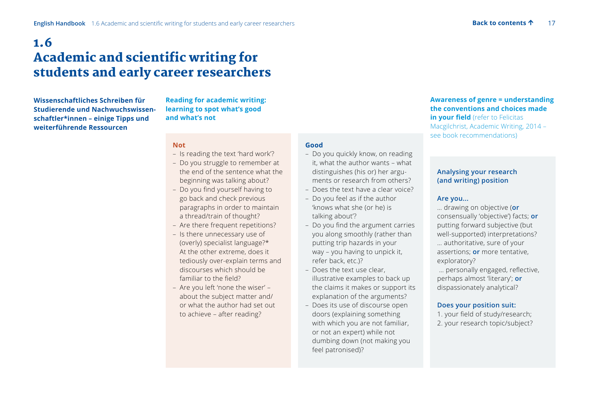## <span id="page-16-0"></span>1.6 Academic and scientific writing for students and early career researchers

**Wissenschaftliches Schreiben für Studierende und Nachwuchswissenschaftler\*innen – einige Tipps und weiterführende Ressourcen** 

**Reading for academic writing: learning to spot what's good and what's not** 

#### **Not**

- Is reading the text 'hard work'?
- Do you struggle to remember at the end of the sentence what the beginning was talking about?
- Do you find yourself having to go back and check previous paragraphs in order to maintain a thread/train of thought?
- Are there frequent repetitions?
- Is there unnecessary use of (overly) specialist language?\* At the other extreme, does it tediously over-explain terms and discourses which should be familiar to the field?
- Are you left 'none the wiser' about the subject matter and/ or what the author had set out to achieve – after reading?

#### **Good**

- Do you quickly know, on reading it, what the author wants – what distinguishes (his or) her arguments or research from others?
- Does the text have a clear voice?
- Do you feel as if the author 'knows what she (or he) is talking about'?
- Do you find the argument carries you along smoothly (rather than putting trip hazards in your way – you having to unpick it, refer back, etc.)?
- Does the text use clear, illustrative examples to back up the claims it makes or support its explanation of the arguments?
- Does its use of discourse open doors (explaining something with which you are not familiar, or not an expert) while not dumbing down (not making you feel patronised)?

#### **Awareness of genre = understanding the conventions and choices made in your field** (refer to Felicitas Macgilchrist, Academic Writing, 2014 –

#### **Analysing your research (and writing) position**

see book recommendations)

#### **Are you...**

 … drawing on objective (**or** consensually 'objective') facts; **or** putting forward subjective (but well-supported) interpretations? … authoritative, sure of your assertions; **or** more tentative, exploratory?

 … personally engaged, reflective, perhaps almost 'literary'; **or**  dispassionately analytical?

#### **Does your position suit:**

1. your field of study/research; 2. your research topic/subject?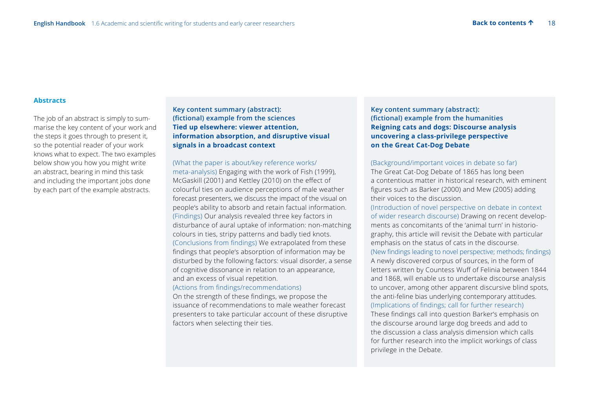#### **Abstracts**

The job of an abstract is simply to summarise the key content of your work and the steps it goes through to present it, so the potential reader of your work knows what to expect. The two examples below show you how you might write an abstract, bearing in mind this task and including the important jobs done by each part of the example abstracts.

 **Key content summary (abstract): (fictional) example from the sciences Tied up elsewhere: viewer attention, information absorption, and disruptive visual signals in a broadcast context** 

 (What the paper is about/key reference works/ meta-analysis) Engaging with the work of Fish (1999), McGaskill (2001) and Kettley (2010) on the effect of colourful ties on audience perceptions of male weather forecast presenters, we discuss the impact of the visual on people's ability to absorb and retain factual information. (Findings) Our analysis revealed three key factors in disturbance of aural uptake of information: non-matching colours in ties, stripy patterns and badly tied knots. (Conclusions from findings) We extrapolated from these findings that people's absorption of information may be disturbed by the following factors: visual disorder, a sense of cognitive dissonance in relation to an appearance, and an excess of visual repetition.

#### (Actions from findings/recommendations)

 On the strength of these findings, we propose the issuance of recommendations to male weather forecast presenters to take particular account of these disruptive factors when selecting their ties.

 **Key content summary (abstract): (fictional) example from the humanities Reigning cats and dogs: Discourse analysis uncovering a class-privilege perspective on the Great Cat-Dog Debate** 

#### (Background/important voices in debate so far)

The Great Cat-Dog Debate of 1865 has long been a contentious matter in historical research, with eminent figures such as Barker (2000) and Mew (2005) adding their voices to the discussion.

(Introduction of novel perspective on debate in context of wider research discourse) Drawing on recent developments as concomitants of the 'animal turn' in historiography, this article will revisit the Debate with particular emphasis on the status of cats in the discourse. (New findings leading to novel perspective; methods; findings) A newly discovered corpus of sources, in the form of letters written by Countess Wuff of Felinia between 1844 and 1868, will enable us to undertake discourse analysis to uncover, among other apparent discursive blind spots, the anti-feline bias underlying contemporary attitudes. (Implications of findings; call for further research) These findings call into question Barker's emphasis on the discourse around large dog breeds and add to the discussion a class analysis dimension which calls for further research into the implicit workings of class privilege in the Debate.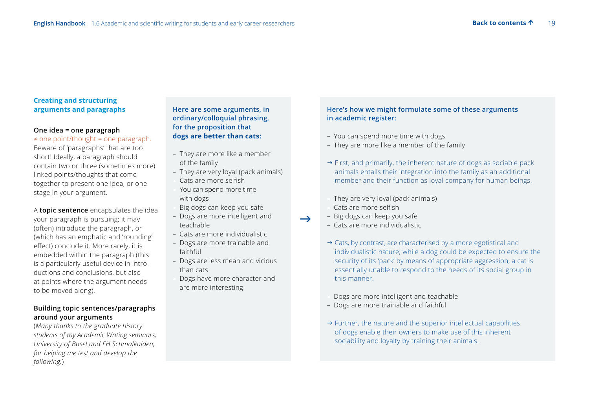#### **Creating and structuring arguments and paragraphs**

#### **One idea = one paragraph**

 $\neq$  one point/thought = one paragraph.

Beware of 'paragraphs' that are too short! Ideally, a paragraph should contain two or three (sometimes more) linked points/thoughts that come together to present one idea, or one stage in your argument.

A **topic sentence** encapsulates the idea your paragraph is pursuing; it may (often) introduce the paragraph, or (which has an emphatic and 'rounding' effect) conclude it. More rarely, it is embedded within the paragraph (this is a particularly useful device in introductions and conclusions, but also at points where the argument needs to be moved along).

#### **Building topic sentences/paragraphs around your arguments**

(*Many thanks to the graduate history students of my Academic Writing seminars, University of Basel and FH Schmalkalden, for helping me test and develop the following.*)

#### **Here are some arguments, in ordinary/colloquial phrasing, for the proposition that dogs are better than cats:**

- They are more like a member
- of the family
- They are very loyal (pack animals)
- Cats are more selfish
- You can spend more time with dogs
- Big dogs can keep you safe
- Dogs are more intelligent and teachable
- Cats are more individualistic
- Dogs are more trainable and faithful
- Dogs are less mean and vicious than cats
- Dogs have more character and are more interesting

#### **Here's how we might formulate some of these arguments in academic register:**

- You can spend more time with dogs
- They are more like a member of the family
- $\rightarrow$  First, and primarily, the inherent nature of dogs as sociable pack animals entails their integration into the family as an additional member and their function as loyal company for human beings.
- They are very loyal (pack animals)
- Cats are more selfish

 $\rightarrow$ 

- Big dogs can keep you safe
- Cats are more individualistic
- → Cats, by contrast, are characterised by a more egotistical and individualistic nature; while a dog could be expected to ensure the security of its 'pack' by means of appropriate aggression, a cat is essentially unable to respond to the needs of its social group in this manner.
- Dogs are more intelligent and teachable
- Dogs are more trainable and faithful
- $\rightarrow$  Further, the nature and the superior intellectual capabilities of dogs enable their owners to make use of this inherent sociability and loyalty by training their animals.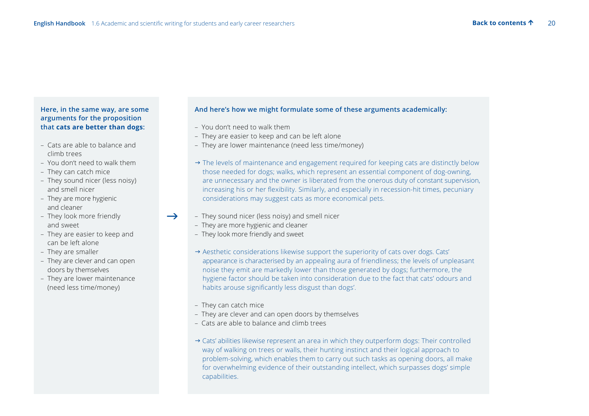$\rightarrow$ 

#### **Here, in the same way, are some arguments for the proposition that cats are better than dogs:**

- Cats are able to balance and climb trees
- You don't need to walk them
- They can catch mice
- They sound nicer (less noisy) and smell nicer
- They are more hygienic and cleaner
- They look more friendly and sweet
- They are easier to keep and can be left alone
- They are smaller
- They are clever and can open doors by themselves
- They are lower maintenance (need less time/money)

#### **And here's how we might formulate some of these arguments academically:**

- You don't need to walk them
- They are easier to keep and can be left alone
- They are lower maintenance (need less time/money)
- $\rightarrow$  The levels of maintenance and engagement required for keeping cats are distinctly below those needed for dogs; walks, which represent an essential component of dog-owning, are unnecessary and the owner is liberated from the onerous duty of constant supervision, increasing his or her flexibility. Similarly, and especially in recession-hit times, pecuniary considerations may suggest cats as more economical pets.
- They sound nicer (less noisy) and smell nicer
	- They are more hygienic and cleaner
	- They look more friendly and sweet
	- $\rightarrow$  Aesthetic considerations likewise support the superiority of cats over dogs. Cats' appearance is characterised by an appealing aura of friendliness; the levels of unpleasant noise they emit are markedly lower than those generated by dogs; furthermore, the hygiene factor should be taken into consideration due to the fact that cats' odours and habits arouse significantly less disgust than dogs'.
	- They can catch mice
	- They are clever and can open doors by themselves
	- Cats are able to balance and climb trees
- $\rightarrow$  Cats' abilities likewise represent an area in which they outperform dogs: Their controlled way of walking on trees or walls, their hunting instinct and their logical approach to problem-solving, which enables them to carry out such tasks as opening doors, all make for overwhelming evidence of their outstanding intellect, which surpasses dogs' simple capabilities.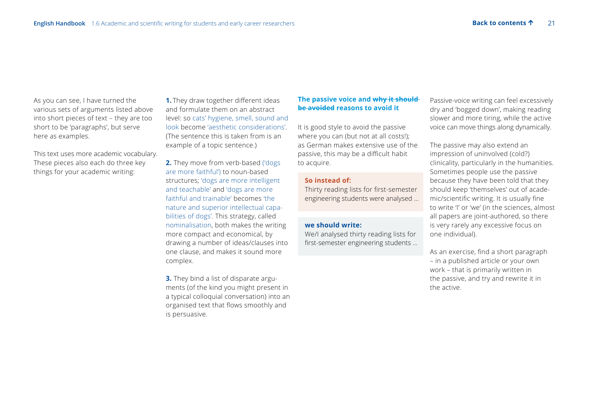As you can see, I have turned the various sets of arguments listed above into short pieces of text – they are too short to be 'paragraphs', but serve here as examples.

This text uses more academic vocabulary. These pieces also each do three key things for your academic writing:

**1.** They draw together different ideas and formulate them on an abstract level: so cats' hygiene, smell, sound and look become 'aesthetic considerations'. (The sentence this is taken from is an example of a topic sentence.)

**2.** They move from verb-based ('dogs are more faithful') to noun-based structures; 'dogs are more intelligent and teachable' and 'dogs are more faithful and trainable' becomes 'the nature and superior intellectual capabilities of dogs'. This strategy, called nominalisation, both makes the writing more compact and economical, by drawing a number of ideas/clauses into one clause, and makes it sound more complex.

**3.** They bind a list of disparate arguments (of the kind you might present in a typical colloquial conversation) into an organised text that flows smoothly and is persuasive.

#### **The passive voice and why it should be avoided reasons to avoid it**

It is good style to avoid the passive where you can (but not at all costs!); as German makes extensive use of the passive, this may be a difficult habit to acquire.

#### **So instead of:**

 Thirty reading lists for first-semester engineering students were analysed ...

#### **we should write:**

We/I analysed thirty reading lists for first-semester engineering students ...

Passive-voice writing can feel excessively dry and 'bogged down', making reading slower and more tiring, while the active voice can move things along dynamically.

The passive may also extend an impression of uninvolved (cold?) clinicality, particularly in the humanities. Sometimes people use the passive because they have been told that they should keep 'themselves' out of academic/scientific writing. It is usually fine to write 'I' or 'we' (in the sciences, almost all papers are joint-authored, so there is very rarely any excessive focus on one individual).

As an exercise, find a short paragraph – in a published article or your own work – that is primarily written in the passive, and try and rewrite it in the active.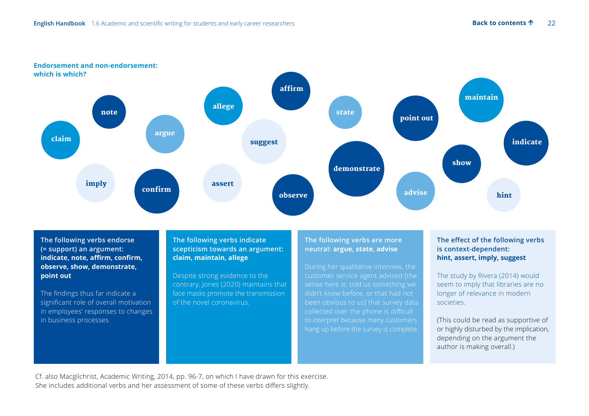

 **The following verbs endorse (= support) an argument: indicate, note, affirm, confirm, observe, show, demonstrate, point out**

The findings thus far indicate a significant role of overall motivation in employees' responses to changes in business processes.

#### **The following verbs indicate scepticism towards an argument: claim, maintain, allege**

 Despite strong evidence to the contrary, Jones (2020) maintains that face masks promote the transmission of the novel coronavirus.

#### **The following verbs are more neutral: argue, state, advise**

customer service agent advised [the sense here is: told us something we been obvious to us] that survey data collected over the phone is difficult to interpret because many customers hang up before the survey is complete.

#### **The effect of the following verbs is context-dependent: hint, assert, imply, suggest**

The study by Rivera (2014) would seem to imply that libraries are no longer of relevance in modern societies.

 (This could be read as supportive of or highly disturbed by the implication, depending on the argument the author is making overall.)

Cf. also Macgilchrist, Academic Writing, 2014, pp. 96-7, on which I have drawn for this exercise. She includes additional verbs and her assessment of some of these verbs differs slightly.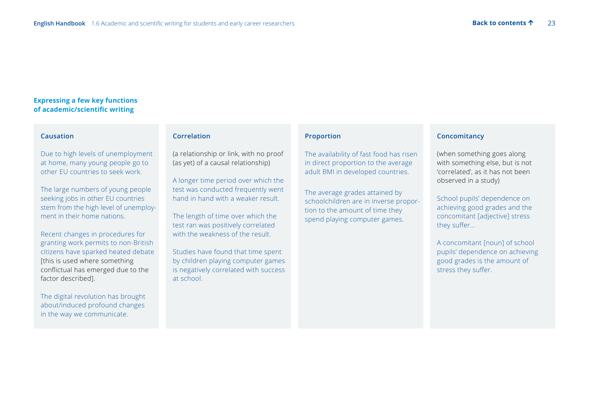#### **Expressing a few key functions of academic/scientific writing**

#### **Causation**

 Due to high levels of unemployment at home, many young people go to other EU countries to seek work.

 The large numbers of young people seeking jobs in other EU countries stem from the high level of unemployment in their home nations.

 Recent changes in procedures for granting work permits to non-British citizens have sparked heated debate [this is used where something conflictual has emerged due to the factor described].

 The digital revolution has brought about/induced profound changes in the way we communicate.

#### **Correlation**

 (a relationship or link, with no proof (as yet) of a causal relationship)

 A longer time period over which the test was conducted frequently went hand in hand with a weaker result.

 The length of time over which the test ran was positively correlated with the weakness of the result.

 Studies have found that time spent by children playing computer games is negatively correlated with success at school.

#### **Proportion**

 The availability of fast food has risen in direct proportion to the average adult BMI in developed countries.

The average grades attained by schoolchildren are in inverse proportion to the amount of time they spend playing computer games.

#### **Concomitancy**

 (when something goes along with something else, but is not 'correlated', as it has not been observed in a study)

 School pupils' dependence on achieving good grades and the concomitant [adjective] stress they suffer...

 A concomitant [noun] of school pupils' dependence on achieving good grades is the amount of stress they suffer.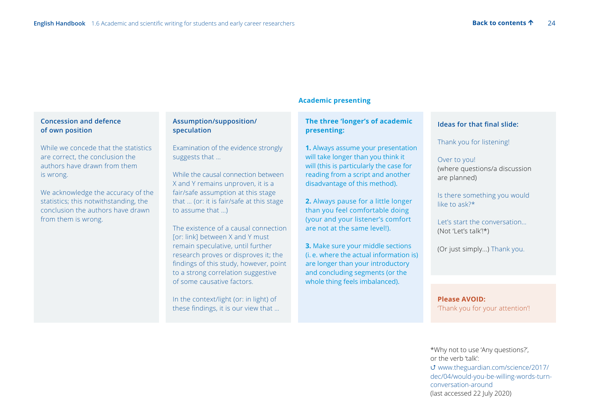#### **Concession and defence of own position**

 While we concede that the statistics are correct, the conclusion the authors have drawn from them is wrong.

 We acknowledge the accuracy of the statistics; this notwithstanding, the conclusion the authors have drawn from them is wrong.

#### **Assumption/supposition/ speculation**

 Examination of the evidence strongly suggests that …

 While the causal connection between X and Y remains unproven, it is a fair/safe assumption at this stage that … (or: it is fair/safe at this stage to assume that  $\rightarrow$ 

 The existence of a causal connection [or: link] between X and Y must remain speculative, until further research proves or disproves it; the findings of this study, however, point to a strong correlation suggestive of some causative factors.

In the context/light (or: in light) of these findings, it is our view that …

#### **Academic presenting**

#### **The three 'longer's of academic presenting:**

 **1.** Always assume your presentation will take longer than you think it will (this is particularly the case for reading from a script and another disadvantage of this method).

 **2.** Always pause for a little longer than you feel comfortable doing (your and your listener's comfort are not at the same level!).

 **3.** Make sure your middle sections (i. e. where the actual information is) are longer than your introductory and concluding segments (or the whole thing feels imbalanced).

#### **Ideas for that final slide:**

Thank you for listening!

#### Over to you! (where questions/a discussion are planned)

 Is there something you would like to ask?\*

 Let's start the conversation… (Not 'Let's talk'!\*)

(Or just simply...) Thank you.

 **Please AVOID:**  'Thank you for your attention'!

\*Why not to use 'Any questions?', or the verb 'talk':  [www.theguardian.com/science/2017/](https://www.theguardian.com/science/2017/dec/04/would-you-be-willing-words-turn-conversation-around) [dec/04/would-you-be-willing-words-turn](https://www.theguardian.com/science/2017/dec/04/would-you-be-willing-words-turn-conversation-around)[conversation-around](https://www.theguardian.com/science/2017/dec/04/would-you-be-willing-words-turn-conversation-around)  (last accessed 22 July 2020)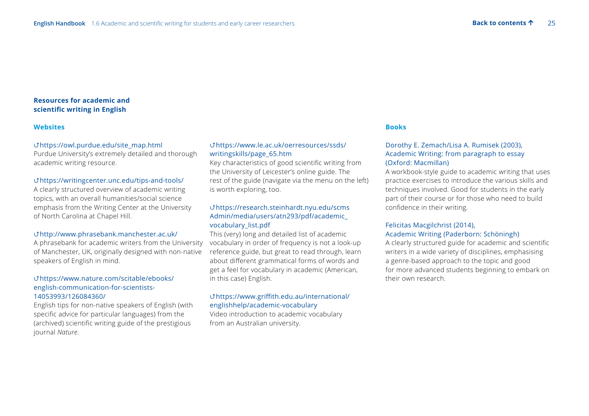#### **Resources for academic and scientific writing in English**

#### **Websites**

#### https://owl.purdue.edu/site\_map.html

Purdue University's extremely detailed and thorough academic writing resource.

#### https://writingcenter.unc.edu/tips-and-tools/

A clearly structured overview of academic writing topics, with an overall humanities/social science emphasis from the Writing Center at the University of North Carolina at Chapel Hill.

#### http://www.phrasebank.manchester.ac.uk/

A phrasebank for academic writers from the University of Manchester, UK, originally designed with non-native speakers of English in mind.

#### https://www.nature.com/scitable/ebooks/ english-communication-for-scientists-14053993/126084360/

English tips for non-native speakers of English (with specific advice for particular languages) from the (archived) scientific writing guide of the prestigious journal *Nature*.

#### [https://www.le.ac.uk/oerresources/ssds/](https://www.le.ac.uk/oerresources/ssds/writingskills/page_65.htm) [writingskills/page\\_65.htm](https://www.le.ac.uk/oerresources/ssds/writingskills/page_65.htm)

Key characteristics of good scientific writing from the University of Leicester's online guide. The rest of the guide (navigate via the menu on the left) is worth exploring, too.

#### [https://research.steinhardt.nyu.edu/scms](https://research.steinhardt.nyu.edu/scmsAdmin/media/users/atn293/pdf/academic_vocabulary_list.pdf) [Admin/media/users/atn293/pdf/academic\\_](https://research.steinhardt.nyu.edu/scmsAdmin/media/users/atn293/pdf/academic_vocabulary_list.pdf) [vocabulary\\_list.pdf](https://research.steinhardt.nyu.edu/scmsAdmin/media/users/atn293/pdf/academic_vocabulary_list.pdf)

This (very) long and detailed list of academic vocabulary in order of frequency is not a look-up reference guide, but great to read through, learn about different grammatical forms of words and get a feel for vocabulary in academic (American, in this case) English.

#### [https://www.griffith.edu.au/international/](https://www.griffith.edu.au/international/englishhelp/academic-vocabulary) [englishhelp/academic-vocabulary](https://www.griffith.edu.au/international/englishhelp/academic-vocabulary)

Video introduction to academic vocabulary from an Australian university.

#### **Books**

#### Dorothy E. Zemach/Lisa A. Rumisek (2003), Academic Writing: from paragraph to essay (Oxford: Macmillan)

A workbook-style guide to academic writing that uses practice exercises to introduce the various skills and techniques involved. Good for students in the early part of their course or for those who need to build confidence in their writing.

#### Felicitas Macgilchrist (2014), Academic Writing (Paderborn: Schöningh)

A clearly structured guide for academic and scientific writers in a wide variety of disciplines, emphasising a genre-based approach to the topic and good for more advanced students beginning to embark on their own research.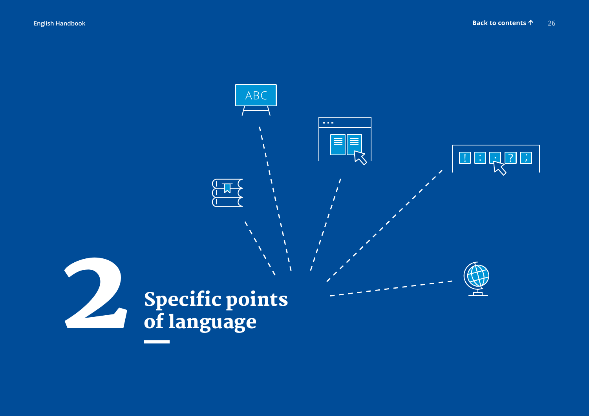$\boxed{?}$ 

 $\left| \cdot \right|$ 

# <span id="page-25-0"></span>ABC  $\alpha$  is  $\alpha$  . **DER** Specific points<br>of language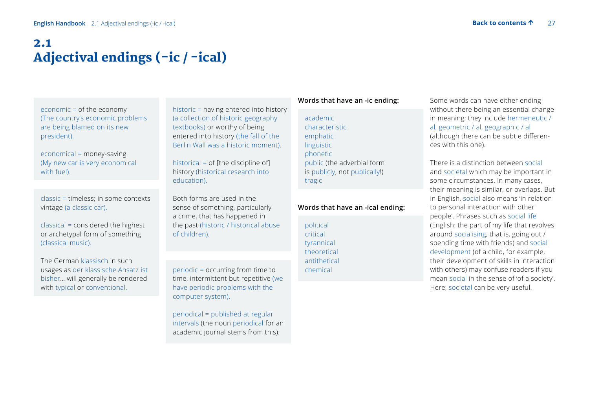## <span id="page-26-0"></span>2.1 Adjectival endings (-ic / -ical)

 economic = of the economy (The country's economic problems are being blamed on its new president).

 economical = money-saving (My new car is very economical with fuel).

classic = timeless; in some contexts vintage (a classic car).

 classical = considered the highest or archetypal form of something (classical music).

 The German klassisch in such usages as der klassische Ansatz ist bisher… will generally be rendered with typical or conventional.

 historic = having entered into history (a collection of historic geography textbooks) or worthy of being entered into history (the fall of the Berlin Wall was a historic moment).

historical = of [the discipline of] history (historical research into education).

 Both forms are used in the sense of something, particularly a crime, that has happened in the past (historic / historical abuse of children).

periodic = occurring from time to time, intermittent but repetitive (we have periodic problems with the computer system).

 periodical = published at regular intervals (the noun periodical for an academic journal stems from this).

#### **Words that have an -ic ending:**

academic characteristic emphatic linguistic phonetic public (the adverbial form is publicly, not publically!) tragic

#### **Words that have an -ical ending:**

political critical tyrannical theoretical antithetical chemical

Some words can have either ending without there being an essential change in meaning; they include hermeneutic / al, geometric / al, geographic / al (although there can be subtle differences with this one).

There is a distinction between social and societal which may be important in some circumstances. In many cases, their meaning is similar, or overlaps. But in English, social also means 'in relation to personal interaction with other people'. Phrases such as social life (English: the part of my life that revolves around socialising, that is, going out / spending time with friends) and social development (of a child, for example, their development of skills in interaction with others) may confuse readers if you mean social in the sense of 'of a society'. Here, societal can be very useful.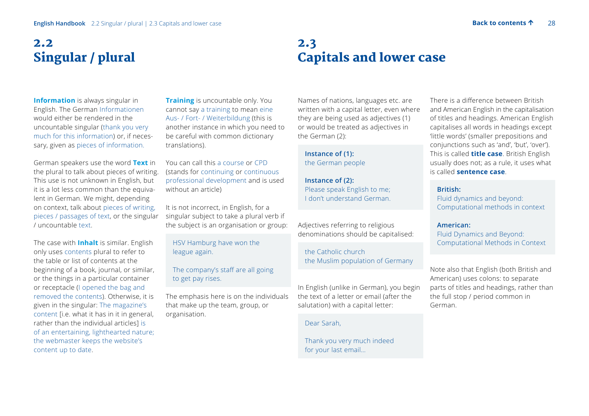## <span id="page-27-0"></span>2.2 Singular / plural

**Information** is always singular in English. The German Informationen would either be rendered in the uncountable singular (thank you very much for this information) or, if necessary, given as pieces of information.

German speakers use the word **Text** in the plural to talk about pieces of writing. This use is not unknown in English, but it is a lot less common than the equivalent in German. We might, depending on context, talk about pieces of writing, pieces / passages of text, or the singular / uncountable text.

The case with **Inhalt** is similar. English only uses contents plural to refer to the table or list of contents at the beginning of a book, journal, or similar, or the things in a particular container or receptacle (I opened the bag and removed the contents). Otherwise, it is given in the singular: The magazine's content [i.e. what it has in it in general, rather than the individual articles] is of an entertaining, lighthearted nature; the webmaster keeps the website's content up to date.

**Training** is uncountable only. You cannot say a training to mean eine Aus- / Fort- / Weiterbildung (this is another instance in which you need to be careful with common dictionary translations).

You can call this a course or CPD (stands for continuing or continuous professional development and is used without an article)

It is not incorrect, in English, for a singular subject to take a plural verb if the subject is an organisation or group:

 HSV Hamburg have won the league again.

The company's staff are all going to get pay rises.

The emphasis here is on the individuals that make up the team, group, or organisation.

### 2.3 Capitals and lower case

Names of nations, languages etc. are written with a capital letter, even where they are being used as adjectives (1) or would be treated as adjectives in the German (2):

 **Instance of (1):**  the German people

 **Instance of (2):**  Please speak English to me; I don't understand German.

Adjectives referring to religious denominations should be capitalised:

the Catholic church the Muslim population of Germany

In English (unlike in German), you begin the text of a letter or email (after the salutation) with a capital letter:

Dear Sarah,

 Thank you very much indeed for your last email…

There is a difference between British and American English in the capitalisation of titles and headings. American English capitalises all words in headings except 'little words' (smaller prepositions and conjunctions such as 'and', 'but', 'over'). This is called **title case**. British English usually does not; as a rule, it uses what is called **sentence case**.

#### **British:**

Fluid dynamics and beyond: Computational methods in context

 **American:** 

Fluid Dynamics and Beyond: Computational Methods in Context

Note also that English (both British and American) uses colons: to separate parts of titles and headings, rather than the full stop / period common in German.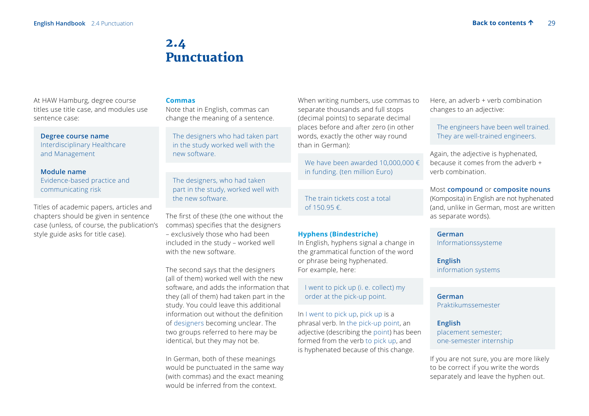## 2.4 Punctuation

<span id="page-28-0"></span>At HAW Hamburg, degree course titles use title case, and modules use sentence case:

#### **Degree course name**

Interdisciplinary Healthcare and Management

#### **Module name**

Evidence-based practice and communicating risk

Titles of academic papers, articles and chapters should be given in sentence case (unless, of course, the publication's style guide asks for title case).

#### **Commas**

Note that in English, commas can change the meaning of a sentence.

 The designers who had taken part in the study worked well with the new software.

 The designers, who had taken part in the study, worked well with the new software.

The first of these (the one without the commas) specifies that the designers – exclusively those who had been included in the study – worked well with the new software.

The second says that the designers (all of them) worked well with the new software, and adds the information that they (all of them) had taken part in the study. You could leave this additional information out without the definition of designers becoming unclear. The two groups referred to here may be identical, but they may not be.

In German, both of these meanings would be punctuated in the same way (with commas) and the exact meaning would be inferred from the context.

When writing numbers, use commas to separate thousands and full stops (decimal points) to separate decimal places before and after zero (in other words, exactly the other way round than in German):

We have been awarded 10,000,000 € in funding. (ten million Euro)

 The train tickets cost a total of 150.95 €.

#### **Hyphens (Bindestriche)**

In English, hyphens signal a change in the grammatical function of the word or phrase being hyphenated. For example, here:

I went to pick up (i. e. collect) my order at the pick-up point.

In I went to pick up, pick up is a phrasal verb. In the pick-up point, an adjective (describing the point) has been formed from the verb to pick up, and is hyphenated because of this change.

Here, an adverb + verb combination changes to an adjective:

 The engineers have been well trained. They are well-trained engineers.

Again, the adjective is hyphenated, because it comes from the adverb + verb combination.

Most **compound** or **composite nouns** (Komposita) in English are not hyphenated (and, unlike in German, most are written as separate words).

#### **German**

Informationssysteme

**English** information systems

**German** Praktikumssemester

**English** placement semester; one-semester internship

If you are not sure, you are more likely to be correct if you write the words separately and leave the hyphen out.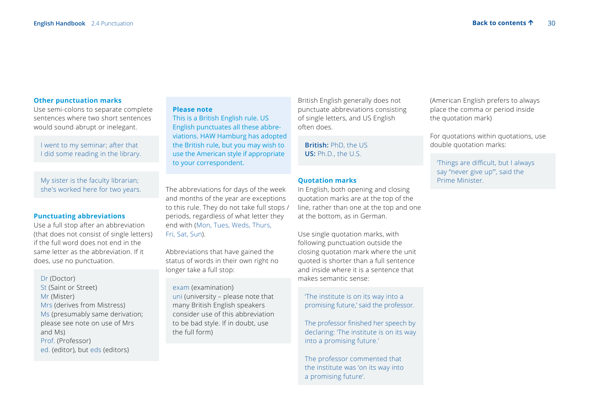#### **Other punctuation marks**

Use semi-colons to separate complete sentences where two short sentences would sound abrupt or inelegant.

 I went to my seminar; after that I did some reading in the library.

 My sister is the faculty librarian; she's worked here for two years.

#### **Punctuating abbreviations**

Use a full stop after an abbreviation (that does not consist of single letters) if the full word does not end in the same letter as the abbreviation. If it does, use no punctuation.

Dr (Doctor) St (Saint or Street) Mr (Mister) Mrs (derives from Mistress) Ms (presumably same derivation; please see note on use of Mrs and Ms) Prof. (Professor) ed. (editor), but eds (editors)

#### **Please note**

This is a British English rule. US English punctuates all these abbreviations. HAW Hamburg has adopted the British rule, but you may wish to use the American style if appropriate to your correspondent.

The abbreviations for days of the week and months of the year are exceptions to this rule. They do not take full stops / periods, regardless of what letter they end with (Mon, Tues, Weds, Thurs, Fri, Sat, Sun).

Abbreviations that have gained the status of words in their own right no longer take a full stop:

exam (examination) uni (university – please note that many British English speakers consider use of this abbreviation to be bad style. If in doubt, use the full form)

British English generally does not punctuate abbreviations consisting of single letters, and US English often does.

**British:** PhD, the US **US:** Ph.D., the U.S.

#### **Quotation marks**

In English, both opening and closing quotation marks are at the top of the line, rather than one at the top and one at the bottom, as in German.

Use single quotation marks, with following punctuation outside the closing quotation mark where the unit quoted is shorter than a full sentence and inside where it is a sentence that makes semantic sense:

'The institute is on its way into a promising future,' said the professor.

The professor finished her speech by declaring: 'The institute is on its way into a promising future.'

 The professor commented that the institute was 'on its way into a promising future'.

(American English prefers to always place the comma or period inside the quotation mark)

For quotations within quotations, use double quotation marks:

 'Things are difficult, but I always say "never give up"', said the Prime Minister.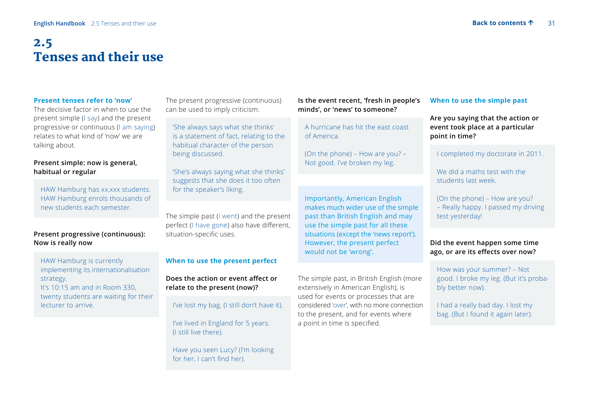## <span id="page-30-0"></span>2.5 Tenses and their use

#### **Present tenses refer to 'now'**

The decisive factor in when to use the present simple (I say) and the present progressive or continuous (I am saying) relates to what kind of 'now' we are talking about.

#### **Present simple: now is general, habitual or regular**

HAW Hamburg has xx,xxx students. HAW Hamburg enrols thousands of new students each semester.

#### **Present progressive (continuous): Now is really now**

 HAW Hamburg is currently implementing its internationalisation strategy. It's 10:15 am and in Room 330, twenty students are waiting for their lecturer to arrive.

The present progressive (continuous) can be used to imply criticism:

 'She always says what she thinks' is a statement of fact, relating to the habitual character of the person being discussed.

 'She's always saying what she thinks' suggests that she does it too often for the speaker's liking.

The simple past (I went) and the present perfect (I have gone) also have different, situation-specific uses.

#### **When to use the present perfect**

**Does the action or event affect or relate to the present (now)?**

I've lost my bag. (I still don't have it).

 I've lived in England for 5 years. (I still live there).

 Have you seen Lucy? (I'm looking for her, I can't find her).

**Is the event recent, 'fresh in people's minds', or 'news' to someone?**

 A hurricane has hit the east coast of America.

(On the phone) – How are you? – Not good. I've broken my leg.

Importantly, American English makes much wider use of the simple past than British English and may use the simple past for all these situations (except the 'news report'). However, the present perfect would not be 'wrong'.

The simple past, in British English (more extensively in American English), is used for events or processes that are considered 'over', with no more connection to the present, and for events where a point in time is specified.

#### **When to use the simple past**

**Are you saying that the action or event took place at a particular point in time?**

I completed my doctorate in 2011.

We did a maths test with the students last week.

(On the phone) – How are you? – Really happy. I passed my driving test yesterday!

#### **Did the event happen some time ago, or are its effects over now?**

 How was your summer? – Not good. I broke my leg. (But it's probably better now).

 I had a really bad day. I lost my bag. (But I found it again later).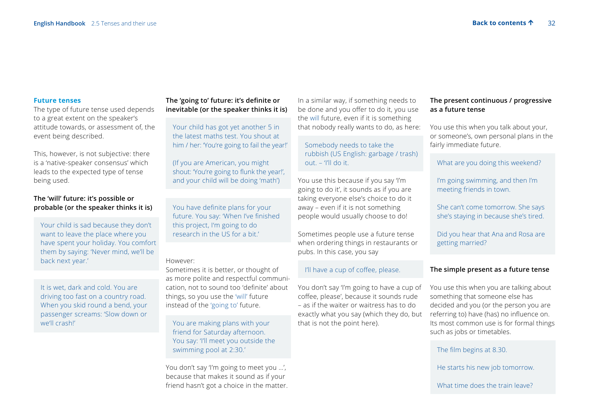#### **Future tenses**

The type of future tense used depends to a great extent on the speaker's attitude towards, or assessment of, the event being described.

This, however, is not subjective: there is a 'native-speaker consensus' which leads to the expected type of tense being used.

#### **The 'will' future: it's possible or probable (or the speaker thinks it is)**

 Your child is sad because they don't want to leave the place where you have spent your holiday. You comfort them by saying: 'Never mind, we'll be back next year.'

 It is wet, dark and cold. You are driving too fast on a country road. When you skid round a bend, your passenger screams: 'Slow down or we'll crash!'

#### **The 'going to' future: it's definite or inevitable (or the speaker thinks it is)**

 Your child has got yet another 5 in the latest maths test. You shout at him / her: 'You're going to fail the year!'

 (If you are American, you might shout: 'You're going to flunk the year!', and your child will be doing 'math')

You have definite plans for your future. You say: 'When I've finished this project, I'm going to do research in the US for a bit.'

#### However:

Sometimes it is better, or thought of as more polite and respectful communication, not to sound too 'definite' about things, so you use the 'will' future instead of the 'going to' future.

 You are making plans with your friend for Saturday afternoon. You say: 'I'll meet you outside the swimming pool at 2:30.'

You don't say 'I'm going to meet you …', because that makes it sound as if your friend hasn't got a choice in the matter.

In a similar way, if something needs to be done and you offer to do it, you use the will future, even if it is something that nobody really wants to do, as here:

 Somebody needs to take the rubbish (US English: garbage / trash) out.  $-$  'I'll do it.

You use this because if you say 'I'm going to do it', it sounds as if you are taking everyone else's choice to do it away – even if it is not something people would usually choose to do!

Sometimes people use a future tense when ordering things in restaurants or pubs. In this case, you say

#### I'll have a cup of coffee, please.

You don't say 'I'm going to have a cup of coffee, please', because it sounds rude – as if the waiter or waitress has to do exactly what you say (which they do, but that is not the point here).

#### **The present continuous / progressive as a future tense**

You use this when you talk about your, or someone's, own personal plans in the fairly immediate future.

#### What are you doing this weekend?

 I'm going swimming, and then I'm meeting friends in town.

 She can't come tomorrow. She says she's staying in because she's tired.

 Did you hear that Ana and Rosa are getting married?

#### **The simple present as a future tense**

You use this when you are talking about something that someone else has decided and you (or the person you are referring to) have (has) no influence on. Its most common use is for formal things such as jobs or timetables.

The film begins at 8.30.

He starts his new job tomorrow.

What time does the train leave?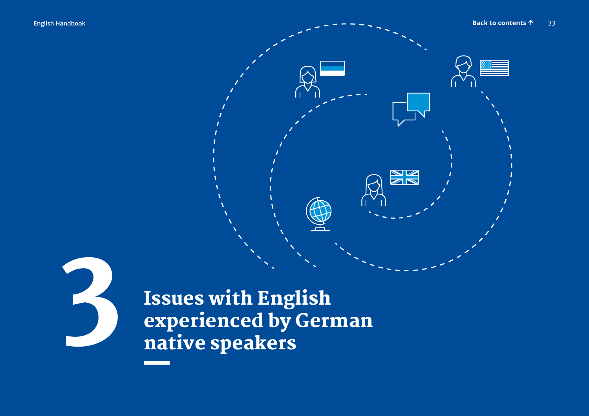<span id="page-32-0"></span>



Issues with English experienced by German<br>native speakers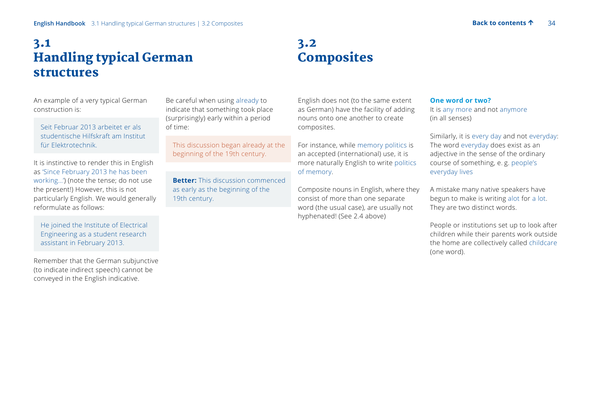## <span id="page-33-0"></span>3.1 Handling typical German structures

## 3.2 **Composites**

An example of a very typical German construction is:

Seit Februar 2013 arbeitet er als studentische Hilfskraft am Institut für Elektrotechnik.

It is instinctive to render this in English as 'Since February 2013 he has been working…') (note the tense; do not use the present!) However, this is not particularly English. We would generally reformulate as follows:

 He joined the Institute of Electrical Engineering as a student research assistant in February 2013.

Remember that the German subjunctive (to indicate indirect speech) cannot be conveyed in the English indicative.

Be careful when using already to indicate that something took place (surprisingly) early within a period of time:

 This discussion began already at the beginning of the 19th century.

**Better:** This discussion commenced as early as the beginning of the 19th century.

English does not (to the same extent as German) have the facility of adding nouns onto one another to create composites.

For instance, while memory politics is an accepted (international) use, it is more naturally English to write politics of memory.

Composite nouns in English, where they consist of more than one separate word (the usual case), are usually not hyphenated! (See 2.4 above)

#### **One word or two?**

It is any more and not anymore (in all senses)

Similarly, it is every day and not everyday: The word everyday does exist as an adjective in the sense of the ordinary course of something, e. g. people's everyday lives

A mistake many native speakers have begun to make is writing alot for a lot. They are two distinct words.

People or institutions set up to look after children while their parents work outside the home are collectively called childcare (one word).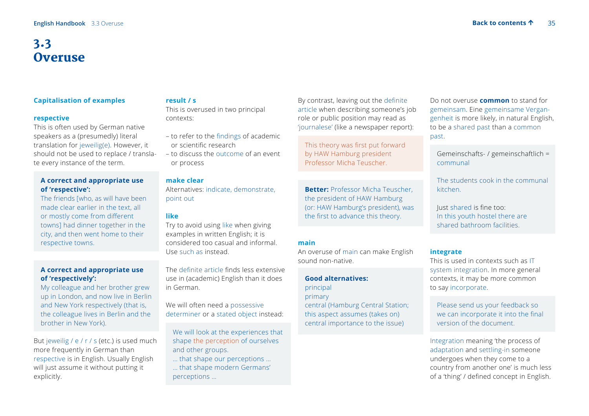## <span id="page-34-0"></span>3.3 **Overuse**

#### **Capitalisation of examples**

#### **respective**

This is often used by German native speakers as a (presumedly) literal translation for jeweilig(e). However, it should not be used to replace / translate every instance of the term.

#### **A correct and appropriate use of 'respective':**

 The friends [who, as will have been made clear earlier in the text, all or mostly come from different towns] had dinner together in the city, and then went home to their respective towns.

#### **A correct and appropriate use of 'respectively':**

 My colleague and her brother grew up in London, and now live in Berlin and New York respectively (that is, the colleague lives in Berlin and the brother in New York).

But jeweilig / e / r / s (etc.) is used much more frequently in German than respective is in English. Usually English will just assume it without putting it explicitly.

#### **result / s**

This is overused in two principal contexts:

- to refer to the findings of academic or scientific research
- to discuss the outcome of an event or process

#### **make clear**

Alternatives: indicate, demonstrate, point out

#### **like**

Try to avoid using like when giving examples in written English; it is considered too casual and informal. Use such as instead.

The definite article finds less extensive use in (academic) English than it does in German.

We will often need a possessive determiner or a stated object instead:

 We will look at the experiences that shape the perception of ourselves and other groups.

… that shape our perceptions …

 … that shape modern Germans' perceptions …

By contrast, leaving out the definite article when describing someone's job role or public position may read as 'journalese' (like a newspaper report):

 This theory was first put forward by HAW Hamburg president Professor Micha Teuscher.

 **Better:** Professor Micha Teuscher, the president of HAW Hamburg (or: HAW Hamburg's president), was the first to advance this theory.

#### **main**

An overuse of main can make English sound non-native.

#### **Good alternatives:**

#### principal

primary

 central (Hamburg Central Station; this aspect assumes (takes on) central importance to the issue)

Do not overuse **common** to stand for gemeinsam. Eine gemeinsame Vergangenheit is more likely, in natural English, to be a shared past than a common past.

Gemeinschafts- / gemeinschaftlich = communal

 The students cook in the communal kitchen.

 Just shared is fine too: In this youth hostel there are shared bathroom facilities.

#### **integrate**

This is used in contexts such as IT system integration. In more general contexts, it may be more common to say incorporate.

 Please send us your feedback so we can incorporate it into the final version of the document.

Integration meaning 'the process of adaptation and settling-in someone undergoes when they come to a country from another one' is much less of a 'thing' / defined concept in English.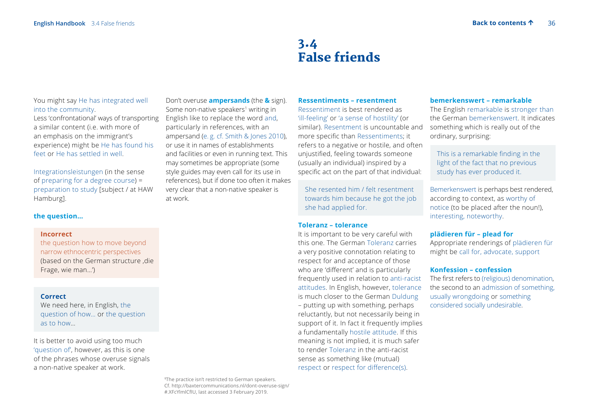## 3.4 False friends

#### <span id="page-35-0"></span>You might say He has integrated well into the community.

Less 'confrontational' ways of transporting a similar content (i.e. with more of an emphasis on the immigrant's experience) might be He has found his feet or He has settled in well.

Integrationsleistungen (in the sense of preparing for a degree course) = preparation to study [subject / at HAW Hamburg].

#### **the question…**

#### **Incorrect**

 the question how to move beyond narrow ethnocentric perspectives (based on the German structure, die Frage, wie man…')

#### **Correct**

 We need here, in English, the question of how… or the question as to how…

It is better to avoid using too much 'question of', however, as this is one of the phrases whose overuse signals a non-native speaker at work.

Don't overuse **ampersands** (the **&** sign). Some non-native speakers<sup>1</sup> writing in English like to replace the word and, particularly in references, with an ampersand (e. g. cf. Smith & Jones 2010), or use it in names of establishments and facilities or even in running text. This may sometimes be appropriate (some style guides may even call for its use in references), but if done too often it makes very clear that a non-native speaker is at work.

#### **Ressentiments – resentment**

Ressentiment is best rendered as 'ill-feeling' or 'a sense of hostility' (or similar). Resentment is uncountable and more specific than Ressentiments; it refers to a negative or hostile, and often unjustified, feeling towards someone (usually an individual) inspired by a specific act on the part of that individual:

She resented him / felt resentment towards him because he got the job she had applied for.

#### **Toleranz – tolerance**

It is important to be very careful with this one. The German Toleranz carries a very positive connotation relating to respect for and acceptance of those who are 'different' and is particularly frequently used in relation to anti-racist attitudes. In English, however, tolerance is much closer to the German Duldung – putting up with something, perhaps reluctantly, but not necessarily being in support of it. In fact it frequently implies a fundamentally hostile attitude. If this meaning is not implied, it is much safer to render Toleranz in the anti-racist sense as something like (mutual) respect or respect for difference(s).

#### **bemerkenswert – remarkable**

The English remarkable is stronger than the German bemerkenswert. It indicates something which is really out of the ordinary, surprising:

 This is a remarkable finding in the light of the fact that no previous study has ever produced it.

Bemerkenswert is perhaps best rendered, according to context, as worthy of notice (to be placed after the noun!), interesting, noteworthy.

#### **plädieren für – plead for**

Appropriate renderings of plädieren für might be call for, advocate, support

#### **Konfession – confession**

The first refers to (religious) denomination, the second to an admission of something, usually wrongdoing or something considered socially undesirable.

**1** The practice isn't restricted to German speakers. Cf. http://baxtercommunications.nl/dont-overuse-sign/ #.XFcYlmlCfIU, last accessed 3 February 2019.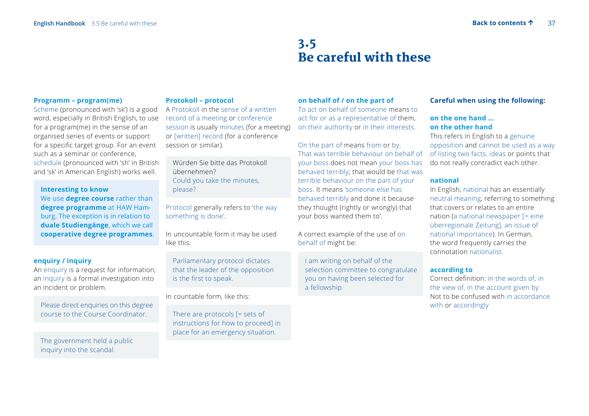## 3.5 Be careful with these

#### **Programm – program(me)**

Scheme (pronounced with 'sk') is a good word, especially in British English, to use for a program(me) in the sense of an organised series of events or support for a specific target group. For an event such as a seminar or conference, schedule (pronounced with 'sh' in British and 'sk' in American English) works well.

### **Interesting to know**

 We use **degree course** rather than **degree programme** at HAW Hamburg. The exception is in relation to **duale Studiengänge**, which we call **cooperative degree programmes**.

### **enquiry / inquiry**

An enquiry is a request for information; an inquiry is a formal investigation into an incident or problem.

 Please direct enquiries on this degree course to the Course Coordinator.

 The government held a public inquiry into the scandal.

### **Protokoll – protocol**

A Protokoll in the sense of a written record of a meeting or conference session is usually minutes (for a meeting) or [written] record (for a conference session or similar).

 Würden Sie bitte das Protokoll übernehmen? Could you take the minutes, please?

Protocol generally refers to 'the way something is done'.

In uncountable form it may be used like this:

 Parliamentary protocol dictates that the leader of the opposition is the first to speak.

In countable form, like this:

There are protocols [= sets of instructions for how to proceed] in place for an emergency situation.

### **on behalf of / on the part of**

To act on behalf of someone means to act for or as a representative of them, on their authority or in their interests.

On the part of means from or by. That was terrible behaviour on behalf of your boss does not mean your boss has behaved terribly; that would be that was terrible behaviour on the part of your boss. It means 'someone else has behaved terribly and done it because they thought (rightly or wrongly) that your boss wanted them to'.

A correct example of the use of on behalf of might be:

 I am writing on behalf of the selection committee to congratulate you on having been selected for a fellowship.

### **Careful when using the following:**

### **on the one hand … on the other hand**

This refers in English to a genuine opposition and cannot be used as a way of listing two facts, ideas or points that do not really contradict each other.

### **national**

In English, national has an essentially neutral meaning, referring to something that covers or relates to an entire nation (a national newspaper [= eine überregionale Zeitung], an issue of national importance). In German, the word frequently carries the connotation nationalist.

### **according to**

Correct definition: in the words of, in the view of, in the account given by Not to be confused with in accordance with or accordingly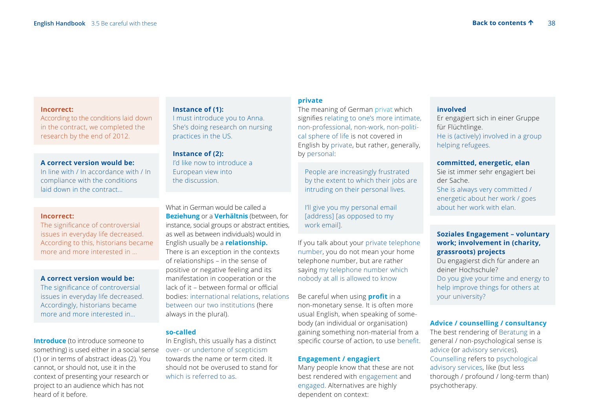#### **Incorrect:**

According to the conditions laid down in the contract, we completed the research by the end of 2012.

### **A correct version would be:**

In line with / In accordance with / In compliance with the conditions laid down in the contract…

### **Incorrect:**

The significance of controversial issues in everyday life decreased. According to this, historians became more and more interested in …

### **A correct version would be:**

The significance of controversial issues in everyday life decreased. Accordingly, historians became more and more interested in…

**Introduce** (to introduce someone to something) is used either in a social sense (1) or in terms of abstract ideas (2). You cannot, or should not, use it in the context of presenting your research or project to an audience which has not heard of it before.

### **Instance of (1):**

I must introduce you to Anna. She's doing research on nursing practices in the US.

**Instance of (2):** I'd like now to introduce a European view into the discussion.

What in German would be called a **Beziehung** or a **Verhältnis** (between, for instance, social groups or abstract entities, as well as between individuals) would in English usually be a **relationship.** There is an exception in the contexts of relationships – in the sense of positive or negative feeling and its manifestation in cooperation or the lack of it – between formal or official bodies: international relations, relations between our two institutions (here always in the plural).

### **so-called**

In English, this usually has a distinct over- or undertone of scepticism towards the name or term cited. It should not be overused to stand for which is referred to as.

### **private**

The meaning of German privat which signifies relating to one's more intimate, non-professional, non-work, non-political sphere of life is not covered in English by private, but rather, generally, by personal:

 People are increasingly frustrated by the extent to which their jobs are intruding on their personal lives.

 I'll give you my personal email [address] [as opposed to my work email].

If you talk about your private telephone number, you do not mean your home telephone number, but are rather saying my telephone number which nobody at all is allowed to know

Be careful when using **profit** in a non-monetary sense. It is often more usual English, when speaking of somebody (an individual or organisation) gaining something non-material from a specific course of action, to use benefit.

### **Engagement / engagiert**

Many people know that these are not best rendered with engagement and engaged. Alternatives are highly dependent on context:

### **involved**

Er engagiert sich in einer Gruppe für Flüchtlinge. He is (actively) involved in a group helping refugees.

### **committed, energetic, elan**

Sie ist immer sehr engagiert bei der Sache. She is always very committed / energetic about her work / goes about her work with elan.

### **Soziales Engagement – voluntary work; involvement in (charity, grassroots) projects**

 Du engagierst dich für andere an deiner Hochschule? Do you give your time and energy to help improve things for others at your university?

### **Advice / counselling / consultancy**

The best rendering of Beratung in a general / non-psychological sense is advice (or advisory services). Counselling refers to psychological advisory services, like (but less thorough / profound / long-term than) psychotherapy.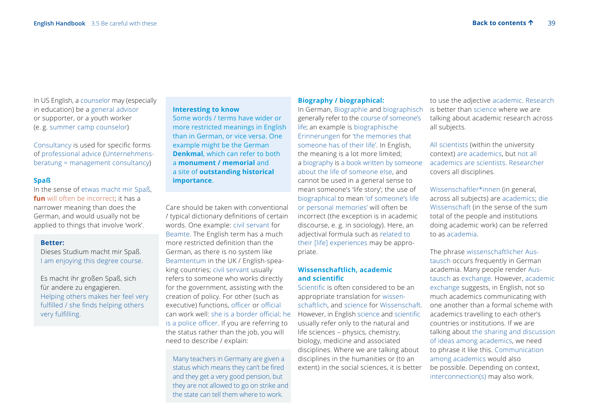In US English, a counselor may (especially in education) be a general advisor or supporter, or a youth worker (e. g. summer camp counselor)

Consultancy is used for specific forms of professional advice (Unternehmensberatung = management consultancy)

### **Spaß**

In the sense of etwas macht mir Spaß, **fun** will often be incorrect; it has a narrower meaning than does the German, and would usually not be applied to things that involve 'work'.

#### **Better:**

Dieses Studium macht mir Spaß. I am enjoying this degree course.

 Es macht ihr großen Spaß, sich für andere zu engagieren. Helping others makes her feel very fulfilled / she finds helping others very fulfilling.

### **Interesting to know**

 Some words / terms have wider or more restricted meanings in English than in German, or vice versa. One example might be the German **Denkmal**, which can refer to both a **monument / memorial** and a site of **outstanding historical importance**.

Care should be taken with conventional / typical dictionary definitions of certain words. One example: civil servant for Beamte. The English term has a much more restricted definition than the German, as there is no system like Beamtentum in the UK / English-speaking countries; civil servant usually refers to someone who works directly for the government, assisting with the creation of policy. For other (such as executive) functions, officer or official can work well: she is a border official; he is a police officer. If you are referring to the status rather than the job, you will need to describe / explain:

 Many teachers in Germany are given a status which means they can't be fired and they get a very good pension, but they are not allowed to go on strike and the state can tell them where to work.

#### **Biography / biographical:**

In German, Biographie and biographisch generally refer to the course of someone's life; an example is biographische Erinnerungen for 'the memories that someone has of their life'. In English, the meaning is a lot more limited; a biography is a book written by someone about the life of someone else, and cannot be used in a general sense to mean someone's 'life story'; the use of biographical to mean 'of someone's life or personal memories' will often be incorrect (the exception is in academic discourse, e. g. in sociology). Here, an adjectival formula such as related to their [life] experiences may be appropriate.

### **Wissenschaftlich, academic and scientific**

Scientific is often considered to be an appropriate translation for wissenschaftlich, and science for Wissenschaft. However, in English science and scientific usually refer only to the natural and life sciences – physics, chemistry, biology, medicine and associated disciplines. Where we are talking about disciplines in the humanities or (to an extent) in the social sciences, it is better

to use the adjective academic. Research is better than science where we are talking about academic research across all subjects.

All scientists (within the university context) are academics, but not all academics are scientists. Researcher covers all disciplines.

Wissenschaftler\*innen (in general, across all subjects) are academics; die Wissenschaft (in the sense of the sum total of the people and institutions doing academic work) can be referred to as academia.

The phrase wissenschaftlicher Austausch occurs frequently in German academia. Many people render Austausch as exchange. However, academic exchange suggests, in English, not so much academics communicating with one another than a formal scheme with academics travelling to each other's countries or institutions. If we are talking about the sharing and discussion of ideas among academics, we need to phrase it like this. Communication among academics would also be possible. Depending on context, interconnection(s) may also work.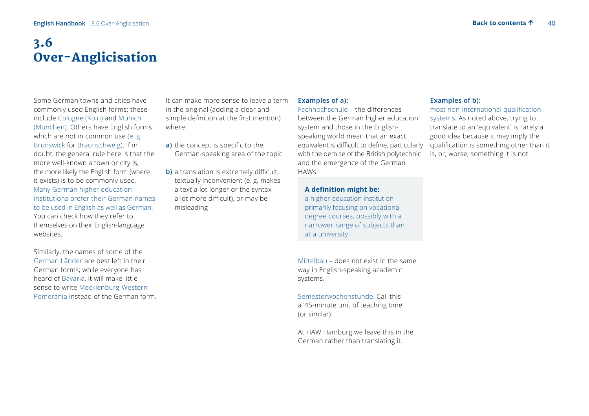## 3.6 Over-Anglicisation

Some German towns and cities have commonly used English forms; these include Cologne (Köln) and Munich (München). Others have English forms which are not in common use (e. g. Brunswick for Braunschweig). If in doubt, the general rule here is that the more well-known a town or city is, the more likely the English form (where it exists) is to be commonly used. Many German higher education institutions prefer their German names to be used in English as well as German. You can check how they refer to themselves on their English-language websites.

Similarly, the names of some of the German Länder are best left in their German forms; while everyone has heard of Bavaria, it will make little sense to write Mecklenburg-Western Pomerania instead of the German form.

It can make more sense to leave a term in the original (adding a clear and simple definition at the first mention) where:

- **a)** the concept is specific to the German-speaking area of the topic
- **b**) a translation is extremely difficult, textually inconvenient (e. g. makes a text a lot longer or the syntax a lot more difficult), or may be misleading

### **Examples of a):**

Fachhochschule – the differences between the German higher education system and those in the Englishspeaking world mean that an exact equivalent is difficult to define, particularly with the demise of the British polytechnic and the emergence of the German HAWs.

### **A definition might be:**

a higher education institution primarily focusing on vocational degree courses, possibly with a narrower range of subjects than at a university.

Mittelbau – does not exist in the same way in English-speaking academic systems.

Semesterwochenstunde. Call this a '45-minute unit of teaching time' (or similar)

At HAW Hamburg we leave this in the German rather than translating it.

### **Examples of b):**

most non-international qualification systems. As noted above, trying to translate to an 'equivalent' is rarely a good idea because it may imply the qualification is something other than it is, or, worse, something it is not.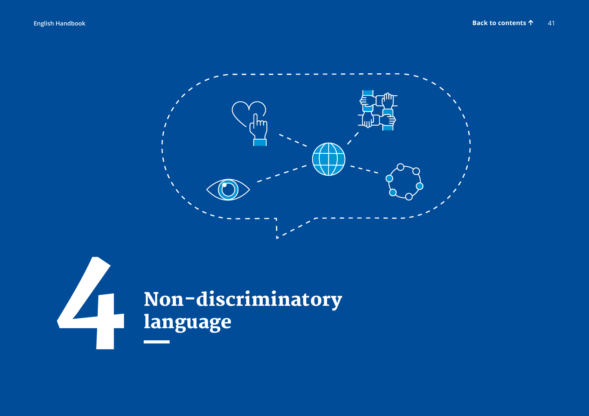

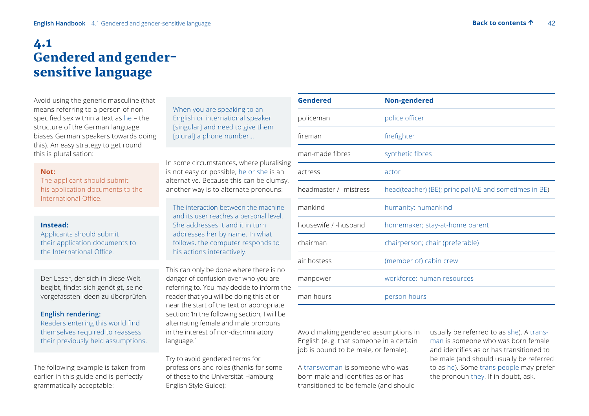## 4.1 Gendered and gendersensitive language

Avoid using the generic masculine (that means referring to a person of nonspecified sex within a text as he – the structure of the German language biases German speakers towards doing this). An easy strategy to get round this is pluralisation:

### **Not:**

The applicant should submit his application documents to the International Office.

### **Instead:**

Applicants should submit their application documents to the International Office.

Der Leser, der sich in diese Welt begibt, findet sich genötigt, seine vorgefassten Ideen zu überprüfen.

### **English rendering:**

Readers entering this world find themselves required to reassess their previously held assumptions.

The following example is taken from earlier in this guide and is perfectly grammatically acceptable:

 When you are speaking to an English or international speaker [singular] and need to give them [plural] a phone number…

In some circumstances, where pluralising is not easy or possible, he or she is an alternative. Because this can be clumsy, another way is to alternate pronouns:

 The interaction between the machine and its user reaches a personal level. She addresses it and it in turn addresses her by name. In what follows, the computer responds to his actions interactively.

This can only be done where there is no danger of confusion over who you are referring to. You may decide to inform the reader that you will be doing this at or near the start of the text or appropriate section: 'In the following section, I will be alternating female and male pronouns in the interest of non-discriminatory language.'

Try to avoid gendered terms for professions and roles (thanks for some of these to the Universität Hamburg English Style Guide):

| Gendered               | <b>Non-gendered</b>                                    |
|------------------------|--------------------------------------------------------|
| policeman              | police officer                                         |
| fireman                | firefighter                                            |
| man-made fibres        | synthetic fibres                                       |
| actress                | actor                                                  |
| headmaster / -mistress | head(teacher) (BE); principal (AE and sometimes in BE) |
| mankind                | humanity; humankind                                    |
| housewife / -husband   | homemaker; stay-at-home parent                         |
| chairman               | chairperson; chair (preferable)                        |
| air hostess            | (member of) cabin crew                                 |
| manpower               | workforce; human resources                             |
| man hours              | person hours                                           |

Avoid making gendered assumptions in English (e. g. that someone in a certain job is bound to be male, or female).

A transwoman is someone who was born male and identifies as or has transitioned to be female (and should usually be referred to as she). A transman is someone who was born female and identifies as or has transitioned to be male (and should usually be referred to as he). Some trans people may prefer the pronoun they. If in doubt, ask.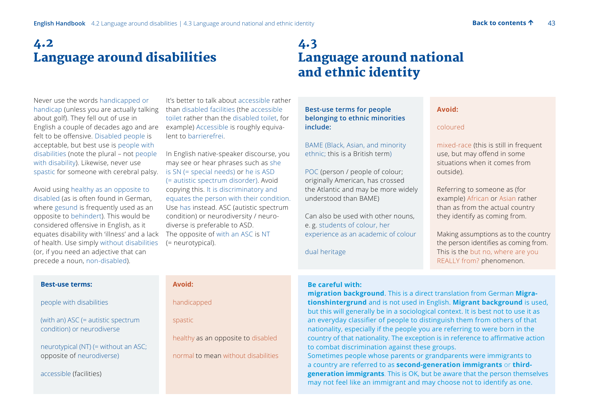## 4.2 Language around disabilities

Never use the words handicapped or handicap (unless you are actually talking about golf). They fell out of use in English a couple of decades ago and are felt to be offensive. Disabled people is acceptable, but best use is people with disabilities (note the plural – not people with disability). Likewise, never use spastic for someone with cerebral palsy.

Avoid using healthy as an opposite to disabled (as is often found in German, where gesund is frequently used as an opposite to behindert). This would be considered offensive in English, as it equates disability with 'illness' and a lack of health. Use simply without disabilities (or, if you need an adjective that can precede a noun, non-disabled).

It's better to talk about accessible rather than disabled facilities (the accessible toilet rather than the disabled toilet, for example) Accessible is roughly equivalent to barrierefrei.

In English native-speaker discourse, you may see or hear phrases such as she is SN (= special needs) or he is ASD (= autistic spectrum disorder). Avoid copying this. It is discriminatory and equates the person with their condition. Use has instead. ASC (autistic spectrum condition) or neurodiversity / neurodiverse is preferable to ASD. The opposite of with an ASC is NT (= neurotypical).

## 4.3 Language around national and ethnic identity

**Best-use terms for people belonging to ethnic minorities include:** 

 BAME (Black, Asian, and minority ethnic; this is a British term)

 POC (person / people of colour; originally American, has crossed the Atlantic and may be more widely understood than BAME)

 Can also be used with other nouns, e. g. students of colour, her experience as an academic of colour

dual heritage

### **Avoid:**

#### coloured

 mixed-race (this is still in frequent use, but may offend in some situations when it comes from outside).

 Referring to someone as (for example) African or Asian rather than as from the actual country they identify as coming from.

 Making assumptions as to the country the person identifies as coming from. This is the but no, where are you REALLY from? phenomenon.

| people with disabilities                                           |
|--------------------------------------------------------------------|
| (with an) ASC $(=$ autistic spectrum<br>condition) or neurodiverse |

neurotypical (NT) (= without an ASC; opposite of neurodiverse)

accessible (facilities)

**Best-use terms:** 

### **Avoid:**

handicapped

spastic

healthy as an opposite to disabled

normal to mean without disabilities

## **Be careful with:**

**migration background**. This is a direct translation from German **Migrationshintergrund** and is not used in English. **Migrant background** is used, but this will generally be in a sociological context. It is best not to use it as an everyday classifier of people to distinguish them from others of that nationality, especially if the people you are referring to were born in the country of that nationality. The exception is in reference to affirmative action to combat discrimination against these groups.

Sometimes people whose parents or grandparents were immigrants to a country are referred to as **second-generation immigrants** or **thirdgeneration immigrants**. This is OK, but be aware that the person themselves may not feel like an immigrant and may choose not to identify as one.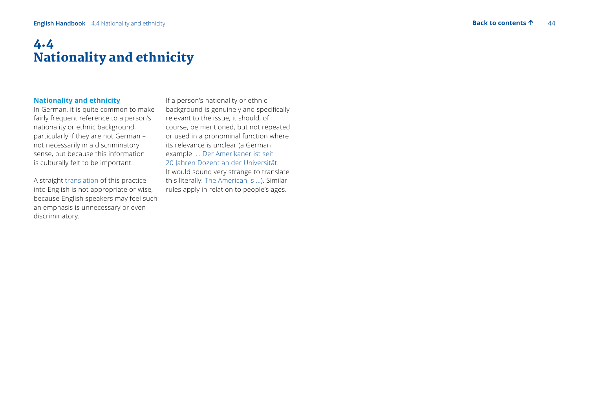#### $\Delta\Delta$

## 4.4 Nationality and ethnicity

### **Nationality and ethnicity**

In German, it is quite common to make fairly frequent reference to a person's nationality or ethnic background, particularly if they are not German – not necessarily in a discriminatory sense, but because this information is culturally felt to be important.

A straight translation of this practice into English is not appropriate or wise, because English speakers may feel such an emphasis is unnecessary or even discriminatory.

If a person's nationality or ethnic background is genuinely and specifically relevant to the issue, it should, of course, be mentioned, but not repeated or used in a pronominal function where its relevance is unclear (a German example: … Der Amerikaner ist seit 20 Jahren Dozent an der Universität. It would sound very strange to translate this literally: The American is …). Similar rules apply in relation to people's ages.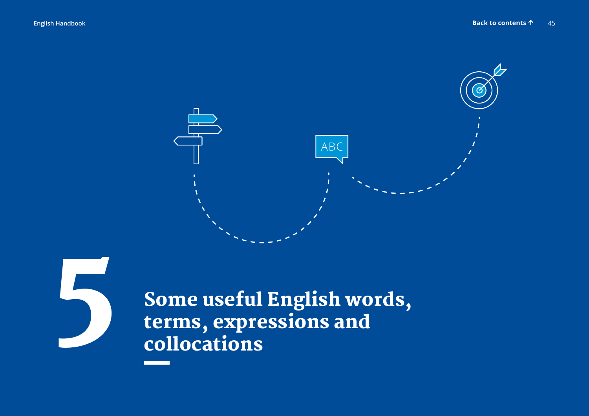

5 Some useful English words, terms, expressions and collocations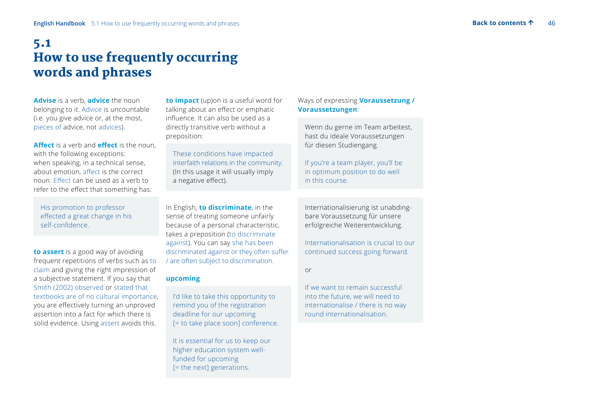## 5.1 How to use frequently occurring words and phrases

**Advise** is a verb, **advice** the noun belonging to it. Advice is uncountable (i.e. you give advice or, at the most, pieces of advice, not advices).

**Affect** is a verb and **effect** is the noun, with the following exceptions: when speaking, in a technical sense, about emotion, affect is the correct noun. Effect can be used as a verb to refer to the effect that something has:

 His promotion to professor effected a great change in his self-confidence.

**to assert** is a good way of avoiding frequent repetitions of verbs such as to claim and giving the right impression of a subjective statement. If you say that Smith (2002) observed or stated that textbooks are of no cultural importance, you are effectively turning an unproved assertion into a fact for which there is solid evidence. Using assert avoids this.

**to impact** (up)on is a useful word for talking about an effect or emphatic influence. It can also be used as a directly transitive verb without a preposition:

 These conditions have impacted interfaith relations in the community. (In this usage it will usually imply a negative effect).

In English, **to discriminate**, in the sense of treating someone unfairly because of a personal characteristic, takes a preposition (to discriminate against). You can say she has been discriminated against or they often suffer / are often subject to discrimination.

## **upcoming**

 I'd like to take this opportunity to remind you of the registration deadline for our upcoming [= to take place soon] conference.

 It is essential for us to keep our higher education system wellfunded for upcoming [= the next] generations.

## Ways of expressing **Voraussetzung / Voraussetzungen**:

 Wenn du gerne im Team arbeitest, hast du ideale Voraussetzungen für diesen Studiengang.

If you're a team player, you'll be in optimum position to do well in this course.

 Internationalisierung ist unabdingbare Voraussetzung für unsere erfolgreiche Weiterentwicklung.

 Internationalisation is crucial to our continued success going forward.

or

 If we want to remain successful into the future, we will need to internationalise / there is no way round internationalisation.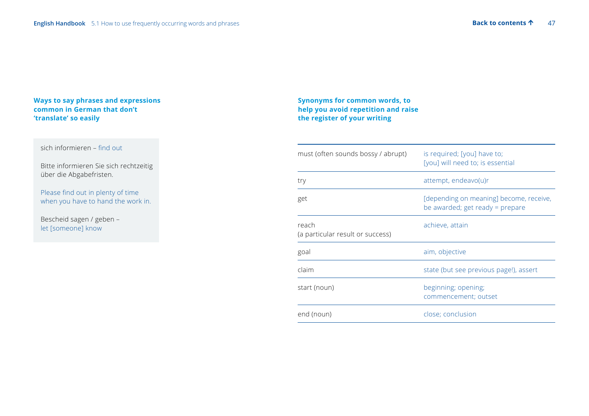## **Ways to say phrases and expressions common in German that don't 'translate' so easily**

## sich informieren – find out

Bitte informieren Sie sich rechtzeitig über die Abgabefristen.

Please find out in plenty of time when you have to hand the work in.

Bescheid sagen / geben – let [someone] know

## **Synonyms for common words, to help you avoid repetition and raise the register of your writing**

| must (often sounds bossy / abrupt)        | is required; [you] have to;<br>[you] will need to; is essential            |
|-------------------------------------------|----------------------------------------------------------------------------|
| try                                       | attempt, endeavo(u)r                                                       |
| get                                       | [depending on meaning] become, receive,<br>be awarded; get ready = prepare |
| reach<br>(a particular result or success) | achieve, attain                                                            |
| goal                                      | aim, objective                                                             |
| claim                                     | state (but see previous page!), assert                                     |
| start (noun)                              | beginning; opening;<br>commencement; outset                                |
| end (noun)                                | close; conclusion                                                          |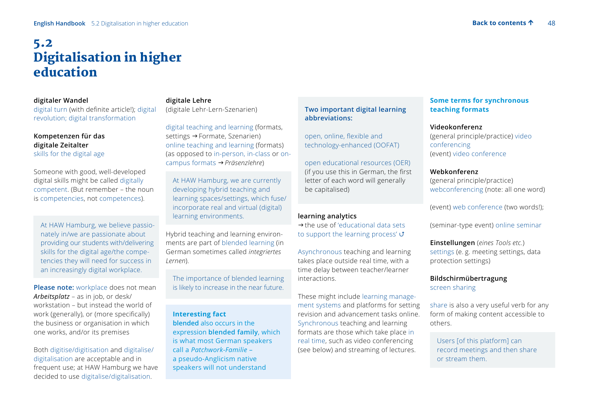## 5.2 Digitalisation in higher education

### **digitaler Wandel**

digital turn (with definite article!); digital revolution; digital transformation

### **Kompetenzen für das digitale Zeitalter** skills for the digital age

Someone with good, well-developed digital skills might be called digitally competent. (But remember – the noun is competencies, not competences).

 At HAW Hamburg, we believe passionately in/we are passionate about providing our students with/delivering skills for the digital age/the competencies they will need for success in an increasingly digital workplace.

**Please note:** workplace does not mean *Arbeitsplatz* – as in job, or desk/ workstation – but instead the world of work (generally), or (more specifically) the business or organisation in which one works, and/or its premises

Both digitise/digitisation and digitalise/ digitalisation are acceptable and in frequent use; at HAW Hamburg we have decided to use digitalise/digitalisation.

## **digitale Lehre**

(digitale Lehr-Lern-Szenarien)

digital teaching and learning (formats, settings  $\rightarrow$  Formate, Szenarien) online teaching and learning (formats) (as opposed to in-person, in-class or oncampus formats *Präsenzlehre*)

 At HAW Hamburg, we are currently developing hybrid teaching and learning spaces/settings, which fuse/ incorporate real and virtual (digital) learning environments.

Hybrid teaching and learning environments are part of blended learning (in German sometimes called *integriertes Lernen*).

 The importance of blended learning is likely to increase in the near future.

### **Interesting fact**

**blended** also occurs in the expression **blended family**, which is what most German speakers call a *Patchwork-Familie* – a pseudo-Anglicism native speakers will not understand

## **Two important digital learning abbreviations:**

open, online, flexible and technology-enhanced (OOFAT)

open educational resources (OER) (if you use this in German, the first

letter of each word will generally be capitalised)

## **learning analytics**

 $\rightarrow$  the use of 'educational data sets [to support the learning process'](https://www.uni-due.de/soco/teaching/courses/lecture-la-ws18.php)  $\sigma$ 

Asynchronous teaching and learning takes place outside real time, with a time delay between teacher/learner interactions.

These might include learning management systems and platforms for setting revision and advancement tasks online. Synchronous teaching and learning formats are those which take place in real time, such as video conferencing (see below) and streaming of lectures.

## **Some terms for synchronous teaching formats**

### **Videokonferenz**

(general principle/practice) video conferencing (event) video conference

### **Webkonferenz**

(general principle/practice) webconferencing (note: all one word)

(event) web conference (two words!);

(seminar-type event) online seminar

**Einstellungen** (*eines Tools etc.*) settings (e. g. meeting settings, data protection settings)

**Bildschirmübertragung**  screen sharing

share is also a very useful verb for any form of making content accessible to others.

 Users [of this platform] can record meetings and then share or stream them.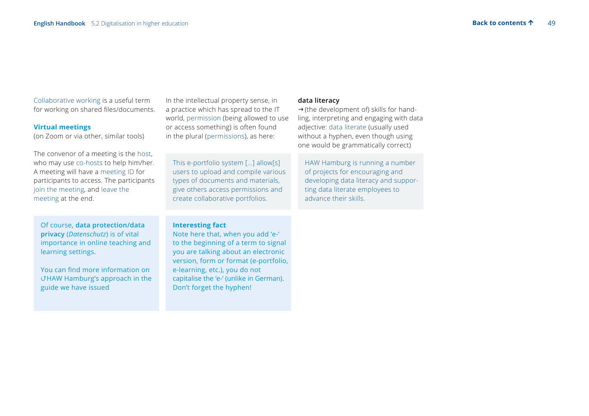Collaborative working is a useful term for working on shared files/documents.

## **Virtual meetings**

(on Zoom or via other, similar tools)

The convenor of a meeting is the host, who may use co-hosts to help him/her. A meeting will have a meeting ID for participants to access. The participants join the meeting, and leave the meeting at the end.

 Of course, **data protection/data privacy** (*Datenschutz*) is of vital importance in online teaching and learning settings.

You can find more information on [HAW Hamburg's approach in the](https://www.haw-hamburg.de/en/data-privacy-policy/)  [guide we have issued](https://www.haw-hamburg.de/en/data-privacy-policy/)

In the intellectual property sense, in a practice which has spread to the IT world, permission (being allowed to use or access something) is often found in the plural (permissions), as here:

 This e-portfolio system […] allow[s] users to upload and compile various types of documents and materials, give others access permissions and create collaborative portfolios.

### **Interesting fact**

 Note here that, when you add 'e-' to the beginning of a term to signal you are talking about an electronic version, form or format (e-portfolio, e-learning, etc.), you do not capitalise the 'e-' (unlike in German). Don't forget the hyphen!

### **data literacy**

 $\rightarrow$  (the development of) skills for handling, interpreting and engaging with data adjective: data literate (usually used without a hyphen, even though using one would be grammatically correct)

HAW Hamburg is running a number of projects for encouraging and developing data literacy and supporting data literate employees to advance their skills.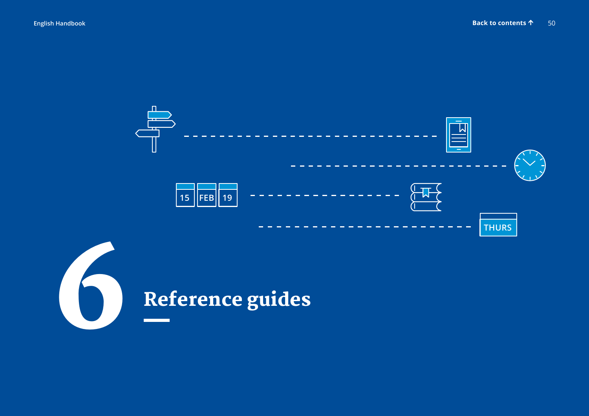

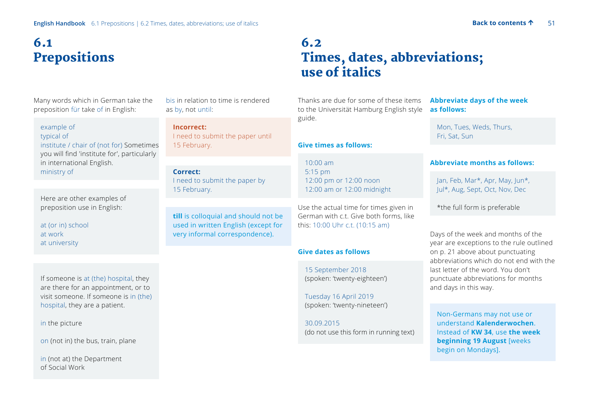# 6.1 Prepositions

Many words which in German take the preposition für take of in English:

### example of typical of

institute / chair of (not for) Sometimes you will find 'institute for', particularly in international English. ministry of

 Here are other examples of preposition use in English:

at (or in) school at work at university

If someone is at (the) hospital, they are there for an appointment, or to visit someone. If someone is in (the) hospital, they are a patient.

### in the picture

on (not in) the bus, train, plane

 in (not at) the Department of Social Work

bis in relation to time is rendered as by, not until:

**Incorrect:**  I need to submit the paper until 15 February.

## **Correct:**

 I need to submit the paper by 15 February.

 **till** is colloquial and should not be used in written English (except for very informal correspondence).

## 6.2 Times, dates, abbreviations; use of italics

Thanks are due for some of these items **Abbreviate days of the week**  to the Universität Hamburg English style guide.

### **Give times as follows:**

10:00 am 5:15 pm 12:00 pm or 12:00 noon 12:00 am or 12:00 midnight

Use the actual time for times given in German with c.t. Give both forms, like this: 10:00 Uhr c.t. (10:15 am)

### **Give dates as follows**

15 September 2018 (spoken: 'twenty-eighteen')

Tuesday 16 April 2019 (spoken: 'twenty-nineteen')

30.09.2015 (do not use this form in running text)

# **as follows:**

 Mon, Tues, Weds, Thurs, Fri, Sat, Sun

### **Abbreviate months as follows:**

 Jan, Feb, Mar\*, Apr, May, Jun\*, Jul\*, Aug, Sept, Oct, Nov, Dec

\*the full form is preferable

Days of the week and months of the year are exceptions to the rule outlined on p. 21 above about punctuating abbreviations which do not end with the last letter of the word. You don't punctuate abbreviations for months and days in this way.

 Non-Germans may not use or understand **Kalenderwochen**. Instead of **KW 34**, use **the week beginning 19 August** [weeks begin on Mondays].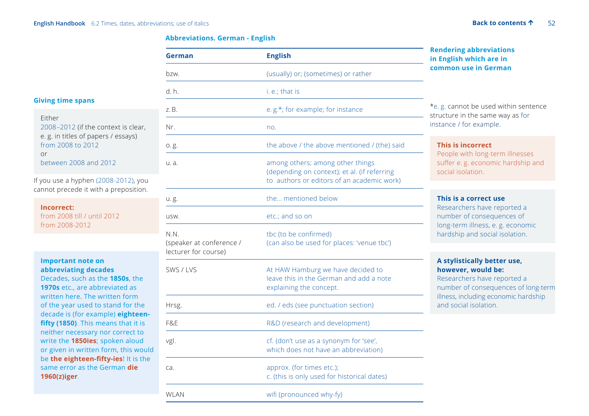### **Abbreviations. German - English**

## **Giving time spans**

| Either                              |  |
|-------------------------------------|--|
| 2008–2012 (if the context is clear, |  |
| e. g. in titles of papers / essays) |  |
| from 2008 to 2012                   |  |
| or                                  |  |
| between 2008 and 2012               |  |

If you use a hyphen (2008-2012), you cannot precede it with a preposition.

 **Incorrect:** from 2008 till / until 2012 from 2008-2012

## **Important note on abbreviating decades**

 Decades, such as the **1850s**, the **1970s** etc., are abbreviated as written here. The written form of the year used to stand for the decade is (for example) **eighteenfifty (1850)**. This means that it is neither necessary nor correct to write the **1850ies**; spoken aloud or given in written form, this would be **the eighteen-fifty-ies**! It is the same error as the German **die 1960(z)iger**.

| German                                                   | <b>English</b>                                                                                                                 | <b>Rendering abbreviations</b><br>in English which are in                                                                                                                                |  |
|----------------------------------------------------------|--------------------------------------------------------------------------------------------------------------------------------|------------------------------------------------------------------------------------------------------------------------------------------------------------------------------------------|--|
| bzw.                                                     | (usually) or; (sometimes) or rather                                                                                            | common use in German                                                                                                                                                                     |  |
| d. h.                                                    | i. e.; that is                                                                                                                 |                                                                                                                                                                                          |  |
| z.B.                                                     | e.g.*; for example; for instance                                                                                               | *e.g. cannot be used within sentence<br>structure in the same way as for                                                                                                                 |  |
| Nr.                                                      | no.                                                                                                                            | instance / for example.                                                                                                                                                                  |  |
| 0.g.                                                     | the above / the above mentioned / (the) said                                                                                   | This is incorrect<br>People with long-term illnesses                                                                                                                                     |  |
| u. a.                                                    | among others; among other things<br>(depending on context); et al. (if referring<br>to authors or editors of an academic work) | suffer e.g. economic hardship and<br>social isolation.                                                                                                                                   |  |
| u.g.                                                     | the mentioned below                                                                                                            | This is a correct use                                                                                                                                                                    |  |
| USW.                                                     | etc.; and so on                                                                                                                | Researchers have reported a<br>number of consequences of                                                                                                                                 |  |
| N.N.<br>(speaker at conference /<br>lecturer for course) | tbc (to be confirmed)<br>(can also be used for places: 'venue tbc')                                                            | long-term illness, e.g. economic<br>hardship and social isolation.                                                                                                                       |  |
| SWS / LVS                                                | At HAW Hamburg we have decided to<br>leave this in the German and add a note<br>explaining the concept.                        | A stylistically better use,<br>however, would be:<br>Researchers have reported a<br>number of consequences of long-term<br>illness, including economic hardship<br>and social isolation. |  |
| Hrsg.                                                    | ed. / eds (see punctuation section)                                                                                            |                                                                                                                                                                                          |  |
| F&E                                                      | R&D (research and development)                                                                                                 |                                                                                                                                                                                          |  |
| vgl.                                                     | cf. (don't use as a synonym for 'see',<br>which does not have an abbreviation)                                                 |                                                                                                                                                                                          |  |
| ca.                                                      | approx. (for times etc.);<br>c. (this is only used for historical dates)                                                       |                                                                                                                                                                                          |  |
| <b>WLAN</b>                                              | wifi (pronounced why-fy)                                                                                                       |                                                                                                                                                                                          |  |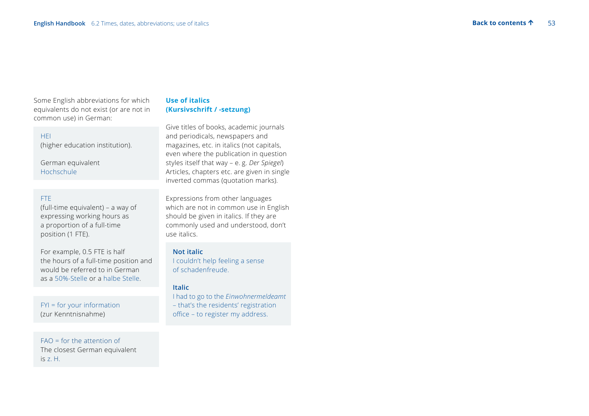Some English abbreviations for which equivalents do not exist (or are not in common use) in German:

### HEI

(higher education institution).

German equivalent Hochschule

### FTE

(full-time equivalent) – a way of expressing working hours as a proportion of a full-time position (1 FTE).

For example, 0.5 FTE is half the hours of a full-time position and would be referred to in German as a 50%-Stelle or a halbe Stelle.

 FYI = for your information (zur Kenntnisnahme)

 FAO = for the attention of The closest German equivalent is z. H.

## **Use of italics (Kursivschrift / -setzung)**

Give titles of books, academic journals and periodicals, newspapers and magazines, etc. in italics (not capitals, even where the publication in question styles itself that way – e. g. *Der Spiegel*) Articles, chapters etc. are given in single inverted commas (quotation marks).

Expressions from other languages which are not in common use in English should be given in italics. If they are commonly used and understood, don't use italics.

### **Not italic**

 I couldn't help feeling a sense of schadenfreude.

### **Italic**

 I had to go to the *Einwohnermeldeamt* – that's the residents' registration office – to register my address.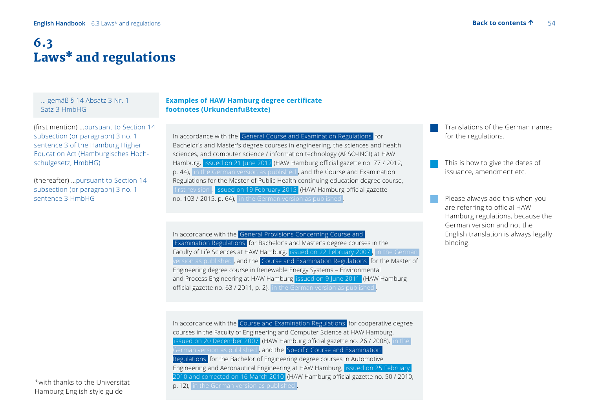# 6.3 Laws\* and regulations

 … gemäß § 14 Absatz 3 Nr. 1 Satz 3 HmbHG

(first mention) …pursuant to Section 14 subsection (or paragraph) 3 no. 1 sentence 3 of the Hamburg Higher Education Act (Hamburgisches Hochschulgesetz, HmbHG)

(thereafter) …pursuant to Section 14 subsection (or paragraph) 3 no. 1 sentence 3 HmbHG

### **Examples of HAW Hamburg degree certificate footnotes (Urkundenfußtexte)**

 In accordance with the General Course and Examination Regulations for Bachelor's and Master's degree courses in engineering, the sciences and health sciences, and computer science / information technology (APSO-INGI) at HAW Hamburg, issued on 21 June 2012 (HAW Hamburg official gazette no. 77 / 2012, p. 44), in the German version as published , and the Course and Examination Regulations for the Master of Public Health continuing education degree course, first revision, issued on 19 February 2015 (HAW Hamburg official gazette no. 103 / 2015, p. 64), in the German version as published

In accordance with the General Provisions Concerning Course and **Examination Regulations for Bachelor's and Master's degree courses in the** Faculty of Life Sciences at HAW Hamburg, issued on 22 February 2007, in the German version as published , and the  Course and Examination Regulations for the Master of Engineering degree course in Renewable Energy Systems – Environmental and Process Engineering at HAW Hamburg issued on 9 June 2011 (HAW Hamburg official gazette no. 63 / 2011, p. 2), in the German version as published

 In accordance with the  Course and Examination Regulations for cooperative degree courses in the Faculty of Engineering and Computer Science at HAW Hamburg,  issued on 20 December 2007 (HAW Hamburg official gazette no. 26 / 2008),  in the German version as published , and the  Specific Course and Examination Regulations for the Bachelor of Engineering degree courses in Automotive Engineering and Aeronautical Engineering at HAW Hamburg,  issued on 25 February 2010 and corrected on 16 March 2010 (HAW Hamburg official gazette no. 50 / 2010, p. 12),  in the German version as published .

Translations of the German names for the regulations.

This is how to give the dates of issuance, amendment etc.

Please always add this when you are referring to official HAW Hamburg regulations, because the German version and not the English translation is always legally binding.

\*with thanks to the Universität Hamburg English style guide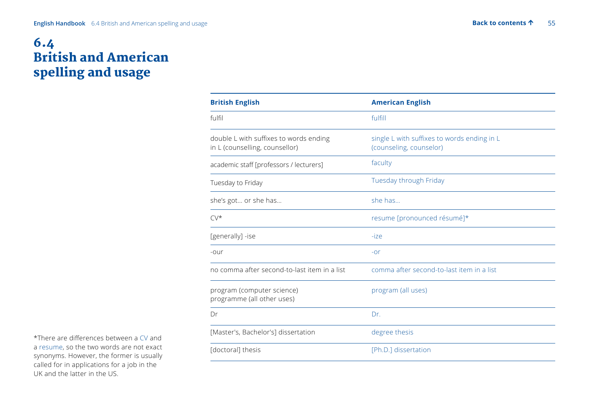## 6.4 British and American spelling and usage

| <b>American English</b>                                                |
|------------------------------------------------------------------------|
| fulfill                                                                |
| single L with suffixes to words ending in L<br>(counseling, counselor) |
| faculty                                                                |
| Tuesday through Friday                                                 |
| she has                                                                |
| resume [pronounced résumé]*                                            |
| $-ize$                                                                 |
| $-0r$                                                                  |
| comma after second-to-last item in a list                              |
| program (all uses)                                                     |
| Dr.                                                                    |
| degree thesis                                                          |
| [Ph.D.] dissertation                                                   |
|                                                                        |

\*There are differences between a CV and a resume, so the two words are not exact synonyms. However, the former is usually called for in applications for a job in the UK and the latter in the US.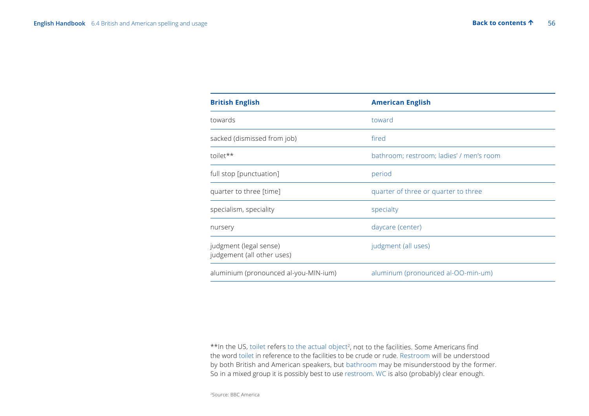| <b>British English</b>                               | <b>American English</b>                  |
|------------------------------------------------------|------------------------------------------|
| towards                                              | toward                                   |
| sacked (dismissed from job)                          | fired                                    |
| toilet**                                             | bathroom; restroom; ladies' / men's room |
| full stop [punctuation]                              | period                                   |
| quarter to three [time]                              | quarter of three or quarter to three     |
| specialism, speciality                               | specialty                                |
| nursery                                              | daycare (center)                         |
| judgment (legal sense)<br>judgement (all other uses) | judgment (all uses)                      |
| aluminium (pronounced al-you-MIN-ium)                | aluminum (pronounced al-OO-min-um)       |

\*\*In the US, toilet refers to the actual object<sup>2</sup>, not to the facilities. Some Americans find the word toilet in reference to the facilities to be crude or rude. Restroom will be understood by both British and American speakers, but bathroom may be misunderstood by the former. So in a mixed group it is possibly best to use restroom. WC is also (probably) clear enough.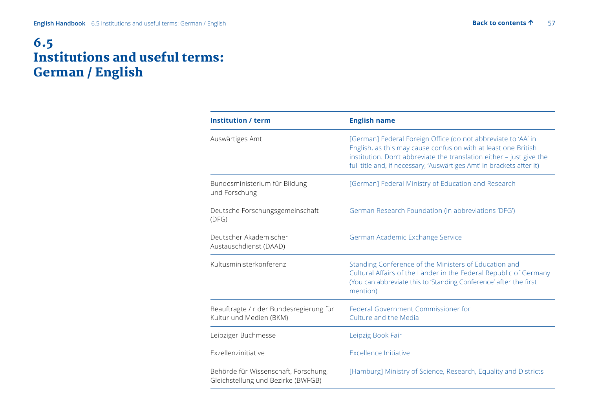## 6.5 Institutions and useful terms: German / English

| <b>Institution / term</b>                                                  | <b>English name</b>                                                                                                                                                                                                                                                              |
|----------------------------------------------------------------------------|----------------------------------------------------------------------------------------------------------------------------------------------------------------------------------------------------------------------------------------------------------------------------------|
| Auswärtiges Amt                                                            | [German] Federal Foreign Office (do not abbreviate to 'AA' in<br>English, as this may cause confusion with at least one British<br>institution. Don't abbreviate the translation either - just give the<br>full title and, if necessary, 'Auswärtiges Amt' in brackets after it) |
| Bundesministerium für Bildung<br>und Forschung                             | [German] Federal Ministry of Education and Research                                                                                                                                                                                                                              |
| Deutsche Forschungsgemeinschaft<br>(DFG)                                   | German Research Foundation (in abbreviations 'DFG')                                                                                                                                                                                                                              |
| Deutscher Akademischer<br>Austauschdienst (DAAD)                           | German Academic Exchange Service                                                                                                                                                                                                                                                 |
| Kultusministerkonferenz                                                    | Standing Conference of the Ministers of Education and<br>Cultural Affairs of the Länder in the Federal Republic of Germany<br>(You can abbreviate this to 'Standing Conference' after the first<br>mention)                                                                      |
| Beauftragte / r der Bundesregierung für<br>Kultur und Medien (BKM)         | Federal Government Commissioner for<br>Culture and the Media                                                                                                                                                                                                                     |
| Leipziger Buchmesse                                                        | Leipzig Book Fair                                                                                                                                                                                                                                                                |
| Exzellenzinitiative                                                        | <b>Excellence Initiative</b>                                                                                                                                                                                                                                                     |
| Behörde für Wissenschaft, Forschung,<br>Gleichstellung und Bezirke (BWFGB) | [Hamburg] Ministry of Science, Research, Equality and Districts                                                                                                                                                                                                                  |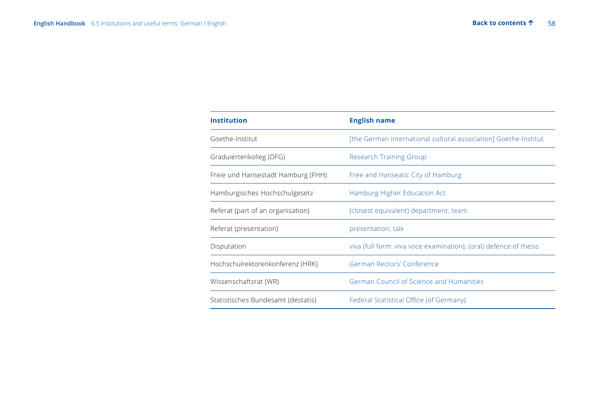| <b>Institution</b>                 | <b>English name</b>                                               |
|------------------------------------|-------------------------------------------------------------------|
| Goethe-Institut                    | [the German international cultural association] Goethe-Institut   |
| Graduiertenkolleg (DFG)            | <b>Research Training Group</b>                                    |
| Freie und Hansestadt Hamburg (FHH) | Free and Hanseatic City of Hamburg                                |
| Hamburgisches Hochschulgesetz      | Hamburg Higher Education Act                                      |
| Referat (part of an organisation)  | (closest equivalent) department; team                             |
| Referat (presentation)             | presentation; talk                                                |
| Disputation                        | viva (full form: viva voce examination); (oral) defence of thesis |
| Hochschulrektorenkonferenz (HRK)   | German Rectors' Conference                                        |
| Wissenschaftsrat (WR)              | German Council of Science and Humanities                          |
| Statistisches Bundesamt (destatis) | Federal Statistical Office (of Germany)                           |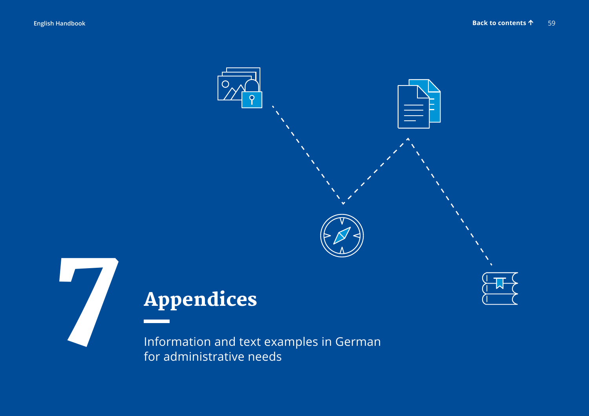

Information and text examples in German for administrative needs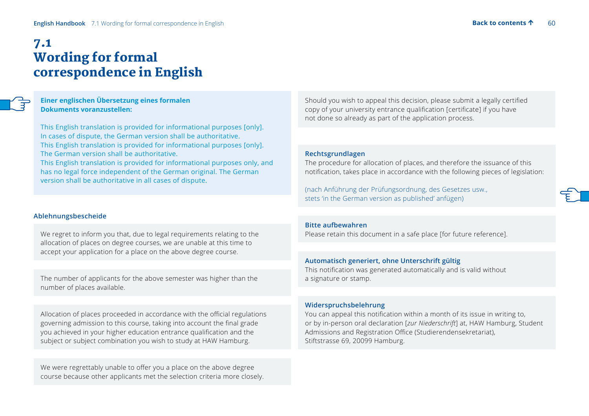## 7.1 Wording for formal correspondence in English

 **Einer englischen Übersetzung eines formalen Dokuments voranzustellen:**

 This English translation is provided for informational purposes [only]. In cases of dispute, the German version shall be authoritative. This English translation is provided for informational purposes [only]. The German version shall be authoritative. This English translation is provided for informational purposes only, and has no legal force independent of the German original. The German version shall be authoritative in all cases of dispute.

### **Ablehnungsbescheide**

 We regret to inform you that, due to legal requirements relating to the allocation of places on degree courses, we are unable at this time to accept your application for a place on the above degree course.

 The number of applicants for the above semester was higher than the number of places available.

Allocation of places proceeded in accordance with the official regulations governing admission to this course, taking into account the final grade you achieved in your higher education entrance qualification and the subject or subject combination you wish to study at HAW Hamburg.

We were regrettably unable to offer you a place on the above degree course because other applicants met the selection criteria more closely. Should you wish to appeal this decision, please submit a legally certified copy of your university entrance qualification [certificate] if you have not done so already as part of the application process.

### **Rechtsgrundlagen**

 The procedure for allocation of places, and therefore the issuance of this notification, takes place in accordance with the following pieces of legislation:

(nach Anführung der Prüfungsordnung, des Gesetzes usw., stets 'in the German version as published' anfügen)

## **Bitte aufbewahren**

Please retain this document in a safe place [for future reference].

### **Automatisch generiert, ohne Unterschrift gültig**

This notification was generated automatically and is valid without a signature or stamp.

#### **Widerspruchsbelehrung**

You can appeal this notification within a month of its issue in writing to, or by in-person oral declaration [*zur Niederschrift*] at, HAW Hamburg, Student Admissions and Registration Office (Studierendensekretariat), Stiftstrasse 69, 20099 Hamburg.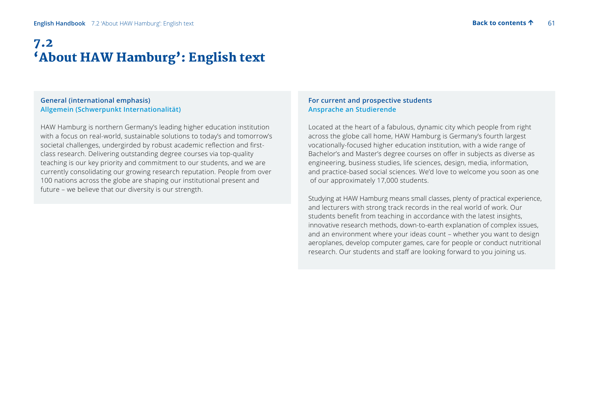## 7.2 'About HAW Hamburg': English text

### **General (international emphasis) Allgemein (Schwerpunkt Internationalität)**

 HAW Hamburg is northern Germany's leading higher education institution with a focus on real-world, sustainable solutions to today's and tomorrow's societal challenges, undergirded by robust academic reflection and firstclass research. Delivering outstanding degree courses via top-quality teaching is our key priority and commitment to our students, and we are currently consolidating our growing research reputation. People from over 100 nations across the globe are shaping our institutional present and future – we believe that our diversity is our strength.

### **For current and prospective students Ansprache an Studierende**

 Located at the heart of a fabulous, dynamic city which people from right across the globe call home, HAW Hamburg is Germany's fourth largest vocationally-focused higher education institution, with a wide range of Bachelor's and Master's degree courses on offer in subjects as diverse as engineering, business studies, life sciences, design, media, information, and practice-based social sciences. We'd love to welcome you soon as one of our approximately 17,000 students.

 Studying at HAW Hamburg means small classes, plenty of practical experience, and lecturers with strong track records in the real world of work. Our students benefit from teaching in accordance with the latest insights, innovative research methods, down-to-earth explanation of complex issues, and an environment where your ideas count – whether you want to design aeroplanes, develop computer games, care for people or conduct nutritional research. Our students and staff are looking forward to you joining us.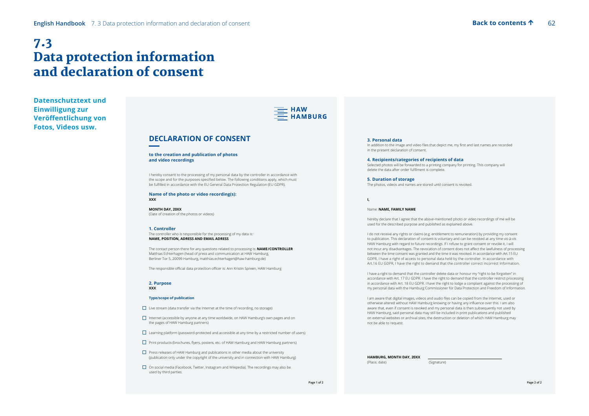## 7.3 Data protection information and declaration of consent

**Datenschutztext und Einwilligung zur Veröffentlichung von Fotos, Videos usw.**



### **DECLARATION OF CONSENT**

#### **to the creation and publication of photos and video recordings**

I hereby consent to the processing of my personal data by the controller in accordance with the scope and for the purposes specified below. The following conditions apply, which must be fulfilled in accordance with the EU General Data Protection Regulation (EU GDPR).

#### **Name of the photo or video recording(s): XXX**

**MONTH DAY, 20XX**  (Date of creation of the photos or videos)

#### **1. Controller**

The controller who is responsible for the processing of my data is: **NAME, POSITION, ADRESS AND EMAIL ADRESS** 

The contact person there for any questions related to processing is: **NAME / CONTROLLER**  Matthias Echterhagen (head of press and communication at HAW Hamburg, Berliner Tor 5, 20099 Hamburg, matthias.echterhagen@haw-hamburg.de)

The responsible official data protection officer is: Ann Kristin Spreen, HAW Hamburg

#### **2. Purpose XXX**

#### **Type/scope of publication**

 $\Box$  Live stream (data transfer via the Internet at the time of recording, no storage)

- Internet (accessible by anyone at any time worldwide, on HAW Hamburg's own pages and on the pages of HAW Hamburg partners)
- $\square$  Learning platform (password-protected and accessible at any time by a restricted number of users)
- $\Box$  Print products (brochures, flyers, posters, etc. of HAW Hamburg and HAW Hamburg partners)
- $\Box$  Press releases of HAW Hamburg and publications in other media about the university (publication only under the copyright of the university and in connection with HAW Hamburg)
- On social media (Facebook, Twitter, Instagram and Wikipedia). The recordings may also be used by third parties.

#### **3. Personal data**

In addition to the image and video files that depict me, my first and last names are recorded in the present declaration of consent.

**4. Recipients/categories of recipients of data** Selected photos will be forwarded to a printing company for printing. This company will delete the data after order fulfilment is complete.

**5. Duration of storage** The photos, videos and names are stored until consent is revoked.

**I,**

#### Name: **NAME, FAMILY NAME**

hereby declare that I agree that the above-mentioned photo or video recordings of me will be used for the described purpose and published as explained above.

I do not receive any rights or claims (e.g. entitlement to remuneration) by providing my consent to publication. This declaration of consent is voluntary and can be revoked at any time vis-à-vis HAW Hamburg with regard to future recordings. If I refuse to grant consent or revoke it, I will not incur any disadvantages. The revocation of consent does not affect the lawfulness of processing between the time consent was granted and the time it was revoked. In accordance with Art.15 EU GDPR, I have a right of access to personal data held by the controller. In accordance with Art.16 EU GDPR, I have the right to demand that the controller correct incorrect information.

I have a right to demand that the controller delete data or honour my "right to be forgotten" in accordance with Art. 17 EU GDPR. I have the right to demand that the controller restrict processing in accordance with Art. 18 EU GDPR. I have the right to lodge a complaint against the processing of my personal data with the Hamburg Commissioner for Data Protection and Freedom of Information.

I am aware that digital images, videos and audio files can be copied from the Internet, used or otherwise altered without HAW Hamburg knowing or having any influence over this. I am also aware that, even if consent is revoked and my personal data is then subsequently not used by HAW Hamburg, said personal data may still be included in print publications and published on external websites or archival sites, the destruction or deletion of which HAW Hamburg may not be able to request.

**HAMBURG, MONTH DAY, 20XX** (Place, date)

(Signature)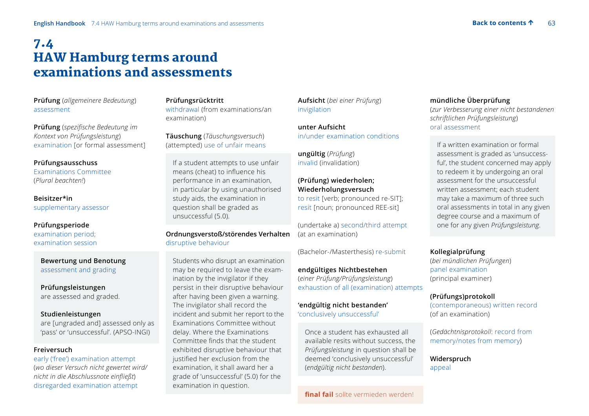## 7.4 HAW Hamburg terms around examinations and assessments

**Prüfung** (*allgemeinere Bedeutung*) assessment

**Prüfung** (*spezifische Bedeutung im Kontext von Prüfungsleistung*) examination [or formal assessment]

### **Prüfungsausschuss**

Examinations Committee (*Plural beachten!*)

**Beisitzer\*in** supplementary assessor

### **Prüfungsperiode** examination period; examination session

 **Bewertung und Benotung** assessment and grading

**Prüfungsleistungen** are assessed and graded.

### **Studienleistungen**

are [ungraded and] assessed only as 'pass' or 'unsuccessful'. (APSO-INGI)

### **Freiversuch**

early ('free') examination attempt (*wo dieser Versuch nicht gewertet wird/ nicht in die Abschlussnote einfließt*) disregarded examination attempt

## **Prüfungsrücktritt**

withdrawal (from examinations/an examination)

**Täuschung** (*Täuschungsversuch*) (attempted) use of unfair means

 If a student attempts to use unfair means (cheat) to influence his performance in an examination, in particular by using unauthorised study aids, the examination in question shall be graded as unsuccessful (5.0).

## **Ordnungsverstoß/störendes Verhalten**  disruptive behaviour

 Students who disrupt an examination may be required to leave the examination by the invigilator if they persist in their disruptive behaviour after having been given a warning. The invigilator shall record the incident and submit her report to the Examinations Committee without delay. Where the Examinations Committee finds that the student exhibited disruptive behaviour that justified her exclusion from the examination, it shall award her a grade of 'unsuccessful' (5.0) for the examination in question.

**Aufsicht** (*bei einer Prüfung*) invigilation

**unter Aufsicht** in/under examination conditions

**ungültig** (*Prüfung*) invalid (invalidation)

**(Prüfung) wiederholen; Wiederholungsversuch** to resit [verb; pronounced re-SIT]; resit [noun; pronounced REE-sit]

(undertake a) second/third attempt (at an examination)

(Bachelor-/Masterthesis) re-submit

**endgültiges Nichtbestehen** (*einer Prüfung/Prüfungsleistung*) exhaustion of all (examination) attempts

### **'endgültig nicht bestanden'** 'conclusively unsuccessful'

 Once a student has exhausted all available resits without success, the *Prüfungsleistung* in question shall be deemed 'conclusively unsuccessful' (*endgültig nicht bestanden*).

## **mündliche Überprüfung**

(*zur Verbesserung einer nicht bestandenen schriftlichen Prüfungsleistung*) oral assessment

 If a written examination or formal assessment is graded as 'unsuccessful', the student concerned may apply to redeem it by undergoing an oral assessment for the unsuccessful written assessment; each student may take a maximum of three such oral assessments in total in any given degree course and a maximum of one for any given *Prüfungsleistung*.

### **Kollegialprüfung**

(*bei mündlichen Prüfungen*) panel examination (principal examiner)

### **(Prüfungs)protokoll**

(contemporaneous) written record (of an examination)

(*Gedächtnisprotokoll*: record from memory/notes from memory)

**Widerspruch** appeal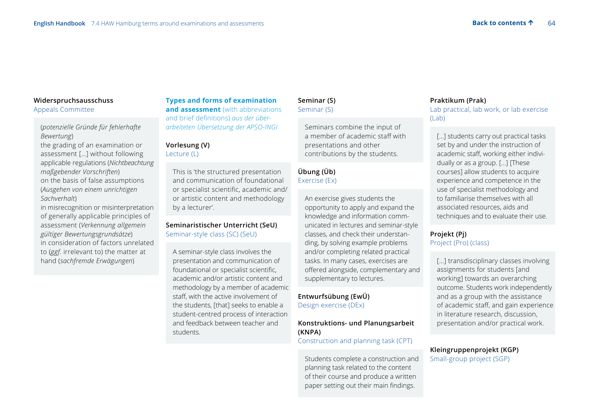## **Widerspruchsausschuss** Appeals Committee

 (*potenzielle Gründe für fehlerhafte Bewertung*) the grading of an examination or assessment […] without following applicable regulations (*Nichtbeachtung maßgebender Vorschriften*) on the basis of false assumptions (*Ausgehen von einem unrichtigen Sachverhalt*)

 in misrecognition or misinterpretation of generally applicable principles of assessment (*Verkennung allgemein gültiger Bewertungsgrundsätze*) in consideration of factors unrelated to (*ggf.* irrelevant to) the matter at hand (*sachfremde Erwägungen*)

## **Types and forms of examination and assessment** (with abbreviations) and brief definitions) *aus der überarbeiteten Übersetzung der APSO-INGI*

### **Vorlesung (V)** Lecture (L)

 This is 'the structured presentation and communication of foundational or specialist scientific, academic and/ or artistic content and methodology by a lecturer'.

## **Seminaristischer Unterricht (SeU)**  Seminar-style class (SC) (SeU)

 A seminar-style class involves the presentation and communication of foundational or specialist scientific, academic and/or artistic content and methodology by a member of academic staff, with the active involvement of the students, [that] seeks to enable a student-centred process of interaction and feedback between teacher and students.

## **Seminar (S)** Seminar (S)

 Seminars combine the input of a member of academic staff with presentations and other contributions by the students.

## **Übung (Üb)**  Exercise (Ex)

 An exercise gives students the opportunity to apply and expand the knowledge and information communicated in lectures and seminar-style classes, and check their understanding, by solving example problems and/or completing related practical tasks. In many cases, exercises are offered alongside, complementary and supplementary to lectures.

## **Entwurfsübung (EwÜ)**  Design exercise (DEx)

### **Konstruktions- und Planungsarbeit (KNPA)**

### Construction and planning task (CPT)

 Students complete a construction and planning task related to the content of their course and produce a written paper setting out their main findings.

## **Praktikum (Prak)**

Lab practical, lab work, or lab exercise  $(lash)$ 

[...] students carry out practical tasks set by and under the instruction of academic staff, working either individually or as a group. […] [These courses] allow students to acquire experience and competence in the use of specialist methodology and to familiarise themselves with all associated resources, aids and techniques and to evaluate their use.

## **Projekt (Pj)** Project (Pro) (class)

[...] transdisciplinary classes involving assignments for students [and working] towards an overarching outcome. Students work independently and as a group with the assistance of academic staff, and gain experience in literature research, discussion, presentation and/or practical work.

**Kleingruppenprojekt (KGP)**  Small-group project (SGP)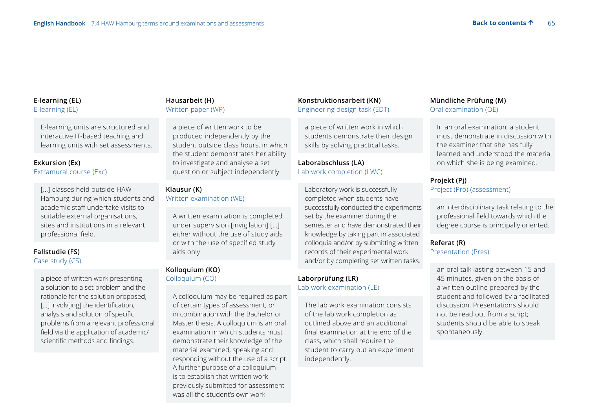### **E-learning (EL)** E-learning (EL)

 E-learning units are structured and interactive IT-based teaching and learning units with set assessments.

## **Exkursion (Ex)**

Extramural course (Exc)

 [...] classes held outside HAW Hamburg during which students and academic staff undertake visits to suitable external organisations, sites and institutions in a relevant professional field.

## **Fallstudie (FS)**  Case study (CS)

 a piece of written work presenting a solution to a set problem and the rationale for the solution proposed, [...] involv[ing] the identification, analysis and solution of specific problems from a relevant professional field via the application of academic/ scientific methods and findings.

## **Hausarbeit (H)**  Written paper (WP)

 a piece of written work to be produced independently by the student outside class hours, in which the student demonstrates her ability to investigate and analyse a set question or subject independently.

## **Klausur (K)**

Written examination (WE)

 A written examination is completed under supervision [invigilation] […] either without the use of study aids or with the use of specified study aids only.

### **Kolloquium (KO)**  Colloquium (CO)

 A colloquium may be required as part of certain types of assessment, or in combination with the Bachelor or Master thesis. A colloquium is an oral examination in which students must demonstrate their knowledge of the material examined, speaking and responding without the use of a script. A further purpose of a colloquium is to establish that written work previously submitted for assessment was all the student's own work.

## **Konstruktionsarbeit (KN)**  Engineering design task (EDT)

 a piece of written work in which students demonstrate their design skills by solving practical tasks.

## **Laborabschluss (LA)**  Lab work completion (LWC)

 Laboratory work is successfully completed when students have successfully conducted the experiments set by the examiner during the semester and have demonstrated their knowledge by taking part in associated colloquia and/or by submitting written records of their experimental work and/or by completing set written tasks.

## **Laborprüfung (LR)**  Lab work examination (LE)

 The lab work examination consists of the lab work completion as outlined above and an additional final examination at the end of the class, which shall require the student to carry out an experiment independently.

## **Mündliche Prüfung (M)**  Oral examination (OE)

 In an oral examination, a student must demonstrate in discussion with the examiner that she has fully learned and understood the material on which she is being examined.

## **Projekt (Pj)**  Project (Pro) (assessment)

 an interdisciplinary task relating to the professional field towards which the degree course is principally oriented.

## **Referat (R)**  Presentation (Pres)

 an oral talk lasting between 15 and 45 minutes, given on the basis of a written outline prepared by the student and followed by a facilitated discussion. Presentations should not be read out from a script; students should be able to speak spontaneously.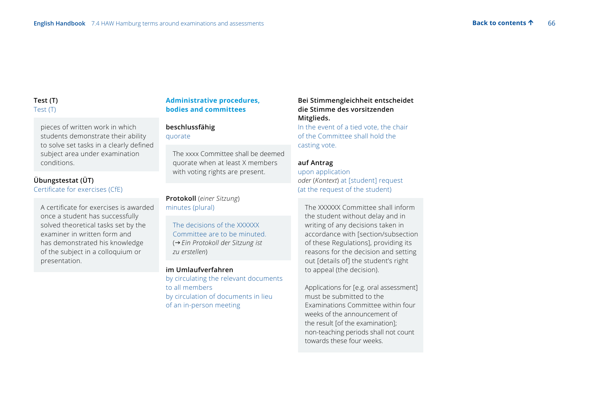## **Test (T)** Test (T)

 pieces of written work in which students demonstrate their ability to solve set tasks in a clearly defined subject area under examination conditions.

## **Übungstestat (ÜT)**  Certificate for exercises (CfE)

A certificate for exercises is awarded once a student has successfully solved theoretical tasks set by the examiner in written form and has demonstrated his knowledge of the subject in a colloquium or presentation.

## **Administrative procedures, bodies and committees**

### **beschlussfähig** quorate

 The xxxx Committee shall be deemed quorate when at least X members with voting rights are present.

**Protokoll** (*einer Sitzung*) minutes (plural)

 The decisions of the XXXXXX Committee are to be minuted. (*Ein Protokoll der Sitzung ist zu erstellen*)

### **im Umlaufverfahren**

by circulating the relevant documents to all members by circulation of documents in lieu of an in-person meeting

## **Bei Stimmengleichheit entscheidet die Stimme des vorsitzenden Mitglieds.**

In the event of a tied vote, the chair of the Committee shall hold the casting vote.

### **auf Antrag**

upon application *oder* (*Kontext*) at [student] request (at the request of the student)

 The XXXXXX Committee shall inform the student without delay and in writing of any decisions taken in accordance with [section/subsection of these Regulations], providing its reasons for the decision and setting out [details of] the student's right to appeal (the decision).

 Applications for [e.g. oral assessment] must be submitted to the Examinations Committee within four weeks of the announcement of the result [of the examination]; non-teaching periods shall not count towards these four weeks.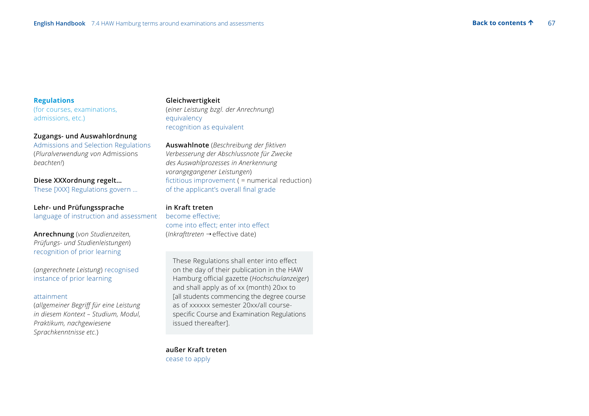### **Regulations**

(for courses, examinations, admissions, etc.)

### **Zugangs- und Auswahlordnung**

Admissions and Selection Regulations (*Pluralverwendung von* Admissions *beachten!*)

### **Diese XXXordnung regelt…**

These [XXX] Regulations govern …

### **Lehr- und Prüfungssprache** language of instruction and assessment

**Anrechnung** (*von Studienzeiten, Prüfungs- und Studienleistungen*) recognition of prior learning

(*angerechnete Leistung*) recognised instance of prior learning

### attainment

(*allgemeiner Begriff für eine Leistung in diesem Kontext – Studium, Modul, Praktikum, nachgewiesene Sprachkenntnisse etc.*)

#### **Gleichwertigkeit**

(*einer Leistung bzgl. der Anrechnung*) equivalency recognition as equivalent

**Auswahlnote** (*Beschreibung der fiktiven Verbesserung der Abschlussnote für Zwecke des Auswahlprozesses in Anerkennung vorangegangener Leistungen*) fictitious improvement ( = numerical reduction) of the applicant's overall final grade

### **in Kraft treten**

become effective; come into effect; enter into effect (*Inkrafttreten* → effective date)

These Regulations shall enter into effect on the day of their publication in the HAW Hamburg official gazette (*Hochschulanzeiger*) and shall apply as of xx (month) 20xx to [all students commencing the degree course as of xxxxxx semester 20xx/all coursespecific Course and Examination Regulations issued thereafter].

**außer Kraft treten** cease to apply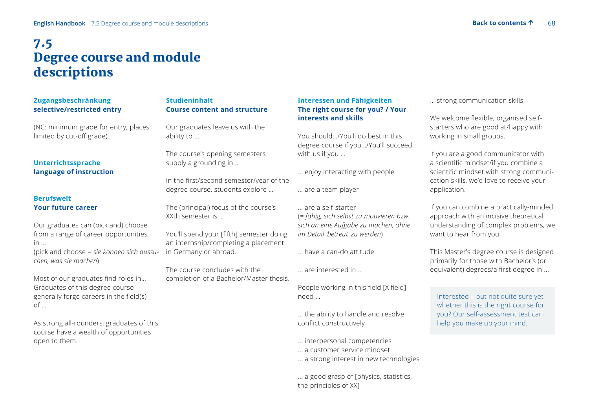## 7.5 Degree course and module descriptions

## **Zugangsbeschränkung selective/restricted entry**

(NC: minimum grade for entry; places limited by cut-off grade)

## **Unterrichtssprache language of instruction**

## **Berufswelt Your future career**

Our graduates can (pick and) choose from a range of career opportunities in … (pick and choose = *sie können sich aussuchen, was sie machen*)

Most of our graduates find roles in… Graduates of this degree course generally forge careers in the field(s) of …

As strong all-rounders, graduates of this course have a wealth of opportunities open to them.

## **Studieninhalt Course content and structure**

Our graduates leave us with the ability to …

The course's opening semesters supply a grounding in …

In the first/second semester/year of the degree course, students explore …

The (principal) focus of the course's XXth semester is …

You'll spend your [fifth] semester doing an internship/completing a placement in Germany or abroad.

The course concludes with the completion of a Bachelor/Master thesis.

## **Interessen und Fähigkeiten The right course for you? / Your interests and skills**

You should…/You'll do best in this degree course if you…/You'll succeed with us if you …

… enjoy interacting with people

… are a team player

… are a self-starter (*= fähig, sich selbst zu motivieren bzw. sich an eine Aufgabe zu machen, ohne im Detail 'betreut' zu werden*)

… have a can-do attitude

… are interested in …

People working in this field [X field] need …

… the ability to handle and resolve conflict constructively

… interpersonal competencies

… a customer service mindset

… a strong interest in new technologies

… a good grasp of [physics, statistics, the principles of XX]

… strong communication skills

We welcome flexible, organised selfstarters who are good at/happy with working in small groups.

If you are a good communicator with a scientific mindset/if you combine a scientific mindset with strong communication skills, we'd love to receive your application.

If you can combine a practically-minded approach with an incisive theoretical understanding of complex problems, we want to hear from you.

This Master's degree course is designed primarily for those with Bachelor's (or equivalent) degrees/a first degree in ...

 Interested – but not quite sure yet whether this is the right course for you? Our self-assessment test can help you make up your mind.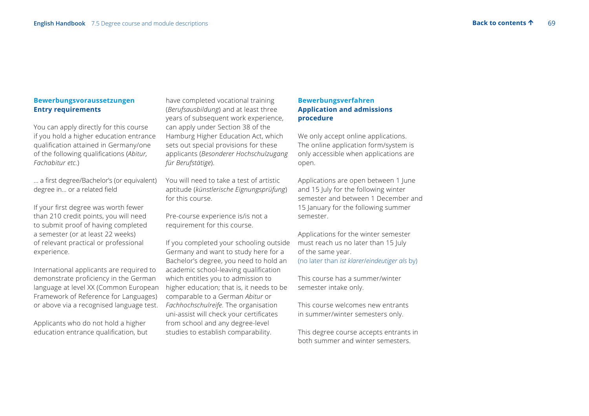### **Bewerbungsvoraussetzungen Entry requirements**

You can apply directly for this course if you hold a higher education entrance qualification attained in Germany/one of the following qualifications (*Abitur, Fachabitur etc.*)

… a first degree/Bachelor's (or equivalent) degree in… or a related field

If your first degree was worth fewer than 210 credit points, you will need to submit proof of having completed a semester (or at least 22 weeks) of relevant practical or professional experience.

International applicants are required to demonstrate proficiency in the German language at level XX (Common European Framework of Reference for Languages) or above via a recognised language test.

Applicants who do not hold a higher education entrance qualification, but have completed vocational training (*Berufsausbildung*) and at least three years of subsequent work experience, can apply under Section 38 of the Hamburg Higher Education Act, which sets out special provisions for these applicants (*Besonderer Hochschulzugang für Berufstätige*).

You will need to take a test of artistic aptitude (*künstlerische Eignungsprüfung*) for this course.

Pre-course experience is/is not a requirement for this course.

If you completed your schooling outside Germany and want to study here for a Bachelor's degree, you need to hold an academic school-leaving qualification which entitles you to admission to higher education; that is, it needs to be comparable to a German *Abitur* or *Fachhochschulreife*. The organisation uni-assist will check your certificates from school and any degree-level studies to establish comparability.

## **Bewerbungsverfahren Application and admissions procedure**

We only accept online applications. The online application form/system is only accessible when applications are open.

Applications are open between 1 June and 15 July for the following winter semester and between 1 December and 15 January for the following summer semester.

Applications for the winter semester must reach us no later than 15 July of the same year. (no later than *ist klarer*/*eindeutiger als* by)

This course has a summer/winter semester intake only.

This course welcomes new entrants in summer/winter semesters only.

This degree course accepts entrants in both summer and winter semesters.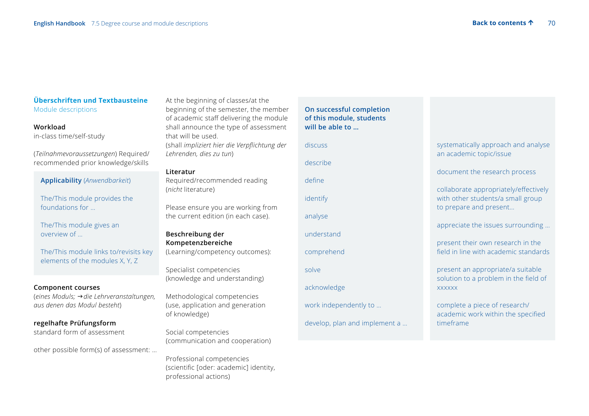## **Überschriften und Textbausteine**  Module descriptions

### **Workload** in-class time/self-study

(*Teilnahmevoraussetzungen*) Required/ recommended prior knowledge/skills

### **Applicability** (*Anwendbarkeit*)

The/This module provides the foundations for …

The/This module gives an overview of …

The/This module links to/revisits key elements of the modules X, Y, Z

### **Component courses**

(*eines Moduls; die Lehrveranstaltungen, aus denen das Modul besteht*)

### **regelhafte Prüfungsform**

standard form of assessment

other possible form(s) of assessment: …

At the beginning of classes/at the beginning of the semester, the member of academic staff delivering the module shall announce the type of assessment that will be used. (shall *impliziert hier die Verpflichtung der Lehrenden, dies zu tun*)

### **Literatur**

Required/recommended reading (*nicht* literature)

Please ensure you are working from the current edition (in each case).

**Beschreibung der Kompetenzbereiche**  (Learning/competency outcomes):

Specialist competencies (knowledge and understanding)

Methodological competencies (use, application and generation of knowledge)

Social competencies (communication and cooperation)

Professional competencies (scientific [oder: academic] identity, professional actions)

 **On successful completion of this module, students will be able to …**  discuss describe define identify analyse understand comprehend solve acknowledge work independently to … develop, plan and implement a …

## systematically approach and analyse an academic topic/issue

document the research process

collaborate appropriately/effectively with other students/a small group to prepare and present…

appreciate the issues surrounding …

 present their own research in the field in line with academic standards

present an appropriate/a suitable solution to a problem in the field of xxxxxx

complete a piece of research/ academic work within the specified timeframe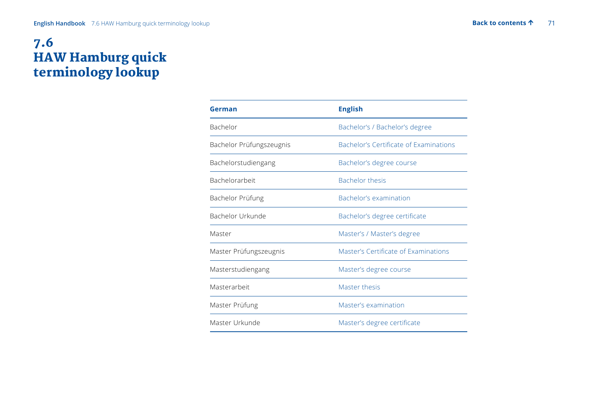# 7.6 HAW Hamburg quick terminology lookup

| German                   | <b>English</b>                                |
|--------------------------|-----------------------------------------------|
| Bachelor                 | Bachelor's / Bachelor's degree                |
| Bachelor Prüfungszeugnis | <b>Bachelor's Certificate of Examinations</b> |
| Bachelorstudiengang      | Bachelor's degree course                      |
| <b>Bachelorarbeit</b>    | <b>Bachelor thesis</b>                        |
| Bachelor Prüfung         | Bachelor's examination                        |
| Bachelor Urkunde         | Bachelor's degree certificate                 |
| Master                   | Master's / Master's degree                    |
| Master Prüfungszeugnis   | Master's Certificate of Examinations          |
| Masterstudiengang        | Master's degree course                        |
| Masterarbeit             | Master thesis                                 |
| Master Prüfung           | Master's examination                          |
| Master Urkunde           | Master's degree certificate                   |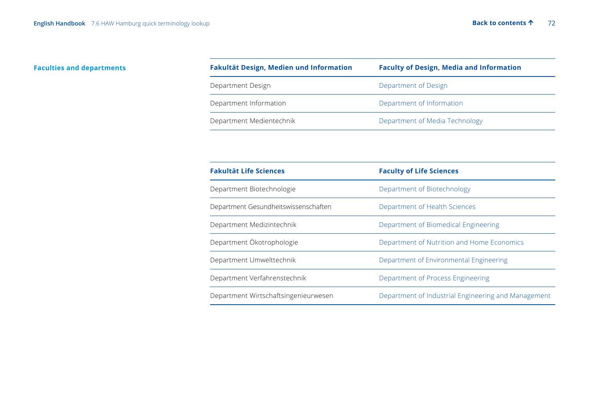## **Faculties and departments**

| Fakultät Design, Medien und Information | <b>Faculty of Design, Media and Information</b> |
|-----------------------------------------|-------------------------------------------------|
| Department Design                       | Department of Design                            |
| Department Information                  | Department of Information                       |
| Department Medientechnik                | Department of Media Technology                  |

| <b>Fakultät Life Sciences</b>        | <b>Faculty of Life Sciences</b>                     |
|--------------------------------------|-----------------------------------------------------|
| Department Biotechnologie            | Department of Biotechnology                         |
| Department Gesundheitswissenschaften | Department of Health Sciences                       |
| Department Medizintechnik            | Department of Biomedical Engineering                |
| Department Ökotrophologie            | Department of Nutrition and Home Economics          |
| Department Umwelttechnik             | Department of Environmental Engineering             |
| Department Verfahrenstechnik         | Department of Process Engineering                   |
| Department Wirtschaftsingenieurwesen | Department of Industrial Engineering and Management |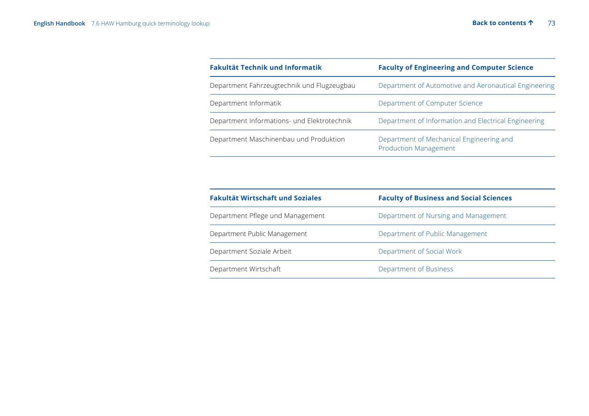| <b>Fakultät Technik und Informatik</b>      | <b>Faculty of Engineering and Computer Science</b>                       |
|---------------------------------------------|--------------------------------------------------------------------------|
| Department Fahrzeugtechnik und Flugzeugbau  | Department of Automotive and Aeronautical Engineering                    |
| Department Informatik                       | Department of Computer Science                                           |
| Department Informations- und Elektrotechnik | Department of Information and Electrical Engineering                     |
| Department Maschinenbau und Produktion      | Department of Mechanical Engineering and<br><b>Production Management</b> |

| Fakultät Wirtschaft und Soziales | <b>Faculty of Business and Social Sciences</b> |
|----------------------------------|------------------------------------------------|
| Department Pflege und Management | Department of Nursing and Management           |
| Department Public Management     | Department of Public Management                |
| Department Soziale Arbeit        | Department of Social Work                      |
| Department Wirtschaft            | Department of Business                         |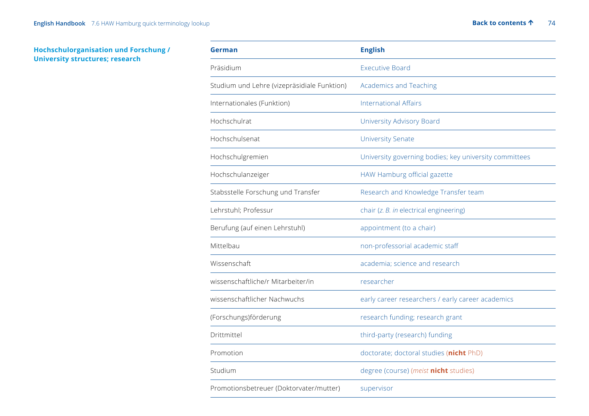# **Hochschulorganisation und Forschung / University structures; research**

| German                                      | <b>English</b>                                         |
|---------------------------------------------|--------------------------------------------------------|
| Präsidium                                   | <b>Executive Board</b>                                 |
| Studium und Lehre (vizepräsidiale Funktion) | <b>Academics and Teaching</b>                          |
| Internationales (Funktion)                  | <b>International Affairs</b>                           |
| Hochschulrat                                | University Advisory Board                              |
| Hochschulsenat                              | <b>University Senate</b>                               |
| Hochschulgremien                            | University governing bodies; key university committees |
| Hochschulanzeiger                           | HAW Hamburg official gazette                           |
| Stabsstelle Forschung und Transfer          | Research and Knowledge Transfer team                   |
| Lehrstuhl; Professur                        | chair (z. B. in electrical engineering)                |
| Berufung (auf einen Lehrstuhl)              | appointment (to a chair)                               |
| Mittelbau                                   | non-professorial academic staff                        |
| Wissenschaft                                | academia; science and research                         |
| wissenschaftliche/r Mitarbeiter/in          | researcher                                             |
| wissenschaftlicher Nachwuchs                | early career researchers / early career academics      |
| (Forschungs)förderung                       | research funding; research grant                       |
| Drittmittel                                 | third-party (research) funding                         |
| Promotion                                   | doctorate; doctoral studies (nicht PhD)                |
| Studium                                     | degree (course) (meist nicht studies)                  |
| Promotionsbetreuer (Doktorvater/mutter)     | supervisor                                             |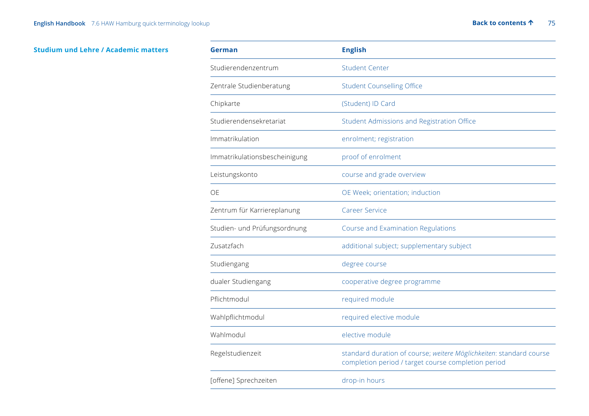# **Studium und Lehre / Academic matters**

| <b>German</b>                 | <b>English</b>                                                                                                             |
|-------------------------------|----------------------------------------------------------------------------------------------------------------------------|
| Studierendenzentrum           | <b>Student Center</b>                                                                                                      |
| Zentrale Studienberatung      | <b>Student Counselling Office</b>                                                                                          |
| Chipkarte                     | (Student) ID Card                                                                                                          |
| Studierendensekretariat       | Student Admissions and Registration Office                                                                                 |
| Immatrikulation               | enrolment; registration                                                                                                    |
| Immatrikulationsbescheinigung | proof of enrolment                                                                                                         |
| Leistungskonto                | course and grade overview                                                                                                  |
| OE                            | OE Week; orientation; induction                                                                                            |
| Zentrum für Karriereplanung   | <b>Career Service</b>                                                                                                      |
| Studien- und Prüfungsordnung  | Course and Examination Regulations                                                                                         |
| Zusatzfach                    | additional subject; supplementary subject                                                                                  |
| Studiengang                   | degree course                                                                                                              |
| dualer Studiengang            | cooperative degree programme                                                                                               |
| Pflichtmodul                  | required module                                                                                                            |
| Wahlpflichtmodul              | required elective module                                                                                                   |
| Wahlmodul                     | elective module                                                                                                            |
| Regelstudienzeit              | standard duration of course; weitere Möglichkeiten: standard course<br>completion period / target course completion period |
| [offene] Sprechzeiten         | drop-in hours                                                                                                              |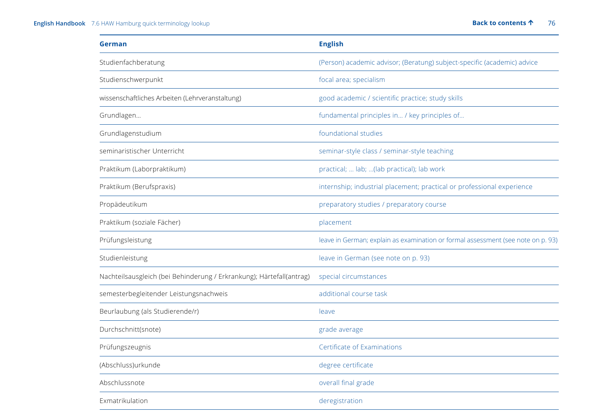# **English Handbook** 7.6 HAW Hamburg quick terminology lookup **[Back to contents](#page-2-0) 1** 76

| German                                                               | <b>English</b>                                                                   |
|----------------------------------------------------------------------|----------------------------------------------------------------------------------|
| Studienfachberatung                                                  | (Person) academic advisor; (Beratung) subject-specific (academic) advice         |
| Studienschwerpunkt                                                   | focal area; specialism                                                           |
| wissenschaftliches Arbeiten (Lehrveranstaltung)                      | good academic / scientific practice; study skills                                |
| Grundlagen                                                           | fundamental principles in / key principles of                                    |
| Grundlagenstudium                                                    | foundational studies                                                             |
| seminaristischer Unterricht                                          | seminar-style class / seminar-style teaching                                     |
| Praktikum (Laborpraktikum)                                           | practical;  lab; (lab practical); lab work                                       |
| Praktikum (Berufspraxis)                                             | internship; industrial placement; practical or professional experience           |
| Propädeutikum                                                        | preparatory studies / preparatory course                                         |
| Praktikum (soziale Fächer)                                           | placement                                                                        |
| Prüfungsleistung                                                     | leave in German; explain as examination or formal assessment (see note on p. 93) |
| Studienleistung                                                      | leave in German (see note on p. 93)                                              |
| Nachteilsausgleich (bei Behinderung / Erkrankung); Härtefall(antrag) | special circumstances                                                            |
| semesterbegleitender Leistungsnachweis                               | additional course task                                                           |
| Beurlaubung (als Studierende/r)                                      | leave                                                                            |
| Durchschnitt(snote)                                                  | grade average                                                                    |
| Prüfungszeugnis                                                      | Certificate of Examinations                                                      |
| (Abschluss)urkunde                                                   | degree certificate                                                               |
| Abschlussnote                                                        | overall final grade                                                              |
| Exmatrikulation                                                      | deregistration                                                                   |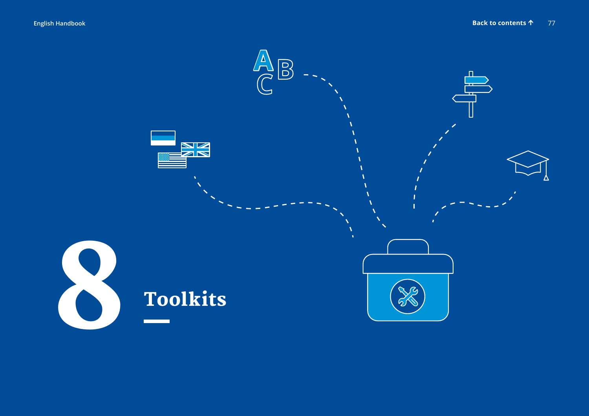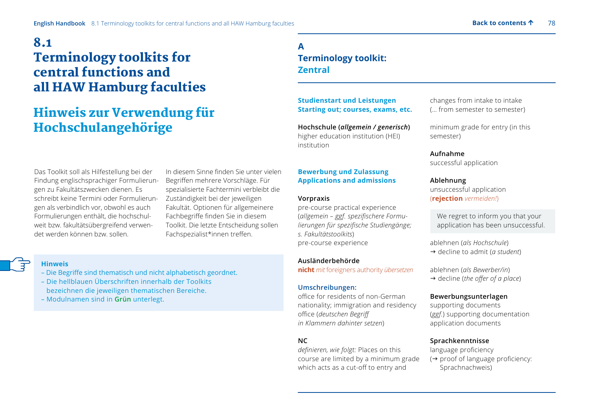# 8.1 Terminology toolkits for central functions and all HAW Hamburg faculties

# Hinweis zur Verwendung für Hochschulangehörige

Das Toolkit soll als Hilfestellung bei der Findung englischsprachiger Formulierungen zu Fakultätszwecken dienen. Es schreibt keine Termini oder Formulierungen als verbindlich vor, obwohl es auch Formulierungen enthält, die hochschulweit bzw. fakultätsübergreifend verwendet werden können bzw. sollen.

In diesem Sinne finden Sie unter vielen Begriffen mehrere Vorschläge. Für spezialisierte Fachtermini verbleibt die Zuständigkeit bei der jeweiligen Fakultät. Optionen für allgemeinere Fachbegriffe finden Sie in diesem Toolkit. Die letzte Entscheidung sollen Fachspezialist\*innen treffen.

# **Hinweis**

- Die Begriffe sind thematisch und nicht alphabetisch geordnet.
- Die hellblauen Überschriften innerhalb der Toolkits bezeichnen die jeweiligen thematischen Bereiche.
- Modulnamen sind in **Grün** unterlegt.

# **A Terminology toolkit: Zentral**

# **Studienstart und Leistungen Starting out; courses, exams, etc.**

**Hochschule (***allgemein / generisch***)** higher education institution (HEI) institution

# **Bewerbung und Zulassung Applications and admissions**

#### **Vorpraxis**

pre-course practical experience (*allgemein – ggf. spezifischere Formulierungen für spezifische Studiengänge; s. Fakultätstoolkits*) pre-course experience

**Ausländerbehörde nicht** *mit* foreigners authority *übersetzen*

#### **Umschreibungen:**

office for residents of non-German nationality; immigration and residency office (*deutschen Begriff in Klammern dahinter setzen*)

# **NC**

*definieren, wie folgt:* Places on this course are limited by a minimum grade which acts as a cut-off to entry and

changes from intake to intake (… from semester to semester)

minimum grade for entry (in this semester)

**Aufnahme** successful application

# **Ablehnung**

unsuccessful application (**rejection** *vermeiden!*)

 We regret to inform you that your application has been unsuccessful.

ablehnen (*als Hochschule*)

→ decline to admit (*a student*)

ablehnen (*als Bewerber/in*) → decline (*the offer of a place*)

### **Bewerbungsunterlagen**

supporting documents (*ggf.*) supporting documentation application documents

# **Sprachkenntnisse**

language proficiency  $\leftrightarrow$  proof of language proficiency: Sprachnachweis)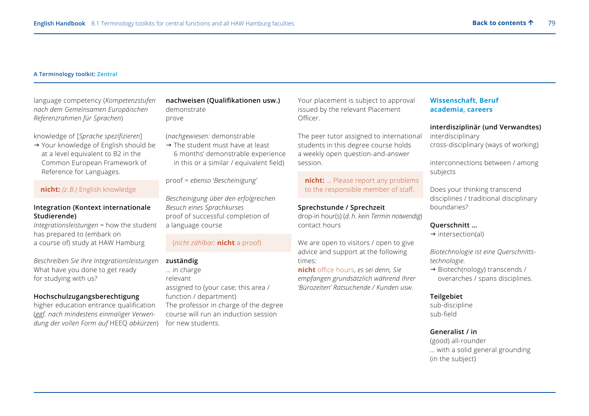#### **A Terminology toolkit: Zentral**

language competency (*Kompetenzstufen nach dem Gemeinsamen Europäischen Referenzrahmen für Sprachen*)

knowledge of [*Sprache spezifizieren*]

→ Your knowledge of English should be at a level equivalent to B2 in the Common European Framework of Reference for Languages.

# **nicht:** *(z. B.)* English knowledge

#### **Integration (Kontext internationale Studierende)**

*Integrationsleistungen* = how the student has prepared to (embark on a course of) study at HAW Hamburg

*Beschreiben Sie Ihre Integrationsleistungen* What have you done to get ready for studying with us?

# **Hochschulzugangsberechtigung**

higher education entrance qualification (*ggf. nach mindestens einmaliger Verwendung der vollen Form auf* HEEQ *abkürzen*) **nachweisen (Qualifikationen usw.)** demonstrate prove

(*nachgewiesen:* demonstrable

 $\rightarrow$  The student must have at least 6 months' demonstrable experience in this or a similar / equivalent field)

proof = *ebenso* '*Bescheinigung'*

*Bescheinigung über den erfolgreichen Besuch eines Sprachkurses* proof of successful completion of a language course

# (*nicht zählbar;* **nicht** a proof)

# **zuständig**

… in charge relevant assigned to (your case; this area / function / department) The professor in charge of the degree course will run an induction session for new students.

Your placement is subject to approval issued by the relevant Placement Officer.

The peer tutor assigned to international students in this degree course holds a weekly open question-and-answer session.

#### **nicht:** ... Please report any problems to the responsible member of staff.

**Sprechstunde / Sprechzeit**

drop-in hour(s) (*d. h. kein Termin notwendig*) contact hours

We are open to visitors / open to give advice and support at the following times:

**nicht** office hours, *es sei denn, Sie empfangen grundsätzlich während Ihrer 'Bürozeiten' Ratsuchende / Kunden usw.*

# **Wissenschaft, Beruf academia, careers**

**interdisziplinär (und Verwandtes)**

interdisciplinary cross-disciplinary (ways of working)

interconnections between / among subjects

Does your thinking transcend disciplines / traditional disciplinary boundaries?

#### **Querschnitt …**

 $\rightarrow$  intersection(al)

*Biotechnologie ist eine Querschnittstechnologie.* 

→ Biotech(nology) transcends / overarches / spans disciplines.

#### **Teilgebiet**

sub-discipline sub-field

### **Generalist / in**

(good) all-rounder … with a solid general grounding (in the subject)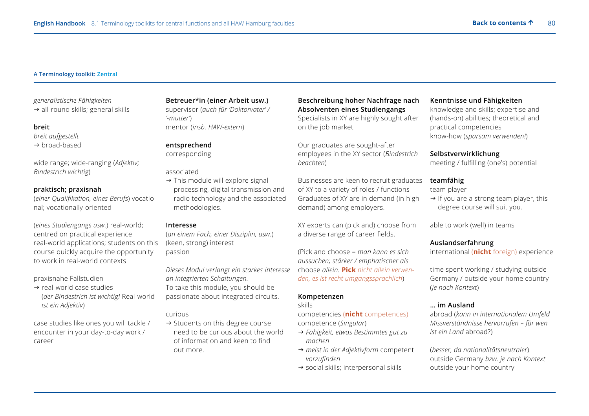#### **A Terminology toolkit: Zentral**

*generalistische Fähigkeiten*

 $\rightarrow$  all-round skills; general skills

#### **breit**

*breit aufgestellt* 

 $\rightarrow$  broad-based

wide range; wide-ranging (*Adjektiv; Bindestrich wichtig*)

#### **praktisch; praxisnah**

(*einer Qualifikation, eines Berufs*) vocational; vocationally-oriented

(*eines Studiengangs usw.*) real-world; centred on practical experience real-world applications; students on this course quickly acquire the opportunity to work in real-world contexts

praxisnahe Fallstudien

 $\rightarrow$  real-world case studies (*der Bindestrich ist wichtig!* Real-world *ist ein Adjektiv*)

case studies like ones you will tackle / encounter in your day-to-day work / career

#### **Betreuer\*in (einer Arbeit usw.)**

supervisor (*auch für 'Doktorvater' / '-mutter'*) mentor (*insb. HAW-extern*)

# **entsprechend** corresponding

associated

 $\rightarrow$  This module will explore signal processing, digital transmission and radio technology and the associated methodologies.

#### **Interesse**

(*an einem Fach, einer Disziplin, usw.*) (keen, strong) interest passion

*Dieses Modul verlangt ein starkes Interesse an integrierten Schaltungen.* To take this module, you should be passionate about integrated circuits.

#### curious

 $\rightarrow$  Students on this degree course need to be curious about the world of information and keen to find out more.

# **Beschreibung hoher Nachfrage nach Absolventen eines Studiengangs** Specialists in XY are highly sought after

on the job market Our graduates are sought-after employees in the XY sector (*Bindestrich* 

Businesses are keen to recruit graduates of XY to a variety of roles / functions Graduates of XY are in demand (in high demand) among employers.

XY experts can (pick and) choose from a diverse range of career fields.

(Pick and choose = *man kann es sich aussuchen; stärker / emphatischer als*  choose *allein.* **Pick** *nicht allein verwenden, es ist recht umgangssprachlich*)

#### **Kompetenzen**

#### skills

*beachten*)

competencies (**nicht** competences) competence (*Singular*)

- *Fähigkeit, etwas Bestimmtes gut zu machen*
- *meist in der Adjektivform* competent *vorzufinden*
- $\rightarrow$  social skills; interpersonal skills

#### **Kenntnisse und Fähigkeiten**

knowledge and skills; expertise and (hands-on) abilities; theoretical and practical competencies know-how (*sparsam verwenden!*)

#### **Selbstverwirklichung**

meeting / fulfilling (one's) potential

# **teamfähig**

team player

 $\rightarrow$  If you are a strong team player, this degree course will suit you.

able to work (well) in teams

#### **Auslandserfahrung**

international (**nicht** foreign) experience

time spent working / studying outside Germany / outside your home country (*je nach Kontext*)

#### **… im Ausland**

abroad (*kann in internationalem Umfeld Missverständnisse hervorrufen – für wen ist ein Land* abroad?)

(*besser, da nationalitätsneutraler*) outside Germany *bzw. je nach Kontext*  outside your home country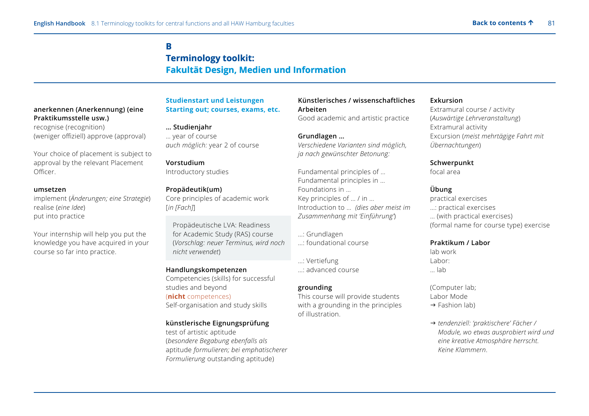# **B B Terminology toolkit: toolkit: Fakultät Design, Medien und Information**

# **anerkennen (Anerkennung) (eine Praktikumsstelle usw.)**

recognise (recognition) (weniger offiziell) approve (approval)

Your choice of placement is subject to approval by the relevant Placement Officer.

#### **umsetzen**

implement (*Änderungen; eine Strategie*) realise (*eine Idee*) put into practice

Your internship will help you put the knowledge you have acquired in your course so far into practice.

# **Studienstart und Leistungen Starting out; courses, exams, etc.**

**… Studienjahr** … year of course *auch möglich:* year 2 of course

**Vorstudium** Introductory studies

# **Propädeutik(um)**

Core principles of academic work [*in [Fach]*]

Propädeutische LVA: Readiness for Academic Study (RAS) course (*Vorschlag: neuer Terminus, wird noch nicht verwendet*)

# **Handlungskompetenzen**

Competencies (skills) for successful studies and beyond (**nicht** competences) Self-organisation and study skills

# **künstlerische Eignungsprüfung**

test of artistic aptitude (*besondere Begabung ebenfalls als* aptitude *formulieren; bei emphatischerer Formulierung* outstanding aptitude)

# **Künstlerisches / wissenschaftliches Arbeiten** Good academic and artistic practice

**Grundlagen …**  *Verschiedene Varianten sind möglich, ja nach gewünschter Betonung:* 

Fundamental principles of … Fundamental principles in … Foundations in … Key principles of … / in … Introduction to … *(dies aber meist im Zusammenhang mit 'Einführung'*)

- …: Grundlagen
- …: foundational course

…: Vertiefung …: advanced course

# **grounding**

This course will provide students with a grounding in the principles of illustration.

# **Exkursion**

Extramural course / activity (*Auswärtige Lehrveranstaltung*) Extramural activity Excursion (*meist mehrtägige Fahrt mit Übernachtungen*)

# **Schwerpunkt**

focal area

# **Übung**

practical exercises …: practical exercises … (with practical exercises) (formal name for course type) exercise

# **Praktikum / Labor**

lab work Labor: … lab

(Computer lab; Labor Mode  $\rightarrow$  Fashion lab)

 *tendenziell: 'praktischere' Fächer / Module, wo etwas ausprobiert wird und eine kreative Atmosphäre herrscht. Keine Klammern*.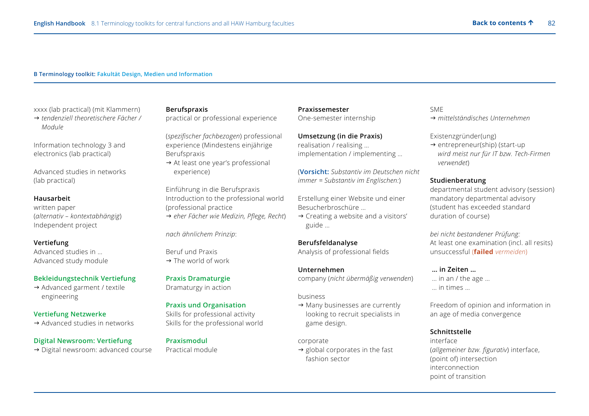#### **B Terminology toolkit: Fakultät Design, Medien und Information**

xxxx (lab practical) (mit Klammern)

 *tendenziell theoretischere Fächer / Module* 

Information technology 3 and electronics (lab practical)

Advanced studies in networks (lab practical)

#### **Hausarbeit**

written paper (*alternativ – kontextabhängig*) Independent project

#### **Vertiefung**

Advanced studies in … Advanced study module

#### **Bekleidungstechnik Vertiefung**

→ Advanced garment / textile engineering

### **Vertiefung Netzwerke**

 $\rightarrow$  Advanced studies in networks

#### **Digital Newsroom: Vertiefung**

→ Digital newsroom: advanced course

# **Berufspraxis**

practical or professional experience

(*spezifischer fachbezogen*) professional experience (Mindestens einjährige Berufspraxis

 $\rightarrow$  At least one year's professional experience)

Einführung in die Berufspraxis Introduction to the professional world (professional practice *eher Fächer wie Medizin, Pflege, Recht*)

*nach ähnlichem Prinzip*:

Beruf und Praxis  $\rightarrow$  The world of work

#### **Praxis Dramaturgie**

Dramaturgy in action

#### **Praxis und Organisation**

Skills for professional activity Skills for the professional world

#### **Praxismodul**

Practical module

**Praxissemester** One-semester internship

**Umsetzung (in die Praxis)** realisation / realising … implementation / implementing …

(**Vorsicht:** *Substantiv im Deutschen nicht immer = Substantiv im Englischen:*)

Erstellung einer Website und einer Besucherbroschüre …

 $\rightarrow$  Creating a website and a visitors' guide …

#### **Berufsfeldanalyse**

Analysis of professional fields

#### **Unternehmen**

company (*nicht übermäßig verwenden*)

business

 $\rightarrow$  Many businesses are currently looking to recruit specialists in game design.

corporate

 $\rightarrow$  global corporates in the fast fashion sector

# SME

*mittelständisches Unternehmen* 

#### Existenzgründer(ung)

 $\rightarrow$  entrepreneur(ship) (start-up *wird meist nur für IT bzw. Tech-Firmen verwendet*)

#### **Studienberatung**

departmental student advisory (session) mandatory departmental advisory (student has exceeded standard duration of course)

*bei nicht bestandener Prüfung:*  At least one examination (incl. all resits) unsuccessful (**failed** *vermeiden*)

#### **… in Zeiten …**

 … in an / the age … … in times …

Freedom of opinion and information in an age of media convergence

### **Schnittstelle**

interface (*allgemeiner bzw. figurativ*) interface, (point of) intersection interconnection point of transition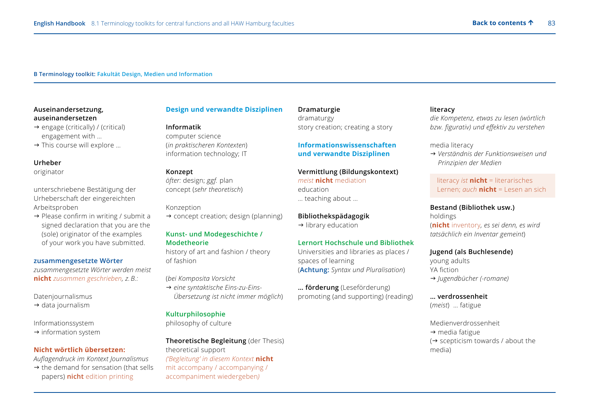#### **B Terminology toolkit: Fakultät Design, Medien und Information**

#### **Auseinandersetzung, auseinandersetzen**

- $\rightarrow$  engage (critically) / (critical) engagement with …
- $\rightarrow$  This course will explore ...

#### **Urheber**

originator

unterschriebene Bestätigung der Urheberschaft der eingereichten Arbeitsproben

 $\rightarrow$  Please confirm in writing / submit a signed declaration that you are the (sole) originator of the examples of your work you have submitted.

#### **zusammengesetzte Wörter**

*zusammengesetzte Wörter werden meist*  **nicht** *zusammen geschrieben, z. B.:* 

Datenjournalismus

 $\rightarrow$  data journalism

Informationssystem

 $\rightarrow$  information system

#### **Nicht wörtlich übersetzen:**

*Auflagendruck im Kontext Journalismus* 

 $\rightarrow$  the demand for sensation (that sells papers) **nicht** edition printing

#### **Design und verwandte Disziplinen**

#### **Informatik**

computer science (*in praktischeren Kontexten*) information technology; IT

#### **Konzept**

*öfter:* design; *ggf.* plan concept (*sehr theoretisch*)

#### Konzeption

 $\rightarrow$  concept creation; design (planning)

#### **Kunst- und Modegeschichte / Modetheorie**

history of art and fashion / theory of fashion

(*bei Komposita Vorsicht* 

 *eine syntaktische Eins-zu-Eins-Übersetzung ist nicht immer möglich*)

# **Kulturphilosophie**

philosophy of culture

**Theoretische Begleitung** (der Thesis) theoretical support *('Begleitung' in diesem Kontext* **nicht**  mit accompany / accompanying / accompaniment wiedergeben*)*

**Dramaturgie** dramaturgy story creation; creating a story

# **Vermittlung (Bildungskontext)** … teaching about …

 $\rightarrow$  library education

# **Lernort Hochschule und Bibliothek**

Universities and libraries as places / spaces of learning (**Achtung:** *Syntax und Pluralisation*)

**… förderung** (Leseförderung) promoting (and supporting) (reading)

# **literacy**

*die Kompetenz, etwas zu lesen (wörtlich bzw. figurativ) und effektiv zu verstehen*

#### media literacy

 *Verständnis der Funktionsweisen und Prinzipien der Medien*

 literacy *ist* **nicht** = literarisches Lernen; *auch* **nicht** = Lesen an sich

#### **Bestand (Bibliothek usw.)**

holdings (**nicht** inventory*, es sei denn, es wird tatsächlich ein Inventar gemeint*)

#### **Jugend (als Buchlesende)**

young adults YA fiction *Jugendbücher (-romane)*

# **… verdrossenheit**

(*meist*) … fatigue

Medienverdrossenheit  $\rightarrow$  media fatigue  $\rightarrow$  scepticism towards / about the media)

**Informationswissenschaften** 

# **und verwandte Disziplinen**

*meist* **nicht** mediation education

# **Bibliothekspädagogik**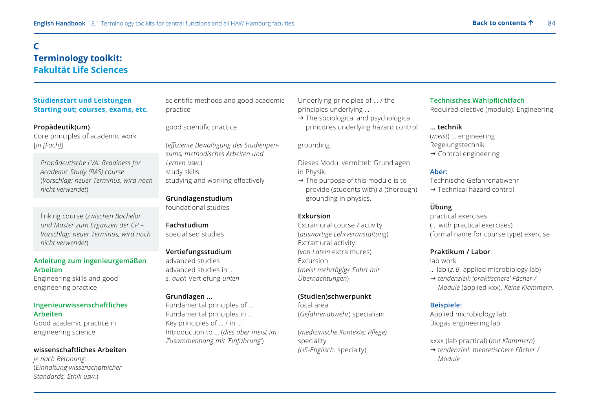# **C Terminology toolkit: Fakultät Life Sciences**

# **Studienstart und Leistungen Starting out; courses, exams, etc.**

#### **Propädeutik(um)**

Core principles of academic work [*in [Fach]*]

- *Propädeutische LVA: Readiness for Academic Study (RAS) course*  (*Vorschlag: neuer Terminus, wird noch nicht verwendet*)
- linking course (*zwischen Bachelor und Master zum Ergänzen der CP – Vorschlag: neuer Terminus, wird noch nicht verwendet*)

# **Anleitung zum ingenieurgemäßen Arbeiten**

Engineering skills and good engineering practice

# **Ingenieurwissenschaftliches Arbeiten**

Good academic practice in engineering science

#### **wissenschaftliches Arbeiten**

*je nach Betonung:*  (*Einhaltung wissenschaftlicher Standards, Ethik usw.*)

scientific methods and good academic practice

# good scientific practice

(*effiziente Bewältigung des Studienpensums, methodisches Arbeiten und Lernen usw.*) study skills studying and working effectively

**Grundlagenstudium** foundational studies

# **Fachstudium**

specialised studies

#### **Vertiefungsstudium**

advanced studies advanced studies in … *s. auch* Vertiefung *unten*

#### **Grundlagen …**

Fundamental principles of … Fundamental principles in … Key principles of … / in … Introduction to … (*dies aber meist im Zusammenhang mit 'Einführung'*)

Underlying principles of … / the principles underlying …

 $\rightarrow$  The sociological and psychological principles underlying hazard control

grounding

Dieses Modul vermittelt Grundlagen in Physik.

 $\rightarrow$  The purpose of this module is to provide (students with) a (thorough) grounding in physics.

# **Exkursion**

Extramural course / activity (*auswärtige Lehrveranstaltung*) Extramural activity (*von Latein* extra mures) Excursion (*meist mehrtägige Fahrt mit Übernachtungen*)

# **(Studien)schwerpunkt**

focal area (*Gefahrenabwehr*) specialism

(*medizinische Kontexte; Pflege)*  speciality *(US-Englisch:* specialty)

# **Technisches Wahlpflichtfach**

Required elective (module): Engineering

# **… technik**

(*meist*) … engineering Regelungstechnik

 $\rightarrow$  Control engineering

#### **Aber:**

Technische Gefahrenabwehr

→ Technical hazard control

# **Übung**

practical exercises (… with practical exercises) (formal name for course type) exercise

# **Praktikum / Labor**

lab work … lab (*z. B.* applied microbiology lab)

 *tendenziell: 'praktischere' Fächer / Module* (applied xxx). *Keine Klammern.* 

#### **Beispiele:**

Applied microbiology lab Biogas engineering lab

xxxx (lab practical) (*mit Klammern*)

 *tendenziell: theoretischere Fächer / Module*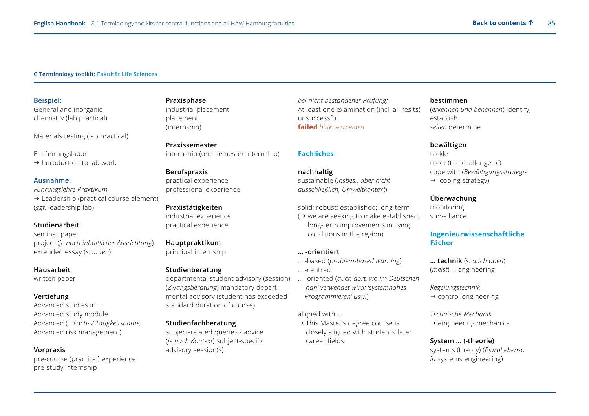#### **C Terminology toolkit: Fakultät Life Sciences**

**Beispiel:**  General and inorganic chemistry (lab practical)

Materials testing (lab practical)

Einführungslabor

 $\rightarrow$  Introduction to lab work

#### **Ausnahme:**

*Führungslehre Praktikum*  $\rightarrow$  Leadership (practical course element) (*ggf.* leadership lab)

#### **Studienarbeit**

seminar paper project (*je nach inhaltlicher Ausrichtung*) extended essay (*s. unten*)

#### **Hausarbeit**

written paper

#### **Vertiefung**

Advanced studies in … Advanced study module Advanced (*+ Fach- / Tätigkeitsname;*  Advanced risk management)

#### **Vorpraxis**

pre-course (practical) experience pre-study internship

# **Praxisphase** industrial placement placement (internship)

**Praxissemester** internship (one-semester internship)

### **Berufspraxis**

practical experience professional experience

#### **Praxistätigkeiten**

industrial experience practical experience

# **Hauptpraktikum**

principal internship

#### **Studienberatung**

departmental student advisory (session) (*Zwangsberatung*) mandatory departmental advisory (student has exceeded standard duration of course)

#### **Studienfachberatung**

subject-related queries / advice (*je nach Kontext*) subject-specific advisory session(s)

*bei nicht bestandener Prüfung:*  At least one examination (incl. all resits) unsuccessful **failed** *bitte vermeiden*

#### **Fachliches**

#### **nachhaltig**

sustainable (*insbes., aber nicht ausschließlich, Umweltkontext*)

solid; robust; established; long-term  $\leftrightarrow$  we are seeking to make established, long-term improvements in living conditions in the region)

#### **… -orientiert**

- … -based (*problem-based learning*) … -centred
- … -oriented (*auch dort, wo im Deutschen* '*nah' verwendet wird: 'systemnahes Programmieren' usw.*)

#### aligned with …

 $\rightarrow$  This Master's degree course is closely aligned with students' later career fields.

#### **bestimmen**

(*erkennen und benennen*) identify; establish *selten* determine

#### **bewältigen**

tackle meet (the challenge of) cope with (*Bewältigungsstrategie*  $\rightarrow$  coping strategy)

# **Überwachung**

monitoring surveillance

# **Ingenieurwissenschaftliche Fächer**

**… technik** (*s. auch oben*) (*meist*) … engineering

*Regelungstechnik* 

 $\rightarrow$  control engineering

#### *Technische Mechanik*

 $\rightarrow$  engineering mechanics

#### **System … (-theorie)**

systems (theory) (*Plural ebenso in* systems engineering)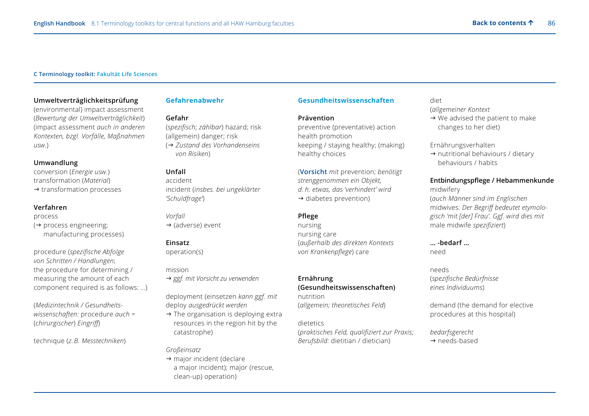#### **C Terminology toolkit: Fakultät Life Sciences**

#### **Umweltverträglichkeitsprüfung**

(environmental) impact assessment (*Bewertung der Umweltverträglichkeit*) (impact assessment *auch in anderen Kontexten, bzgl. Vorfälle, Maßnahmen usw.*)

#### **Umwandlung**

conversion (*Energie usw.*) transformation (*Material*)  $\rightarrow$  transformation processes

#### **Verfahren**

process

 $\leftrightarrow$  process engineering; manufacturing processes)

procedure (*spezifische Abfolge von Schritten / Handlungen*; the procedure for determining / measuring the amount of each component required is as follows: …)

(*Medizintechnik / Gesundheitswissenschaften:* procedure *auch* = (*chirurgischer*) *Eingriff*)

technique (*z. B. Messtechniken*)

# **Gefahrenabwehr**

#### **Gefahr**

(*spezifisch; zählbar*) hazard; risk (allgemein) danger; risk ( *Zustand des Vorhandenseins von Risiken*)

#### **Unfall**

accident incident (*insbes. bei ungeklärter 'Schuldfrage'*)

*Vorfall*  $\rightarrow$  (adverse) event

#### **Einsatz**

operation(s)

mission

→ ggf. mit Vorsicht zu verwenden

deployment (einsetzen *kann ggf. mit*  deploy *ausgedrückt werden*

 $\rightarrow$  The organisation is deploying extra resources in the region hit by the catastrophe)

# *Großeinsatz*

 $\rightarrow$  major incident (declare a major incident); major (rescue, clean-up) operation)

#### **Gesundheitswissenschaften**

#### **Prävention**

preventive (preventative) action health promotion keeping / staying healthy; (making) healthy choices

(**Vorsicht** *mit* prevention; *benötigt strenggenommen ein Objekt, d. h. etwas, das 'verhindert' wird*   $\rightarrow$  diabetes prevention)

# **Pflege**

nursing nursing care (*außerhalb des direkten Kontexts von Krankenpflege*) care

#### **Ernährung (Gesundheitswissenschaften)** nutrition

(*allgemein; theoretisches Feld*)

#### dietetics

(*praktisches Feld, qualifiziert zur Praxis; Berufsbild:* dietitian / dietician)

# diet

(*allgemeiner Kontext*

 $\rightarrow$  We advised the patient to make changes to her diet)

#### Ernährungsverhalten

 $\rightarrow$  nutritional behaviours / dietary behaviours / habits

# **Entbindungspflege / Hebammenkunde**

midwifery (*auch Männer sind im Englischen*  midwives*. Der Begriff bedeutet etymologisch 'mit [der] Frau'. Ggf. wird dies mit* male midwife *spezifiziert*)

#### **… -bedarf …** need

needs (*spezifische Bedürfnisse eines Individuums*)

demand (the demand for elective procedures at this hospital)

*bedarfsgerecht*  → needs-based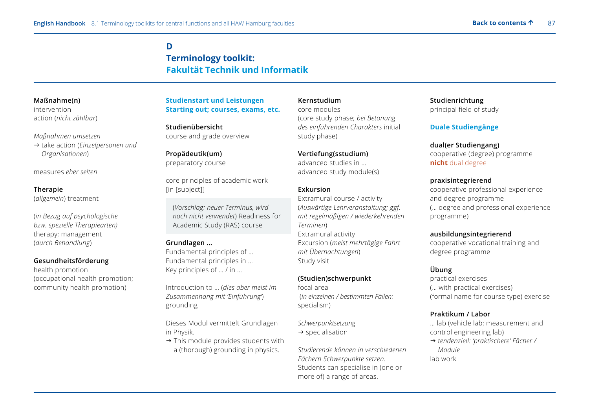# **D Terminology toolkit: Fakultät Technik und Informatik**

# **Maßnahme(n)**

intervention action (*nicht zählbar*)

# *Maßnahmen umsetzen*

→ take action (*Einzelpersonen und Organisationen*)

measures *eher selten* 

# **Therapie**

(*allgemein*) treatment

(*in Bezug auf psychologische bzw. spezielle Therapiearten)*  therapy; management (*durch Behandlung*)

# **Gesundheitsförderung**

health promotion (occupational health promotion; community health promotion)

# **Studienstart und Leistungen Starting out; courses, exams, etc.**

**Studienübersicht** course and grade overview

# **Propädeutik(um)** preparatory course

core principles of academic work [in [subject]]

 (*Vorschlag: neuer Terminus, wird noch nicht verwendet*) Readiness for Academic Study (RAS) course

# **Grundlagen …**

Fundamental principles of … Fundamental principles in … Key principles of … / in …

Introduction to … (*dies aber meist im Zusammenhang mit 'Einführung'*) grounding

Dieses Modul vermittelt Grundlagen in Physik.

 $\rightarrow$  This module provides students with a (thorough) grounding in physics.

# **Kernstudium**

core modules (core study phase; *bei Betonung des einführenden Charakters* initial study phase)

# **Vertiefung(sstudium)**

advanced studies in … advanced study module(s)

# **Exkursion**

Extramural course / activity (*Auswärtige Lehrveranstaltung; ggf. mit regelmäßigen / wiederkehrenden Terminen*) Extramural activity Excursion (*meist mehrtägige Fahrt mit Übernachtungen*) Study visit

# **(Studien)schwerpunkt**

focal area (*in einzelnen / bestimmten Fällen:*  specialism)

# *Schwerpunktsetzung*

 $\rightarrow$  specialisation

*Studierende können in verschiedenen Fächern Schwerpunkte setzen.* Students can specialise in (one or more of) a range of areas.

**Studienrichtung** principal field of study

# **Duale Studiengänge**

# **dual(er Studiengang)**

cooperative (degree) programme **nicht** dual degree

# **praxisintegrierend**

cooperative professional experience and degree programme (… degree and professional experience programme)

# **ausbildungsintegrierend**

cooperative vocational training and degree programme

# **Übung**

practical exercises (… with practical exercises) (formal name for course type) exercise

# **Praktikum / Labor**

… lab (vehicle lab; measurement and control engineering lab)

 *tendenziell: 'praktischere' Fächer / Module*  lab work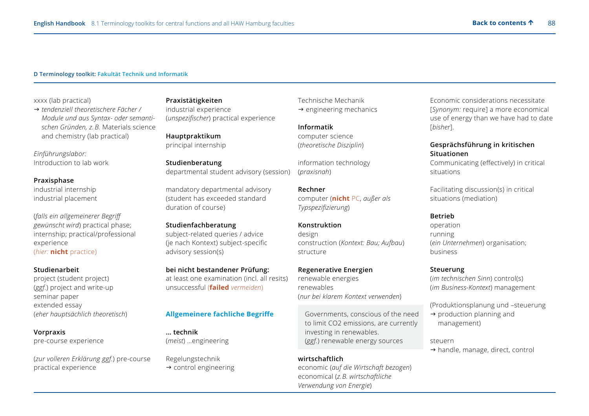#### **D Terminology toolkit: Fakultät Technik und Informatik**

xxxx (lab practical)

 *tendenziell theoretischere Fächer / Module und aus Syntax- oder semantischen Gründen, z. B.* Materials science and chemistry (lab practical)

*Einführungslabor:*  Introduction to lab work

#### **Praxisphase**

industrial internship industrial placement

(*falls ein allgemeinerer Begriff gewünscht wird*) practical phase; internship; practical/professional experience (*hier:* **nicht** practice)

**Studienarbeit** project (student project) (*ggf.*) project and write-up seminar paper extended essay (*eher hauptsächlich theoretisch*)

#### **Vorpraxis**

pre-course experience

(*zur volleren Erklärung ggf.*) pre-course practical experience

### **Praxistätigkeiten** industrial experience (*unspezifischer*) practical experience

**Hauptpraktikum** principal internship

**Studienberatung** departmental student advisory (session)

mandatory departmental advisory (student has exceeded standard duration of course)

#### **Studienfachberatung**

subject-related queries / advice (je nach Kontext) subject-specific advisory session(s)

# **bei nicht bestandener Prüfung:**

at least one examination (incl. all resits) unsuccessful (**failed** *vermeiden*)

#### **Allgemeinere fachliche Begriffe**

**… technik** (*meist*) …engineering

Regelungstechnik  $\rightarrow$  control engineering Technische Mechanik  $\rightarrow$  engineering mechanics

**Informatik** computer science (*theoretische Disziplin*)

information technology (*praxisnah*)

**Rechner** computer (**nicht** PC, *außer als Typspezifizierung*)

#### **Konstruktion**

design construction (*Kontext: Bau; Aufbau*) structure

#### **Regenerative Energien**

renewable energies renewables (*nur bei klarem Kontext verwenden*)

 Governments, conscious of the need to limit CO2 emissions, are currently investing in renewables. (*ggf.*) renewable energy sources

### **wirtschaftlich**

economic (*auf die Wirtschaft bezogen*) economical (*z. B. wirtschaftliche Verwendung von Energie*)

Economic considerations necessitate [*Synonym:* require] a more economical use of energy than we have had to date [*bisher*].

#### **Gesprächsführung in kritischen Situationen**

Communicating (effectively) in critical situations

Facilitating discussion(s) in critical situations (mediation)

### **Betrieb**

operation running (*ein Unternehmen*) organisation; business

#### **Steuerung**

(*im technischen Sinn*) control(s) (*im Business-Kontext*) management

(Produktionsplanung und –steuerung

 $\rightarrow$  production planning and management)

steuern

 $\rightarrow$  handle, manage, direct, control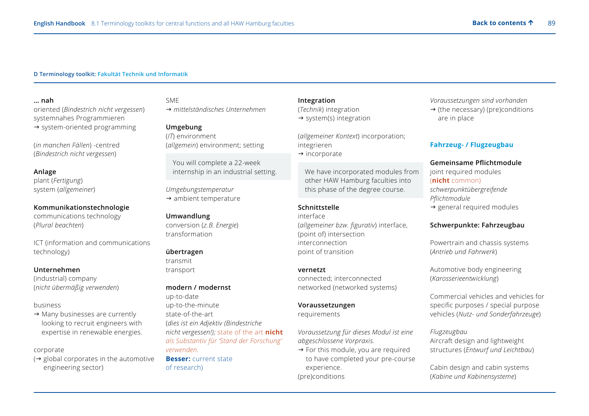#### **D Terminology toolkit: Fakultät Technik und Informatik**

**… nah** oriented (*Bindestrich nicht vergessen*) systemnahes Programmieren  $\rightarrow$  system-oriented programming

(*in manchen Fällen*) -centred (*Bindestrich nicht vergessen*)

#### **Anlage**

plant (*Fertigung*) system (*allgemeiner*)

**Kommunikationstechnologie** communications technology (*Plural beachten*)

ICT (information and communications technology)

#### **Unternehmen**

(industrial) company (*nicht übermäßig verwenden*)

#### business

 $\rightarrow$  Many businesses are currently looking to recruit engineers with expertise in renewable energies.

#### corporate

 $(\rightarrow$  global corporates in the automotive engineering sector)

# SME

*mittelständisches Unternehmen*

#### **Umgebung**

(*IT*) environment (*allgemein*) environment; setting

 You will complete a 22-week internship in an industrial setting.

*Umgebungstemperatur*   $\rightarrow$  ambient temperature

#### **Umwandlung**

conversion (*z. B. Energie*) transformation

#### **übertragen**

transmit transport

#### **modern / modernst**

up-to-date up-to-the-minute state-of-the-art (*dies ist ein Adjektiv (Bindestriche nicht vergessen!);* state of the art **nicht** *als Substantiv für 'Stand der Forschung' verwenden.* **Besser:** current state of research)

**Integration** (*Technik*) integration  $\rightarrow$  system(s) integration

(*allgemeiner Kontext*) incorporation; integrieren  $\rightarrow$  incorporate

 We have incorporated modules from other HAW Hamburg faculties into this phase of the degree course.

#### **Schnittstelle**

interface (*allgemeiner bzw. figurativ*) interface, (point of) intersection interconnection point of transition

#### **vernetzt**

connected; interconnected networked (networked systems)

#### **Voraussetzungen**

requirements

*Voraussetzung für dieses Modul ist eine abgeschlossene Vorpraxis.* 

 $\rightarrow$  For this module, you are required to have completed your pre-course experience. (pre)conditions

*Voraussetzungen sind vorhanden*   $\rightarrow$  (the necessary) (pre)conditions are in place

#### **Fahrzeug- / Flugzeugbau**

#### **Gemeinsame Pflichtmodule**

joint required modules (**nicht** common) *schwerpunktübergreifende Pflichtmodule*  $\rightarrow$  general required modules

### **Schwerpunkte: Fahrzeugbau**

Powertrain and chassis systems (*Antrieb und Fahrwerk*)

Automotive body engineering (*Karosserieentwicklung*)

Commercial vehicles and vehicles for specific purposes / special purpose vehicles (*Nutz- und Sonderfahrzeuge*)

*Flugzeugbau* Aircraft design and lightweight structures (*Entwurf und Leichtbau*)

Cabin design and cabin systems (*Kabine und Kabinensysteme*)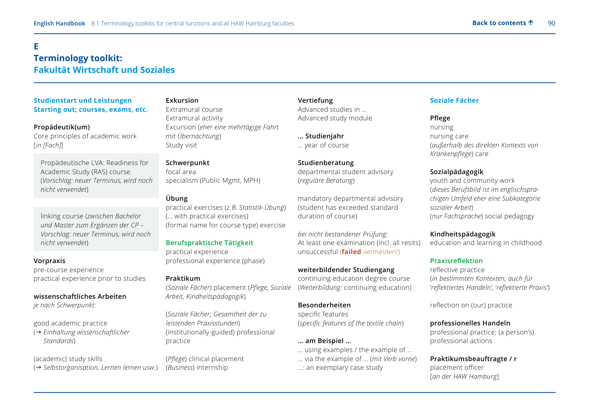# **E Terminology toolkit: Fakultät Wirtschaft und Soziales**

# **Studienstart und Leistungen Starting out; courses, exams, etc.**

#### **Propädeutik(um)**

Core principles of academic work [*in [Fach]*]

Propädeutische LVA: Readiness for Academic Study (RAS) course (*Vorschlag: neuer Terminus, wird noch nicht verwendet*)

 linking course (*zwischen Bachelor und Master zum Ergänzen der CP – Vorschlag: neuer Terminus, wird noch nicht verwendet*)

#### **Vorpraxis**

pre-course experience practical experience prior to studies

**wissenschaftliches Arbeiten** *je nach Schwerpunkt:*

good academic practice

( *Einhaltung wissenschaftlicher Standards*)

(academic) study skills

( *Selbstorganisation' Lernen lernen usw.*)

# **Exkursion** Extramural course

Extramural activity Excursion (*eher eine mehrtägige Fahrt mit Übernachtung*) Study visit

**Schwerpunkt**  focal area specialism (Public Mgmt, MPH)

# **Übung**

practical exercises (*z. B. Statistik-Übung*) (… with practical exercises) (formal name for course type) exercise

# **Berufspraktische Tätigkeit**

practical experience professional experience (phase)

#### **Praktikum**

(*Soziale Fächer*) placement (*Pflege, Soziale Arbeit, Kindheitspädagogik*)

(*Soziale Fächer; Gesamtheit der zu leistenden Praxisstunden*) (institutionally-guided) professional practice

(*Pflege*) clinical placement (*Business*) internship

**Vertiefung** Advanced studies in … Advanced study module

**… Studienjahr** … year of course

**Studienberatung** departmental student advisory (*reguläre Beratung*)

mandatory departmental advisory (student has exceeded standard duration of course)

*bei nicht bestandener Prüfung:*  At least one examination (incl. all resits) unsuccessful (**failed** vermeiden!)

#### **weiterbildender Studiengang**

continuing education degree course (*Weiterbildung:* continuing education)

# **Besonderheiten**

specific features (*specific features of the textile chain*)

#### **… am Beispiel …**

… using examples / the example of … … via the example of … (*mit Verb vorne*) …: an exemplary case study

# **Soziale Fächer**

#### **Pflege**

nursing nursing care (*außerhalb des direkten Kontexts von Krankenpflege*) care

### **Sozialpädagogik**

youth and community work (*dieses Berufsbild ist im englischsprachigen Umfeld eher eine Subkategorie sozialer Arbeit*) (*nur Fachsprache*) social pedagogy

#### **Kindheitspädagogik**

education and learning in childhood

#### **Praxisreflektion**

reflective practice (*in bestimmten Kontexten; auch für* '*reflektiertes Handeln',* '*reflektierte Praxis'*)

reflection on (our) practice

#### **professionelles Handeln**

professional practice; (a person's) professional actions

**Praktikumsbeauftragte / r** placement officer [*an der HAW Hamburg*]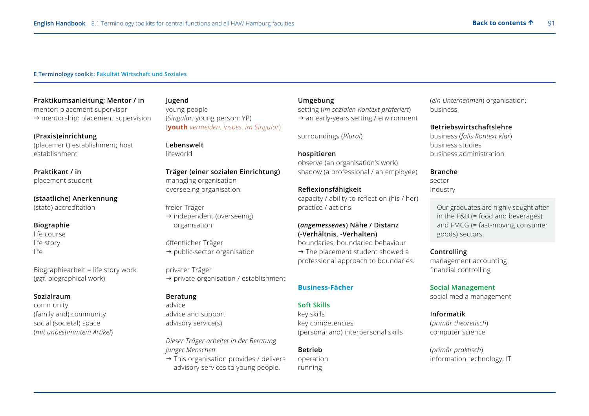#### **E Terminology toolkit: Fakultät Wirtschaft und Soziales**

**Praktikumsanleitung; Mentor / in** mentor; placement supervisor  $\rightarrow$  mentorship; placement supervision

**(Praxis)einrichtung** (placement) establishment; host establishment

**Praktikant / in** placement student

**(staatliche) Anerkennung** (state) accreditation

## **Biographie**

life course life story life

Biographiearbeit = life story work (*ggf.* biographical work)

#### **Sozialraum**

community (family and) community social (societal) space (*mit unbestimmtem Artikel*)

**Jugend** young people (*Singular:* young person; YP) (**youth** *vermeiden, insbes. im Singular*)

# **Lebenswelt**

lifeworld

# **Träger (einer sozialen Einrichtung)**

managing organisation overseeing organisation

freier Träger

 $\rightarrow$  independent (overseeing) organisation

öffentlicher Träger  $\rightarrow$  public-sector organisation

privater Träger  $\rightarrow$  private organisation / establishment

# **Beratung**

advice advice and support advisory service(s)

*Dieser Träger arbeitet in der Beratung junger Menschen.* 

 $\rightarrow$  This organisation provides / delivers advisory services to young people.

#### **Umgebung**

setting (*im sozialen Kontext präferiert*)  $\rightarrow$  an early-years setting / environment

surroundings (*Plural*)

# **hospitieren**

observe (an organisation's work) shadow (a professional / an employee)

# **Reflexionsfähigkeit**

capacity / ability to reflect on (his / her) practice / actions

# **(***angemessenes***) Nähe / Distanz (-Verhältnis, -Verhalten)**

boundaries; boundaried behaviour  $\rightarrow$  The placement student showed a professional approach to boundaries.

#### **Business-Fächer**

#### **Soft Skills**

key skills key competencies (personal and) interpersonal skills

# **Betrieb**

operation running

(*ein Unternehmen*) organisation; business

#### **Betriebswirtschaftslehre**

business (*falls Kontext klar*) business studies business administration

#### **Branche**

sector industry

> Our graduates are highly sought after in the F&B (= food and beverages) and FMCG (= fast-moving consumer goods) sectors.

### **Controlling**

management accounting financial controlling

# **Social Management**

social media management

# **Informatik** (*primär theoretisch*)

computer science

(*primär praktisch*) information technology; IT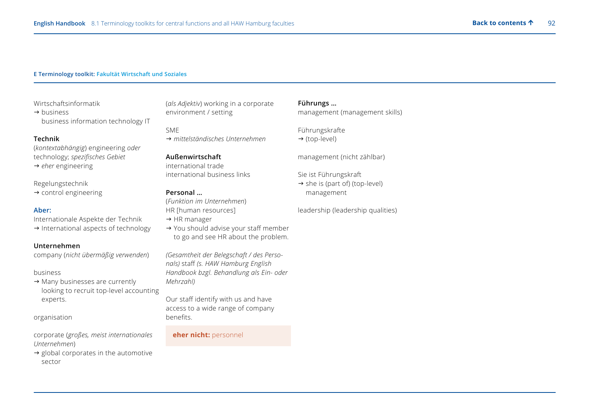#### **E Terminology toolkit: Fakultät Wirtschaft und Soziales**

#### Wirtschaftsinformatik

 $\rightarrow$  business business information technology IT

#### **Technik**

(*kontextabhängig*) engineering *oder* technology; *spezifisches Gebiet* → *eher* engineering

#### Regelungstechnik

 $\rightarrow$  control engineering

#### **Aber:**

Internationale Aspekte der Technik

 $\rightarrow$  International aspects of technology

#### **Unternehmen**

company (*nicht übermäßig verwenden*)

#### business

 $\rightarrow$  Many businesses are currently looking to recruit top-level accounting experts.

organisation

corporate (*großes, meist internationales Unternehmen*)

 $\rightarrow$  global corporates in the automotive sector

(*als Adjektiv*) working in a corporate environment / setting

SME *mittelständisches Unternehmen*

# **Außenwirtschaft** international trade

international business links

# **Personal …**

(*Funktion im Unternehmen*) HR [human resources]

- $\rightarrow$  HR manager
- $\rightarrow$  You should advise your staff member to go and see HR about the problem.

*(Gesamtheit der Belegschaft / des Personals)* staff *(s. HAW Hamburg English Handbook bzgl. Behandlung als Ein- oder Mehrzahl)*

Our staff identify with us and have access to a wide range of company benefits.

### **eher nicht:** personnel

# **Führungs …**

management (management skills)

Führungskrafte

 $\rightarrow$  (top-level)

management (nicht zählbar)

Sie ist Führungskraft

 $\rightarrow$  she is (part of) (top-level) management

leadership (leadership qualities)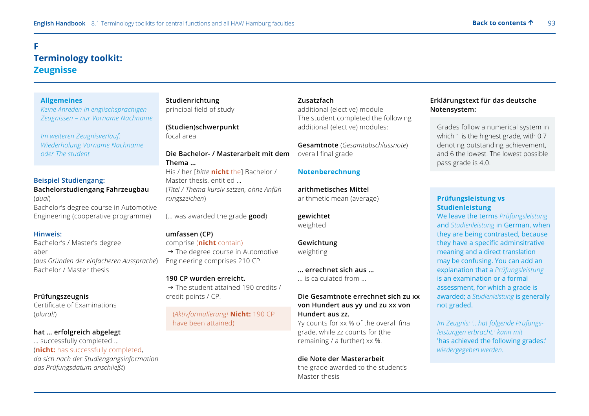# <span id="page-92-0"></span>**F Terminology toolkit: Zeugnisse**

#### **Allgemeines**

 *Keine Anreden in englischsprachigen Zeugnissen – nur Vorname Nachname* 

*Im weiteren Zeugnisverlauf: Wiederholung Vorname Nachname oder The student*

#### **Beispiel Studiengang:**

**Bachelorstudiengang Fahrzeugbau** (*dual*) Bachelor's degree course in Automotive Engineering (cooperative programme)

#### **Hinweis:**

Bachelor's / Master's degree aber (*aus Gründen der einfacheren Aussprache*) Bachelor / Master thesis

# **Prüfungszeugnis**

Certificate of Examinations (*plural!*)

# **hat … erfolgreich abgelegt**

… successfully completed … (**nicht:** has successfully completed, *da sich nach der Studiengangsinformation das Prüfungsdatum anschließt*)

# **Studienrichtung** principal field of study

**(Studien)schwerpunkt** focal area

# **Die Bachelor- / Masterarbeit mit dem Thema …** His / her [*bitte* **nicht** the] Bachelor /

Master thesis, entitled … (*Titel / Thema kursiv setzen, ohne Anführungszeichen*)

(… was awarded the grade **good**)

# **umfassen (CP)**

comprise (**nicht** contain)

 $\rightarrow$  The degree course in Automotive Engineering comprises 210 CP.

#### **190 CP wurden erreicht.**

 $\rightarrow$  The student attained 190 credits / credit points / CP.

 (*Aktivformulierung!* **Nicht:** 190 CP have been attained)

#### **Zusatzfach**

additional (elective) module The student completed the following additional (elective) modules:

**Gesamtnote** (*Gesamtabschlussnote*) overall final grade

#### **Notenberechnung**

**arithmetisches Mittel** arithmetic mean (average)

# **gewichtet**

weighted

# **Gewichtung**

weighting

**… errechnet sich aus …** … is calculated from …

# **Die Gesamtnote errechnet sich zu xx von Hundert aus yy und zu xx von Hundert aus zz.**

Yy counts for xx % of the overall final grade, while zz counts for (the remaining / a further) xx %.

# **die Note der Masterarbeit** the grade awarded to the student's Master thesis

# **Erklärungstext für das deutsche Notensystem:**

 Grades follow a numerical system in which 1 is the highest grade, with 0.7 denoting outstanding achievement, and 6 the lowest. The lowest possible pass grade is 4.0.

# **Prüfungsleistung vs Studienleistung**

We leave the terms *Prüfungsleistung* and *Studienleistung* in German, when they are being contrasted, because they have a specific adminsitrative meaning and a direct translation may be confusing. You can add an explanation that a *Prüfungsleistung* is an examination or a formal assessment, for which a grade is awarded; a *Studienleistung* is generally not graded.

 *Im Zeugnis: '...hat folgende Prüfungsleistungen erbracht.' kann mit*  'has achieved the following grades:' *wiedergegeben werden.*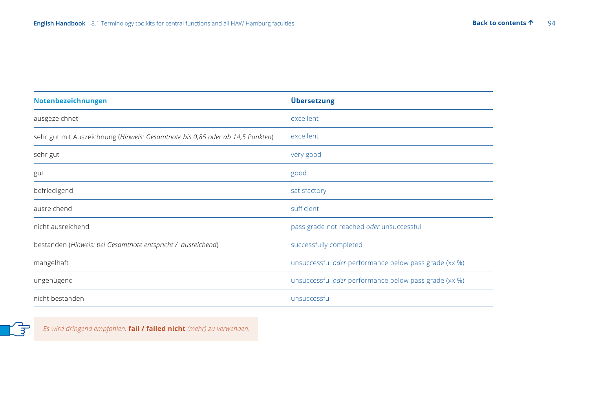| Notenbezeichnungen                                                            | Übersetzung                                           |
|-------------------------------------------------------------------------------|-------------------------------------------------------|
| ausgezeichnet                                                                 | excellent                                             |
| sehr gut mit Auszeichnung (Hinweis: Gesamtnote bis 0,85 oder ab 14,5 Punkten) | excellent                                             |
| sehr gut                                                                      | very good                                             |
| gut                                                                           | good                                                  |
| befriedigend                                                                  | satisfactory                                          |
| ausreichend                                                                   | sufficient                                            |
| nicht ausreichend                                                             | pass grade not reached oder unsuccessful              |
| bestanden (Hinweis: bei Gesamtnote entspricht / ausreichend)                  | successfully completed                                |
| mangelhaft                                                                    | unsuccessful oder performance below pass grade (xx %) |
| ungenügend                                                                    | unsuccessful oder performance below pass grade (xx %) |
| nicht bestanden                                                               | unsuccessful                                          |



*Es wird dringend empfohlen,* **fail / failed nicht** *(mehr) zu verwenden.*